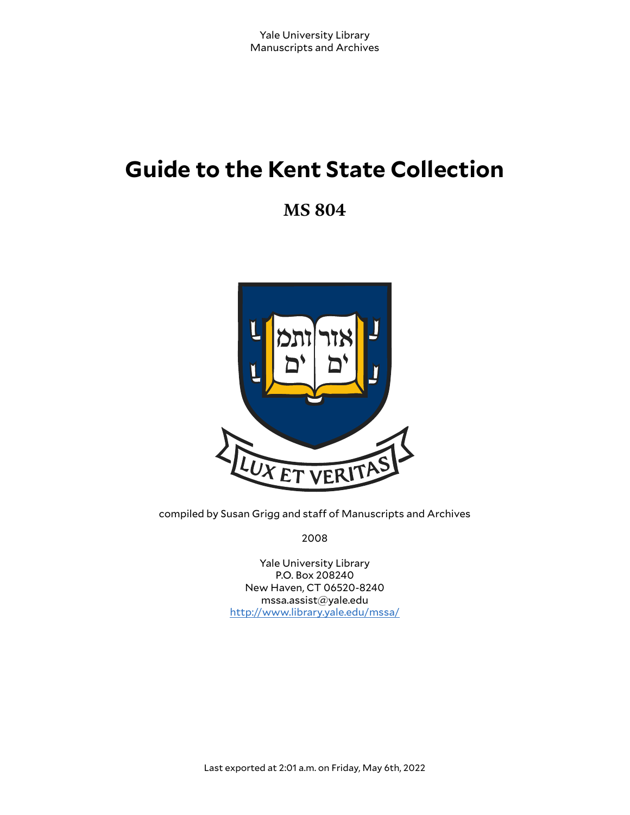# **Guide to the Kent State Collection**

**MS 804**



compiled by Susan Grigg and staff of Manuscripts and Archives

2008

Yale University Library P.O. Box 208240 New Haven, CT 06520-8240 mssa.assist@yale.edu <http://www.library.yale.edu/mssa/>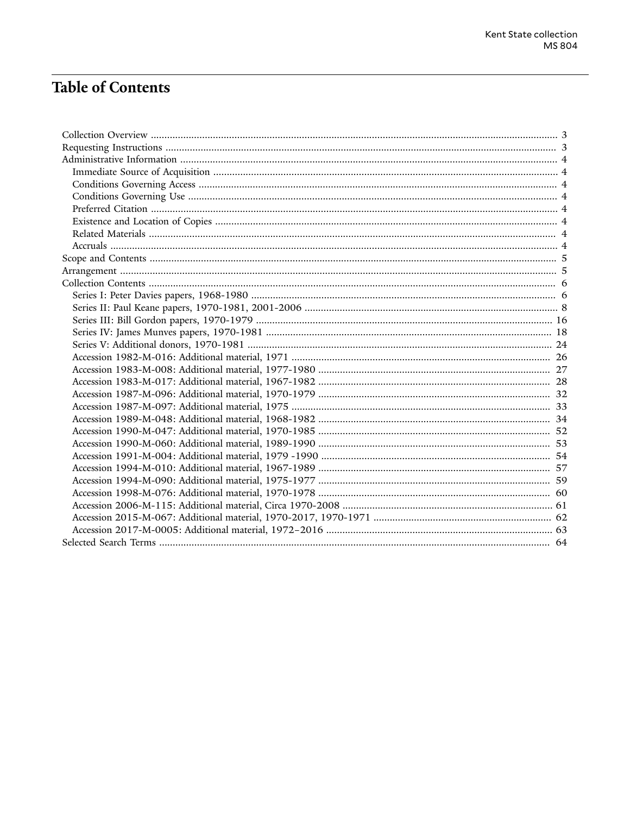## **Table of Contents**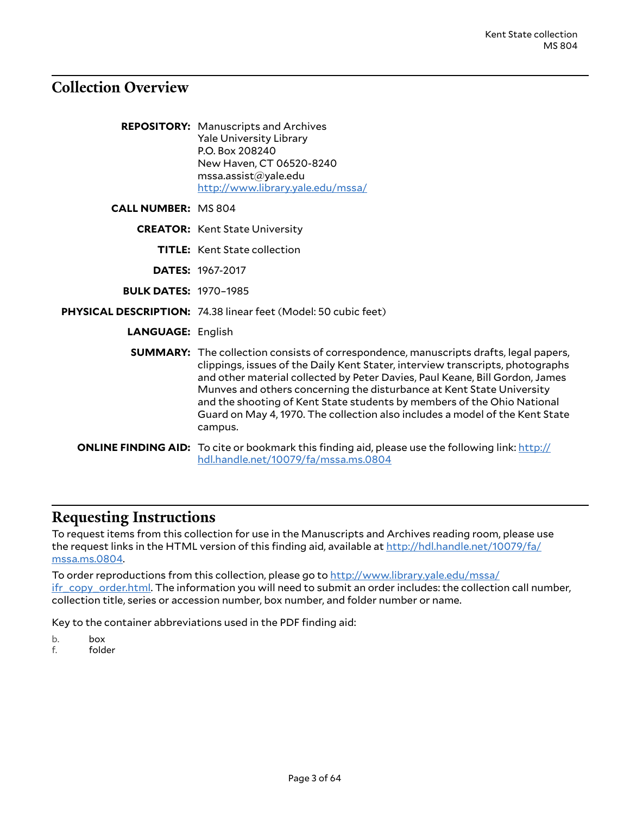## <span id="page-2-0"></span>**Collection Overview**

|                              | <b>REPOSITORY:</b> Manuscripts and Archives<br><b>Yale University Library</b><br>P.O. Box 208240<br>New Haven, CT 06520-8240<br>msa. assist@yale.edu<br>http://www.library.yale.edu/mssa/                                                                                                                                                                                                                                                                                                                     |
|------------------------------|---------------------------------------------------------------------------------------------------------------------------------------------------------------------------------------------------------------------------------------------------------------------------------------------------------------------------------------------------------------------------------------------------------------------------------------------------------------------------------------------------------------|
| <b>CALL NUMBER: MS 804</b>   |                                                                                                                                                                                                                                                                                                                                                                                                                                                                                                               |
|                              | <b>CREATOR:</b> Kent State University                                                                                                                                                                                                                                                                                                                                                                                                                                                                         |
|                              | <b>TITLE:</b> Kent State collection                                                                                                                                                                                                                                                                                                                                                                                                                                                                           |
|                              | <b>DATES: 1967-2017</b>                                                                                                                                                                                                                                                                                                                                                                                                                                                                                       |
| <b>BULK DATES: 1970-1985</b> |                                                                                                                                                                                                                                                                                                                                                                                                                                                                                                               |
|                              | PHYSICAL DESCRIPTION: 74.38 linear feet (Model: 50 cubic feet)                                                                                                                                                                                                                                                                                                                                                                                                                                                |
| <b>LANGUAGE: English</b>     |                                                                                                                                                                                                                                                                                                                                                                                                                                                                                                               |
|                              | <b>SUMMARY:</b> The collection consists of correspondence, manuscripts drafts, legal papers,<br>clippings, issues of the Daily Kent Stater, interview transcripts, photographs<br>and other material collected by Peter Davies, Paul Keane, Bill Gordon, James<br>Munves and others concerning the disturbance at Kent State University<br>and the shooting of Kent State students by members of the Ohio National<br>Guard on May 4, 1970. The collection also includes a model of the Kent State<br>campus. |
|                              | <b>ONLINE FINDING AID:</b> To cite or bookmark this finding aid, please use the following link: http://<br>hdl.handle.net/10079/fa/mssa.ms.0804                                                                                                                                                                                                                                                                                                                                                               |

### <span id="page-2-1"></span>**Requesting Instructions**

To request items from this collection for use in the Manuscripts and Archives reading room, please use the request links in the HTML version of this finding aid, available at [http://hdl.handle.net/10079/fa/](http://hdl.handle.net/10079/fa/mssa.ms.0804) [mssa.ms.0804](http://hdl.handle.net/10079/fa/mssa.ms.0804).

To order reproductions from this collection, please go to [http://www.library.yale.edu/mssa/](http://www.library.yale.edu/mssa/ifr_copy_order.html) [ifr\\_copy\\_order.html.](http://www.library.yale.edu/mssa/ifr_copy_order.html) The information you will need to submit an order includes: the collection call number, collection title, series or accession number, box number, and folder number or name.

Key to the container abbreviations used in the PDF finding aid:

- b. box
- f. folder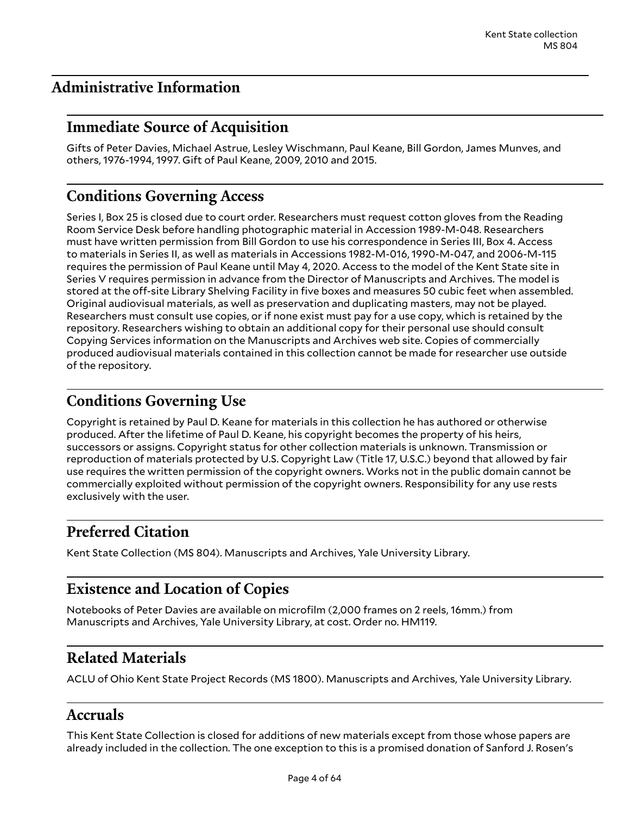## <span id="page-3-0"></span>**Administrative Information**

## <span id="page-3-1"></span>**Immediate Source of Acquisition**

Gifts of Peter Davies, Michael Astrue, Lesley Wischmann, Paul Keane, Bill Gordon, James Munves, and others, 1976-1994, 1997. Gift of Paul Keane, 2009, 2010 and 2015.

## <span id="page-3-2"></span>**Conditions Governing Access**

Series I, Box 25 is closed due to court order. Researchers must request cotton gloves from the Reading Room Service Desk before handling photographic material in Accession 1989-M-048. Researchers must have written permission from Bill Gordon to use his correspondence in Series III, Box 4. Access to materials in Series II, as well as materials in Accessions 1982-M-016, 1990-M-047, and 2006-M-115 requires the permission of Paul Keane until May 4, 2020. Access to the model of the Kent State site in Series V requires permission in advance from the Director of Manuscripts and Archives. The model is stored at the off-site Library Shelving Facility in five boxes and measures 50 cubic feet when assembled. Original audiovisual materials, as well as preservation and duplicating masters, may not be played. Researchers must consult use copies, or if none exist must pay for a use copy, which is retained by the repository. Researchers wishing to obtain an additional copy for their personal use should consult Copying Services information on the Manuscripts and Archives web site. Copies of commercially produced audiovisual materials contained in this collection cannot be made for researcher use outside of the repository.

## <span id="page-3-3"></span>**Conditions Governing Use**

Copyright is retained by Paul D. Keane for materials in this collection he has authored or otherwise produced. After the lifetime of Paul D. Keane, his copyright becomes the property of his heirs, successors or assigns. Copyright status for other collection materials is unknown. Transmission or reproduction of materials protected by U.S. Copyright Law (Title 17, U.S.C.) beyond that allowed by fair use requires the written permission of the copyright owners. Works not in the public domain cannot be commercially exploited without permission of the copyright owners. Responsibility for any use rests exclusively with the user.

## <span id="page-3-4"></span>**Preferred Citation**

Kent State Collection (MS 804). Manuscripts and Archives, Yale University Library.

## <span id="page-3-5"></span>**Existence and Location of Copies**

Notebooks of Peter Davies are available on microfilm (2,000 frames on 2 reels, 16mm.) from Manuscripts and Archives, Yale University Library, at cost. Order no. HM119.

## <span id="page-3-6"></span>**Related Materials**

ACLU of Ohio Kent State Project Records (MS 1800). Manuscripts and Archives, Yale University Library.

### <span id="page-3-7"></span>**Accruals**

This Kent State Collection is closed for additions of new materials except from those whose papers are already included in the collection. The one exception to this is a promised donation of Sanford J. Rosen's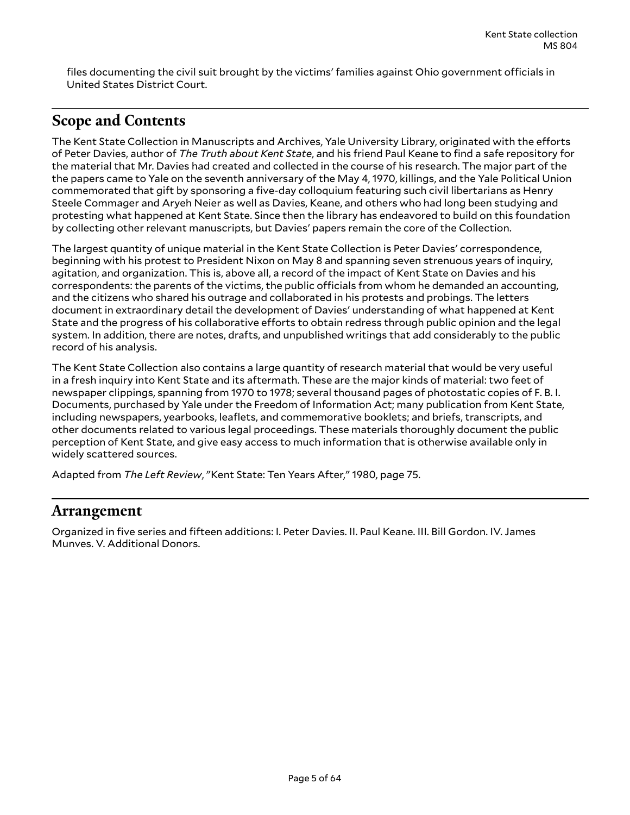files documenting the civil suit brought by the victims' families against Ohio government officials in United States District Court.

### <span id="page-4-0"></span>**Scope and Contents**

The Kent State Collection in Manuscripts and Archives, Yale University Library, originated with the efforts of Peter Davies, author of *The Truth about Kent State*, and his friend Paul Keane to find a safe repository for the material that Mr. Davies had created and collected in the course of his research. The major part of the the papers came to Yale on the seventh anniversary of the May 4, 1970, killings, and the Yale Political Union commemorated that gift by sponsoring a five-day colloquium featuring such civil libertarians as Henry Steele Commager and Aryeh Neier as well as Davies, Keane, and others who had long been studying and protesting what happened at Kent State. Since then the library has endeavored to build on this foundation by collecting other relevant manuscripts, but Davies' papers remain the core of the Collection.

The largest quantity of unique material in the Kent State Collection is Peter Davies' correspondence, beginning with his protest to President Nixon on May 8 and spanning seven strenuous years of inquiry, agitation, and organization. This is, above all, a record of the impact of Kent State on Davies and his correspondents: the parents of the victims, the public officials from whom he demanded an accounting, and the citizens who shared his outrage and collaborated in his protests and probings. The letters document in extraordinary detail the development of Davies' understanding of what happened at Kent State and the progress of his collaborative efforts to obtain redress through public opinion and the legal system. In addition, there are notes, drafts, and unpublished writings that add considerably to the public record of his analysis.

The Kent State Collection also contains a large quantity of research material that would be very useful in a fresh inquiry into Kent State and its aftermath. These are the major kinds of material: two feet of newspaper clippings, spanning from 1970 to 1978; several thousand pages of photostatic copies of F. B. I. Documents, purchased by Yale under the Freedom of Information Act; many publication from Kent State, including newspapers, yearbooks, leaflets, and commemorative booklets; and briefs, transcripts, and other documents related to various legal proceedings. These materials thoroughly document the public perception of Kent State, and give easy access to much information that is otherwise available only in widely scattered sources.

Adapted from *The Left Review*, "Kent State: Ten Years After," 1980, page 75.

### <span id="page-4-1"></span>**Arrangement**

Organized in five series and fifteen additions: I. Peter Davies. II. Paul Keane. III. Bill Gordon. IV. James Munves. V. Additional Donors.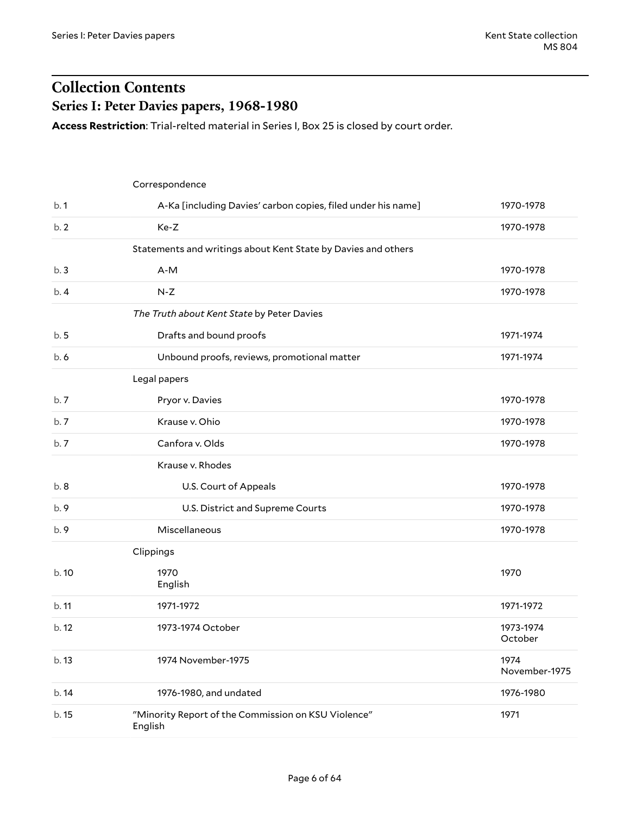## <span id="page-5-0"></span>**Collection Contents Series I: Peter Davies papers, 1968-1980**

<span id="page-5-1"></span>**Access Restriction**: Trial-relted material in Series I, Box 25 is closed by court order.

|       | Correspondence                                                 |                       |
|-------|----------------------------------------------------------------|-----------------------|
| b.1   | A-Ka [including Davies' carbon copies, filed under his name]   | 1970-1978             |
| b.2   | Ke-Z                                                           | 1970-1978             |
|       | Statements and writings about Kent State by Davies and others  |                       |
| b.3   | $A-M$                                                          | 1970-1978             |
| b.4   | $N-Z$                                                          | 1970-1978             |
|       | The Truth about Kent State by Peter Davies                     |                       |
| b.5   | Drafts and bound proofs                                        | 1971-1974             |
| b.6   | Unbound proofs, reviews, promotional matter                    | 1971-1974             |
|       | Legal papers                                                   |                       |
| b.7   | Pryor v. Davies                                                | 1970-1978             |
| b.7   | Krause v. Ohio                                                 | 1970-1978             |
| b.7   | Canfora v. Olds                                                | 1970-1978             |
|       | Krause v. Rhodes                                               |                       |
| b.8   | U.S. Court of Appeals                                          | 1970-1978             |
| b. 9  | U.S. District and Supreme Courts                               | 1970-1978             |
| b. 9  | Miscellaneous                                                  | 1970-1978             |
|       | Clippings                                                      |                       |
| b.10  | 1970<br>English                                                | 1970                  |
| b.11  | 1971-1972                                                      | 1971-1972             |
| b. 12 | 1973-1974 October                                              | 1973-1974<br>October  |
| b. 13 | 1974 November-1975                                             | 1974<br>November-1975 |
| b.14  | 1976-1980, and undated                                         | 1976-1980             |
| b. 15 | "Minority Report of the Commission on KSU Violence"<br>English | 1971                  |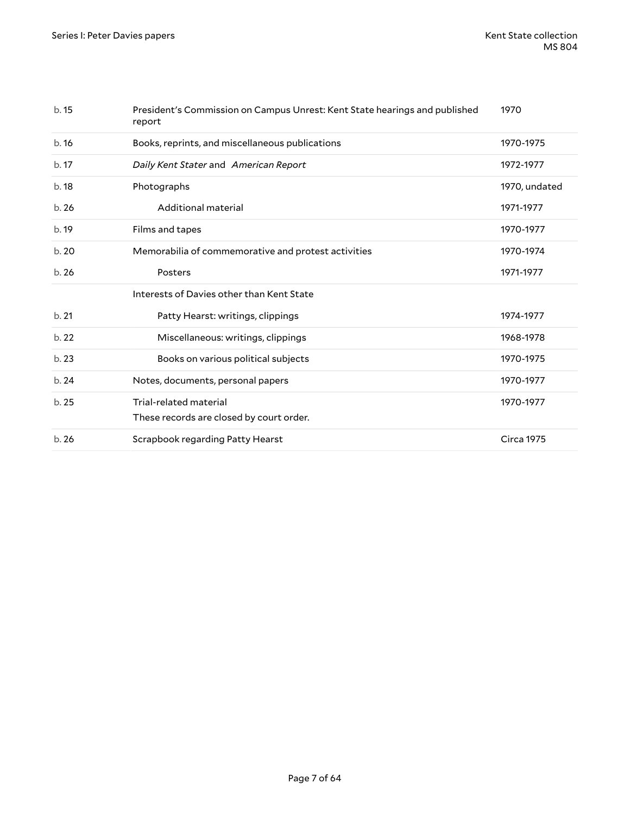| b.15 | President's Commission on Campus Unrest: Kent State hearings and published<br>report | 1970              |
|------|--------------------------------------------------------------------------------------|-------------------|
| b.16 | Books, reprints, and miscellaneous publications                                      | 1970-1975         |
| b.17 | Daily Kent Stater and American Report                                                | 1972-1977         |
| b.18 | Photographs                                                                          | 1970, undated     |
| b.26 | Additional material                                                                  | 1971-1977         |
| b.19 | Films and tapes                                                                      | 1970-1977         |
| b.20 | Memorabilia of commemorative and protest activities                                  | 1970-1974         |
| b.26 | Posters                                                                              | 1971-1977         |
|      | Interests of Davies other than Kent State                                            |                   |
| b.21 | Patty Hearst: writings, clippings                                                    | 1974-1977         |
| b.22 | Miscellaneous: writings, clippings                                                   | 1968-1978         |
| b.23 | Books on various political subjects                                                  | 1970-1975         |
| b.24 | Notes, documents, personal papers                                                    | 1970-1977         |
| b.25 | Trial-related material<br>These records are closed by court order.                   | 1970-1977         |
| b.26 | Scrapbook regarding Patty Hearst                                                     | <b>Circa 1975</b> |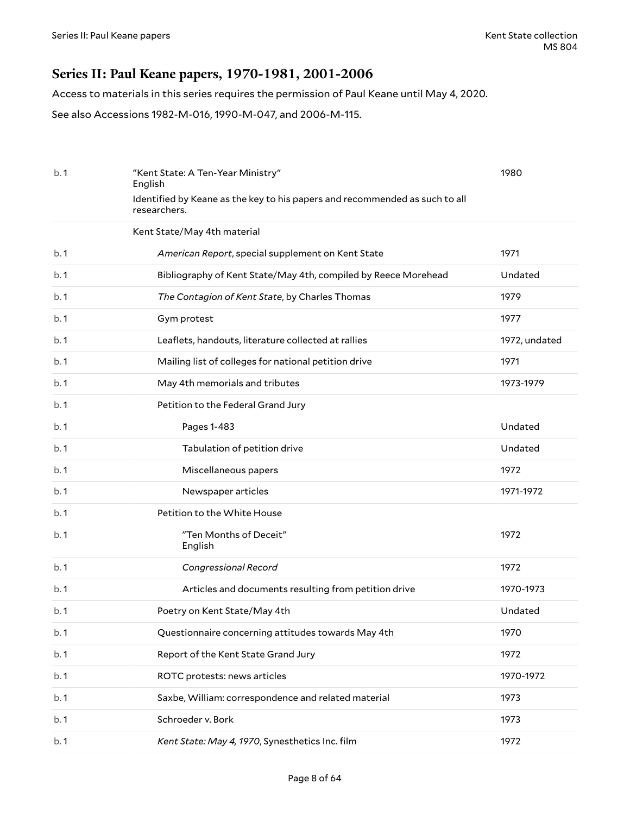### <span id="page-7-0"></span>**Series II: Paul Keane papers, 1970-1981, 2001-2006**

Access to materials in this series requires the permission of Paul Keane until May 4, 2020.

See also Accessions 1982-M-016, 1990-M-047, and 2006-M-115.

| b.1 | "Kent State: A Ten-Year Ministry"<br>English                                                | 1980          |
|-----|---------------------------------------------------------------------------------------------|---------------|
|     | Identified by Keane as the key to his papers and recommended as such to all<br>researchers. |               |
|     | Kent State/May 4th material                                                                 |               |
| b.1 | American Report, special supplement on Kent State                                           | 1971          |
| b.1 | Bibliography of Kent State/May 4th, compiled by Reece Morehead                              | Undated       |
| b.1 | The Contagion of Kent State, by Charles Thomas                                              | 1979          |
| b.1 | Gym protest                                                                                 | 1977          |
| b.1 | Leaflets, handouts, literature collected at rallies                                         | 1972, undated |
| b.1 | Mailing list of colleges for national petition drive                                        | 1971          |
| b.1 | May 4th memorials and tributes                                                              | 1973-1979     |
| b.1 | Petition to the Federal Grand Jury                                                          |               |
| b.1 | Pages 1-483                                                                                 | Undated       |
| b.1 | Tabulation of petition drive                                                                | Undated       |
| b.1 | Miscellaneous papers                                                                        | 1972          |
| b.1 | Newspaper articles                                                                          | 1971-1972     |
| b.1 | Petition to the White House                                                                 |               |
| b.1 | "Ten Months of Deceit"<br>English                                                           | 1972          |
| b.1 | Congressional Record                                                                        | 1972          |
| b.1 | Articles and documents resulting from petition drive                                        | 1970-1973     |
| b.1 | Poetry on Kent State/May 4th                                                                | Undated       |
| b.1 | Questionnaire concerning attitudes towards May 4th                                          | 1970          |
| b.1 | Report of the Kent State Grand Jury                                                         | 1972          |
| b.1 | ROTC protests: news articles                                                                | 1970-1972     |
| b.1 | Saxbe, William: correspondence and related material                                         | 1973          |
| b.1 | Schroeder v. Bork                                                                           | 1973          |
| b.1 | Kent State: May 4, 1970, Synesthetics Inc. film                                             | 1972          |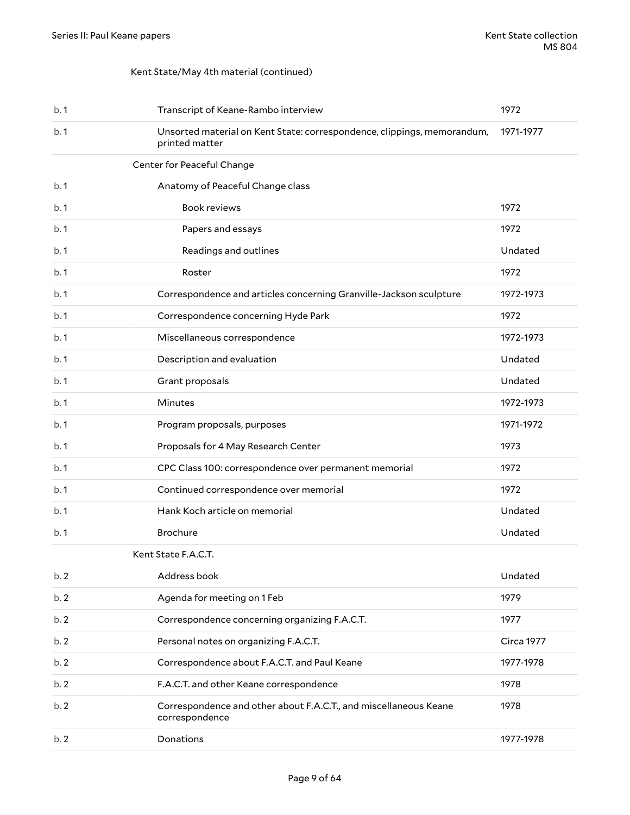### Kent State/May 4th material (continued)

| b.1 | Transcript of Keane-Rambo interview                                                       | 1972       |
|-----|-------------------------------------------------------------------------------------------|------------|
| b.1 | Unsorted material on Kent State: correspondence, clippings, memorandum,<br>printed matter | 1971-1977  |
|     | Center for Peaceful Change                                                                |            |
| b.1 | Anatomy of Peaceful Change class                                                          |            |
| b.1 | <b>Book reviews</b>                                                                       | 1972       |
| b.1 | Papers and essays                                                                         | 1972       |
| b.1 | Readings and outlines                                                                     | Undated    |
| b.1 | Roster                                                                                    | 1972       |
| b.1 | Correspondence and articles concerning Granville-Jackson sculpture                        | 1972-1973  |
| b.1 | Correspondence concerning Hyde Park                                                       | 1972       |
| b.1 | Miscellaneous correspondence                                                              | 1972-1973  |
| b.1 | Description and evaluation                                                                | Undated    |
| b.1 | Grant proposals                                                                           | Undated    |
| b.1 | Minutes                                                                                   | 1972-1973  |
| b.1 | Program proposals, purposes                                                               | 1971-1972  |
| b.1 | Proposals for 4 May Research Center                                                       | 1973       |
| b.1 | CPC Class 100: correspondence over permanent memorial                                     | 1972       |
| b.1 | Continued correspondence over memorial                                                    | 1972       |
| b.1 | Hank Koch article on memorial                                                             | Undated    |
| b.1 | <b>Brochure</b>                                                                           | Undated    |
|     | Kent State F.A.C.T.                                                                       |            |
| b.2 | Address book                                                                              | Undated    |
| b.2 | Agenda for meeting on 1 Feb                                                               | 1979       |
| b.2 | Correspondence concerning organizing F.A.C.T.                                             | 1977       |
| b.2 | Personal notes on organizing F.A.C.T.                                                     | Circa 1977 |
| b.2 | Correspondence about F.A.C.T. and Paul Keane                                              | 1977-1978  |
| b.2 | F.A.C.T. and other Keane correspondence                                                   | 1978       |
| b.2 | Correspondence and other about F.A.C.T., and miscellaneous Keane<br>correspondence        | 1978       |
| b.2 | Donations                                                                                 | 1977-1978  |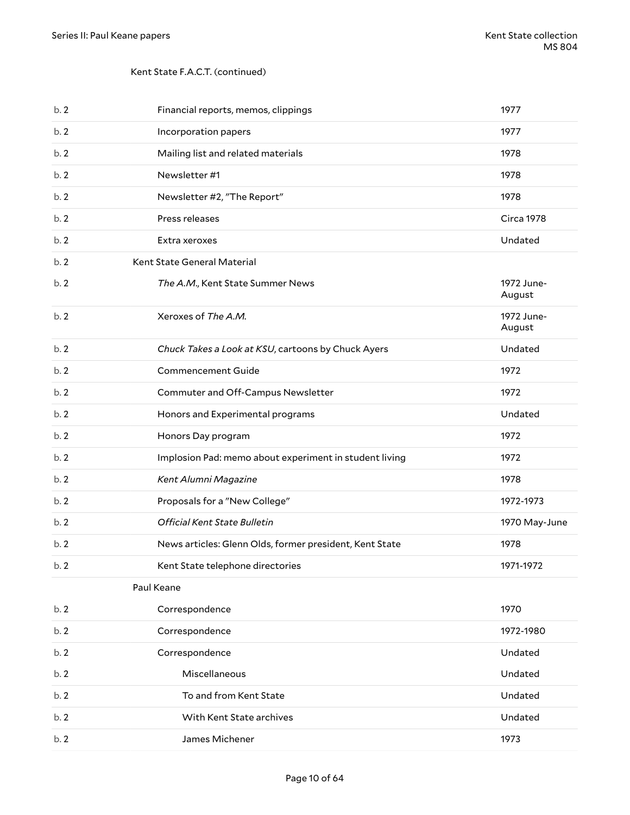### Kent State F.A.C.T. (continued)

| b.2 | Financial reports, memos, clippings                     | 1977                 |
|-----|---------------------------------------------------------|----------------------|
| b.2 | Incorporation papers                                    | 1977                 |
| b.2 | Mailing list and related materials                      | 1978                 |
| b.2 | Newsletter #1                                           | 1978                 |
| b.2 | Newsletter #2, "The Report"                             | 1978                 |
| b.2 | Press releases                                          | <b>Circa 1978</b>    |
| b.2 | Extra xeroxes                                           | Undated              |
| b.2 | Kent State General Material                             |                      |
| b.2 | The A.M., Kent State Summer News                        | 1972 June-<br>August |
| b.2 | Xeroxes of The A.M.                                     | 1972 June-<br>August |
| b.2 | Chuck Takes a Look at KSU, cartoons by Chuck Ayers      | Undated              |
| b.2 | <b>Commencement Guide</b>                               | 1972                 |
| b.2 | Commuter and Off-Campus Newsletter                      | 1972                 |
| b.2 | Honors and Experimental programs                        | Undated              |
| b.2 | Honors Day program                                      | 1972                 |
|     |                                                         |                      |
| b.2 | Implosion Pad: memo about experiment in student living  | 1972                 |
| b.2 | Kent Alumni Magazine                                    | 1978                 |
| b.2 | Proposals for a "New College"                           | 1972-1973            |
| b.2 | Official Kent State Bulletin                            | 1970 May-June        |
| b.2 | News articles: Glenn Olds, former president, Kent State | 1978                 |
| b.2 | Kent State telephone directories                        | 1971-1972            |
|     | Paul Keane                                              |                      |
| b.2 | Correspondence                                          | 1970                 |
| b.2 | Correspondence                                          | 1972-1980            |
| b.2 | Correspondence                                          | Undated              |
| b.2 | Miscellaneous                                           | Undated              |
| b.2 | To and from Kent State                                  | Undated              |
| b.2 | With Kent State archives                                | Undated              |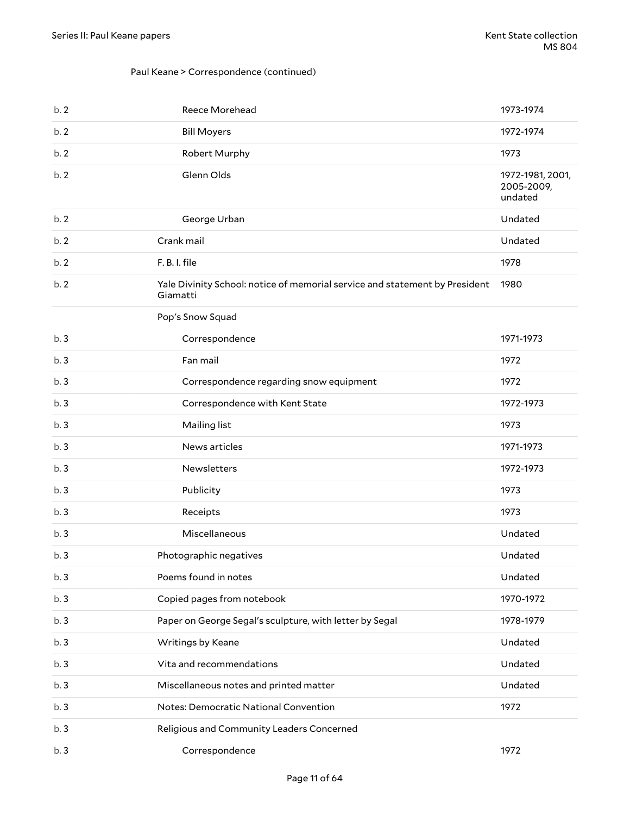### Paul Keane > Correspondence (continued)

| b.2 | Reece Morehead                                                                          | 1973-1974                                 |
|-----|-----------------------------------------------------------------------------------------|-------------------------------------------|
| b.2 | <b>Bill Moyers</b>                                                                      | 1972-1974                                 |
| b.2 | Robert Murphy                                                                           | 1973                                      |
| b.2 | Glenn Olds                                                                              | 1972-1981, 2001,<br>2005-2009,<br>undated |
| b.2 | George Urban                                                                            | Undated                                   |
| b.2 | Crank mail                                                                              | Undated                                   |
| b.2 | F. B. I. file                                                                           | 1978                                      |
| b.2 | Yale Divinity School: notice of memorial service and statement by President<br>Giamatti | 1980                                      |
|     | Pop's Snow Squad                                                                        |                                           |
| b.3 | Correspondence                                                                          | 1971-1973                                 |
| b.3 | Fan mail                                                                                | 1972                                      |
| b.3 | Correspondence regarding snow equipment                                                 | 1972                                      |
| b.3 | Correspondence with Kent State                                                          | 1972-1973                                 |
| b.3 | Mailing list                                                                            | 1973                                      |
| b.3 | News articles                                                                           | 1971-1973                                 |
| b.3 | Newsletters                                                                             | 1972-1973                                 |
| b.3 | Publicity                                                                               | 1973                                      |
| b.3 | Receipts                                                                                | 1973                                      |
| b.3 | Miscellaneous                                                                           | Undated                                   |
| b.3 | Photographic negatives                                                                  | Undated                                   |
| b.3 | Poems found in notes                                                                    | Undated                                   |
| b.3 | Copied pages from notebook                                                              | 1970-1972                                 |
| b.3 | Paper on George Segal's sculpture, with letter by Segal                                 | 1978-1979                                 |
| b.3 | Writings by Keane                                                                       | Undated                                   |
| b.3 | Vita and recommendations                                                                | Undated                                   |
| b.3 | Miscellaneous notes and printed matter                                                  | Undated                                   |
| b.3 | Notes: Democratic National Convention                                                   | 1972                                      |
| b.3 | Religious and Community Leaders Concerned                                               |                                           |
| b.3 | Correspondence                                                                          | 1972                                      |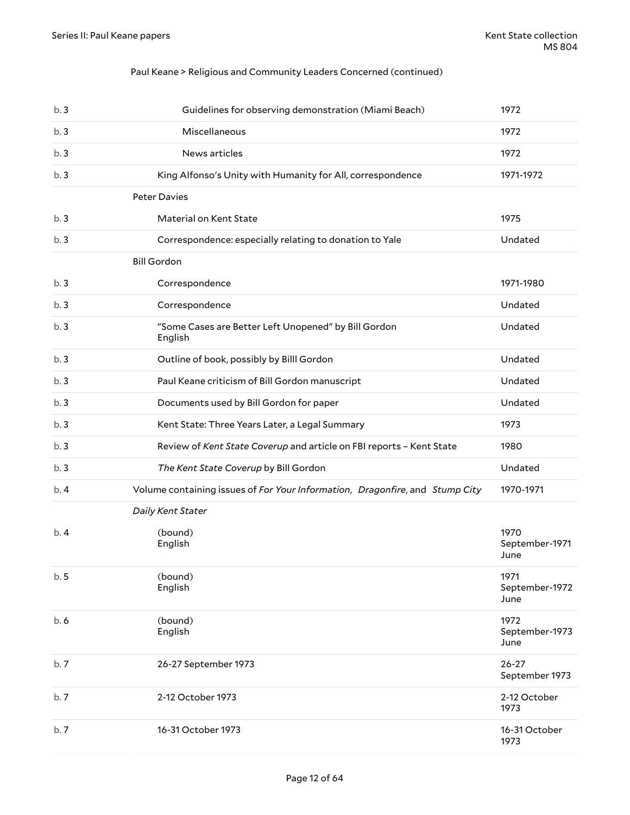### Paul Keane > Religious and Community Leaders Concerned (continued)

| b.3 | Guidelines for observing demonstration (Miami Beach)                         | 1972                           |
|-----|------------------------------------------------------------------------------|--------------------------------|
| b.3 | Miscellaneous                                                                | 1972                           |
| b.3 | News articles                                                                | 1972                           |
| b.3 | King Alfonso's Unity with Humanity for All, correspondence                   | 1971-1972                      |
|     | <b>Peter Davies</b>                                                          |                                |
| b.3 | Material on Kent State                                                       | 1975                           |
| b.3 | Correspondence: especially relating to donation to Yale                      | Undated                        |
|     | <b>Bill Gordon</b>                                                           |                                |
| b.3 | Correspondence                                                               | 1971-1980                      |
| b.3 | Correspondence                                                               | Undated                        |
| b.3 | "Some Cases are Better Left Unopened" by Bill Gordon<br>English              | Undated                        |
| b.3 | Outline of book, possibly by Billl Gordon                                    | Undated                        |
| b.3 | Paul Keane criticism of Bill Gordon manuscript                               | Undated                        |
| b.3 | Documents used by Bill Gordon for paper                                      | Undated                        |
| b.3 | Kent State: Three Years Later, a Legal Summary                               | 1973                           |
| b.3 | Review of Kent State Coverup and article on FBI reports - Kent State         | 1980                           |
| b.3 | The Kent State Coverup by Bill Gordon                                        | Undated                        |
| b.4 | Volume containing issues of For Your Information, Dragonfire, and Stump City | 1970-1971                      |
|     | Daily Kent Stater                                                            |                                |
| b.4 | (bound)<br>English                                                           | 1970<br>September-1971<br>June |
| b.5 | (bound)<br>English                                                           | 1971<br>September-1972<br>June |
| b.6 | (bound)<br>English                                                           | 1972<br>September-1973<br>June |
| b.7 | 26-27 September 1973                                                         | $26 - 27$<br>September 1973    |
|     |                                                                              |                                |
| b.7 | 2-12 October 1973                                                            | 2-12 October<br>1973           |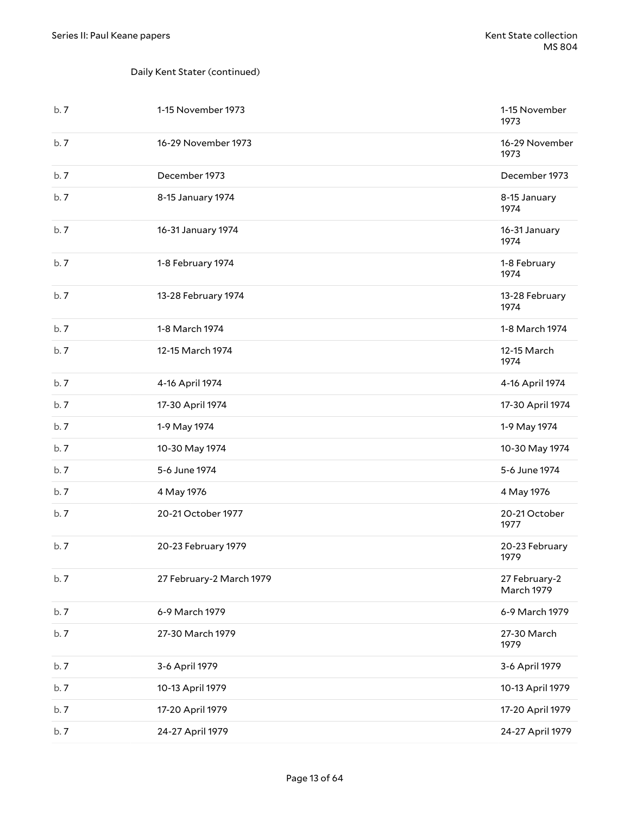### Daily Kent Stater (continued)

| b.7 | 1-15 November 1973       | 1-15 November<br>1973       |
|-----|--------------------------|-----------------------------|
| b.7 | 16-29 November 1973      | 16-29 November<br>1973      |
| b.7 | December 1973            | December 1973               |
| b.7 | 8-15 January 1974        | 8-15 January<br>1974        |
| b.7 | 16-31 January 1974       | 16-31 January<br>1974       |
| b.7 | 1-8 February 1974        | 1-8 February<br>1974        |
| b.7 | 13-28 February 1974      | 13-28 February<br>1974      |
| b.7 | 1-8 March 1974           | 1-8 March 1974              |
| b.7 | 12-15 March 1974         | 12-15 March<br>1974         |
| b.7 | 4-16 April 1974          | 4-16 April 1974             |
| b.7 | 17-30 April 1974         | 17-30 April 1974            |
| b.7 | 1-9 May 1974             | 1-9 May 1974                |
| b.7 | 10-30 May 1974           | 10-30 May 1974              |
| b.7 | 5-6 June 1974            | 5-6 June 1974               |
| b.7 | 4 May 1976               | 4 May 1976                  |
| b.7 | 20-21 October 1977       | 20-21 October<br>1977       |
| b.7 | 20-23 February 1979      | 20-23 February<br>1979      |
| b.7 | 27 February-2 March 1979 | 27 February-2<br>March 1979 |
| b.7 | 6-9 March 1979           | 6-9 March 1979              |
| b.7 | 27-30 March 1979         | 27-30 March<br>1979         |
| b.7 | 3-6 April 1979           | 3-6 April 1979              |
| b.7 | 10-13 April 1979         | 10-13 April 1979            |
| b.7 | 17-20 April 1979         | 17-20 April 1979            |
| b.7 | 24-27 April 1979         | 24-27 April 1979            |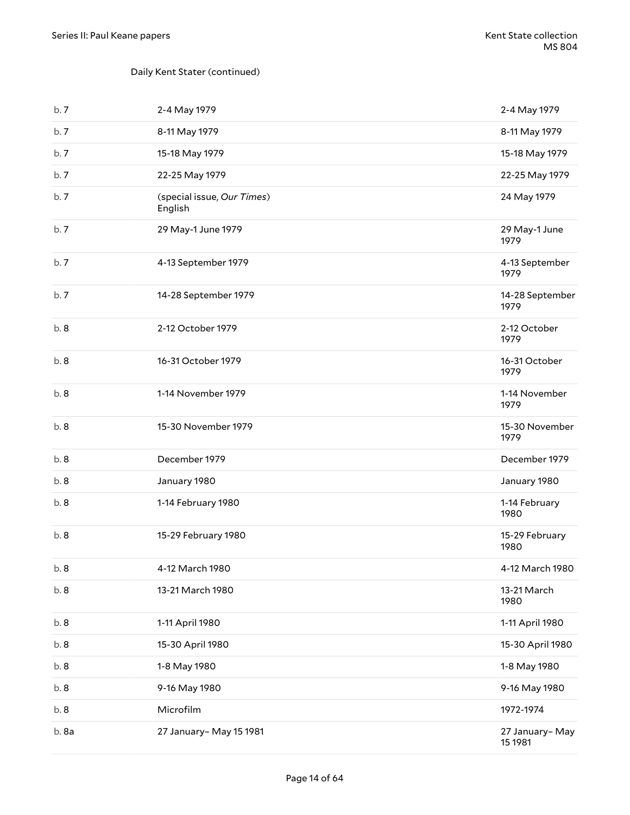### Daily Kent Stater (continued)

| b.7  | 2-4 May 1979                          | 2-4 May 1979              |
|------|---------------------------------------|---------------------------|
| b.7  | 8-11 May 1979                         | 8-11 May 1979             |
| b.7  | 15-18 May 1979                        | 15-18 May 1979            |
| b.7  | 22-25 May 1979                        | 22-25 May 1979            |
| b.7  | (special issue, Our Times)<br>English | 24 May 1979               |
| b.7  | 29 May-1 June 1979                    | 29 May-1 June<br>1979     |
| b.7  | 4-13 September 1979                   | 4-13 September<br>1979    |
| b.7  | 14-28 September 1979                  | 14-28 September<br>1979   |
| b.8  | 2-12 October 1979                     | 2-12 October<br>1979      |
| b.8  | 16-31 October 1979                    | 16-31 October<br>1979     |
| b.8  | 1-14 November 1979                    | 1-14 November<br>1979     |
| b.8  | 15-30 November 1979                   | 15-30 November<br>1979    |
| b.8  | December 1979                         | December 1979             |
| b.8  | January 1980                          | January 1980              |
| b.8  | 1-14 February 1980                    | 1-14 February<br>1980     |
| b.8  | 15-29 February 1980                   | 15-29 February<br>1980    |
| b. 8 | 4-12 March 1980                       | 4-12 March 1980           |
| b. 8 | 13-21 March 1980                      | 13-21 March<br>1980       |
| b.8  | 1-11 April 1980                       | 1-11 April 1980           |
| b. 8 | 15-30 April 1980                      | 15-30 April 1980          |
| b.8  | 1-8 May 1980                          | 1-8 May 1980              |
| b.8  | 9-16 May 1980                         | 9-16 May 1980             |
| b.8  | Microfilm                             | 1972-1974                 |
| b.8a | 27 January- May 15 1981               | 27 January-May<br>15 1981 |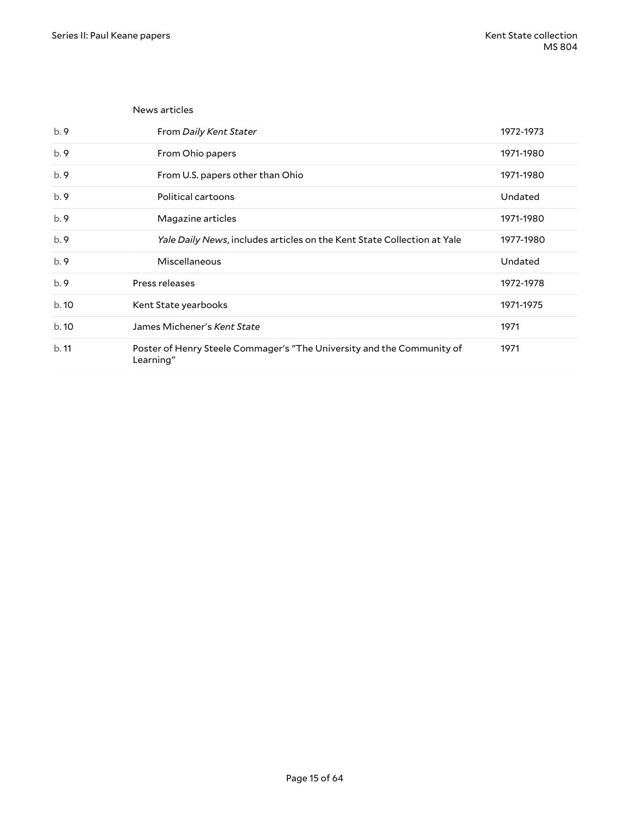|      | News articles                                                                       |           |
|------|-------------------------------------------------------------------------------------|-----------|
| b.9  | From Daily Kent Stater                                                              | 1972-1973 |
| b.9  | From Ohio papers                                                                    | 1971-1980 |
| b.9  | From U.S. papers other than Ohio                                                    | 1971-1980 |
| b.9  | Political cartoons                                                                  | Undated   |
| b.9  | Magazine articles                                                                   | 1971-1980 |
| b.9  | Yale Daily News, includes articles on the Kent State Collection at Yale             | 1977-1980 |
| b.9  | Miscellaneous                                                                       | Undated   |
| b.9  | Press releases                                                                      | 1972-1978 |
| b.10 | Kent State yearbooks                                                                | 1971-1975 |
| b.10 | James Michener's Kent State                                                         | 1971      |
| b.11 | Poster of Henry Steele Commager's "The University and the Community of<br>Learning" | 1971      |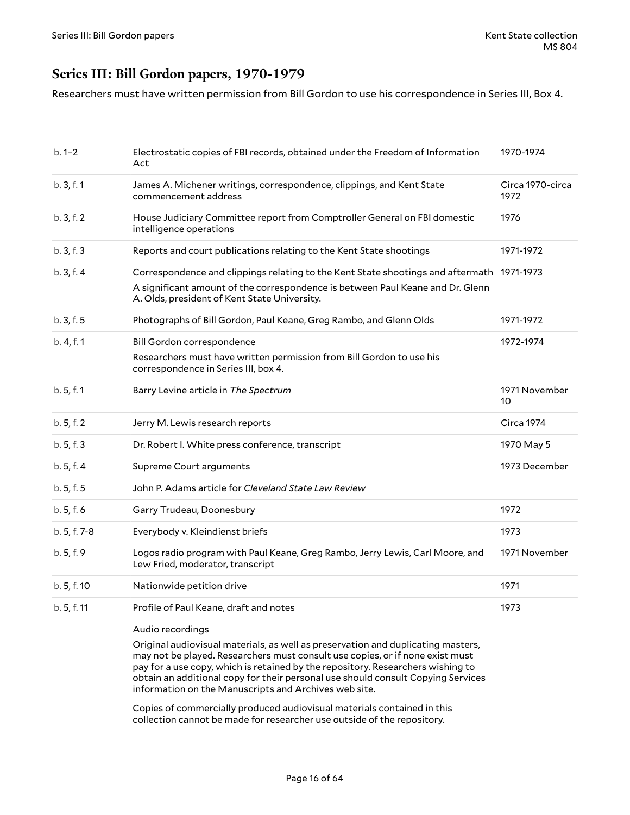### <span id="page-15-0"></span>**Series III: Bill Gordon papers, 1970-1979**

Researchers must have written permission from Bill Gordon to use his correspondence in Series III, Box 4.

| $b.1 - 2$    | Electrostatic copies of FBI records, obtained under the Freedom of Information<br>Act                                                                                                                                       | 1970-1974                |
|--------------|-----------------------------------------------------------------------------------------------------------------------------------------------------------------------------------------------------------------------------|--------------------------|
| b.3, f.1     | James A. Michener writings, correspondence, clippings, and Kent State<br>commencement address                                                                                                                               | Circa 1970-circa<br>1972 |
| b. 3, f. 2   | House Judiciary Committee report from Comptroller General on FBI domestic<br>intelligence operations                                                                                                                        | 1976                     |
| b.3, f.3     | Reports and court publications relating to the Kent State shootings                                                                                                                                                         | 1971-1972                |
| b.3, f.4     | Correspondence and clippings relating to the Kent State shootings and aftermath 1971-1973<br>A significant amount of the correspondence is between Paul Keane and Dr. Glenn<br>A. Olds, president of Kent State University. |                          |
| b.3, f.5     | Photographs of Bill Gordon, Paul Keane, Greg Rambo, and Glenn Olds                                                                                                                                                          | 1971-1972                |
| b. 4, f. 1   | Bill Gordon correspondence                                                                                                                                                                                                  | 1972-1974                |
|              | Researchers must have written permission from Bill Gordon to use his<br>correspondence in Series III, box 4.                                                                                                                |                          |
| b.5, f.1     | Barry Levine article in The Spectrum                                                                                                                                                                                        | 1971 November<br>10      |
| b. 5, f. 2   | Jerry M. Lewis research reports                                                                                                                                                                                             | Circa 1974               |
| b.5, f.3     | Dr. Robert I. White press conference, transcript                                                                                                                                                                            | 1970 May 5               |
| b.5, f.4     | Supreme Court arguments                                                                                                                                                                                                     | 1973 December            |
| b.5, f.5     | John P. Adams article for Cleveland State Law Review                                                                                                                                                                        |                          |
| b.5, f.6     | Garry Trudeau, Doonesbury                                                                                                                                                                                                   | 1972                     |
| b. 5, f. 7-8 | Everybody v. Kleindienst briefs                                                                                                                                                                                             | 1973                     |
| b. 5, f. 9   | Logos radio program with Paul Keane, Greg Rambo, Jerry Lewis, Carl Moore, and<br>Lew Fried, moderator, transcript                                                                                                           | 1971 November            |
| b. 5, f. 10  | Nationwide petition drive                                                                                                                                                                                                   | 1971                     |
| b. 5, f. 11  | Profile of Paul Keane, draft and notes                                                                                                                                                                                      | 1973                     |
|              |                                                                                                                                                                                                                             |                          |

Audio recordings

Original audiovisual materials, as well as preservation and duplicating masters, may not be played. Researchers must consult use copies, or if none exist must pay for a use copy, which is retained by the repository. Researchers wishing to obtain an additional copy for their personal use should consult Copying Services information on the Manuscripts and Archives web site.

Copies of commercially produced audiovisual materials contained in this collection cannot be made for researcher use outside of the repository.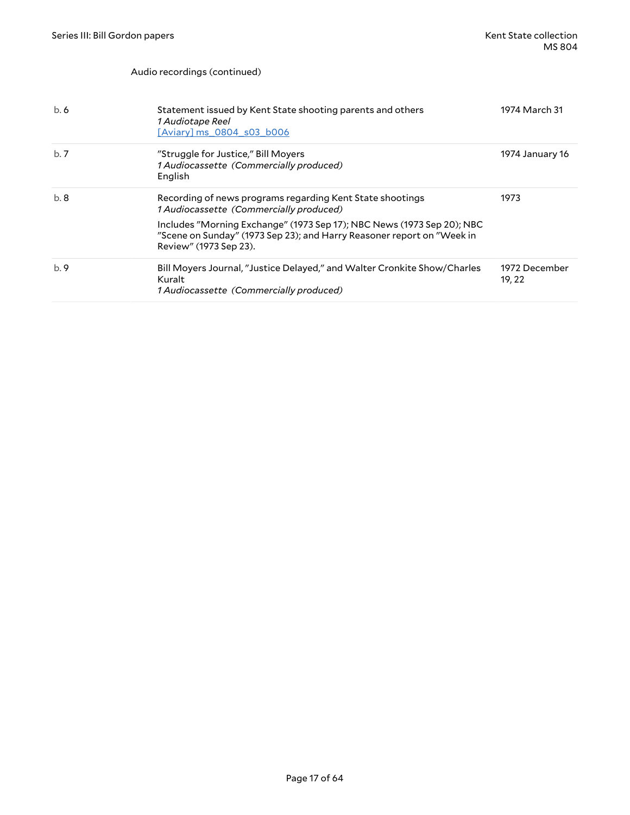#### Audio recordings (continued)

| b.6 | Statement issued by Kent State shooting parents and others<br>1 Audiotape Reel<br>[Aviary] ms 0804 s03 b006                                                                | 1974 March 31           |
|-----|----------------------------------------------------------------------------------------------------------------------------------------------------------------------------|-------------------------|
| b.7 | "Struggle for Justice," Bill Moyers<br>1 Audiocassette (Commercially produced)<br>English                                                                                  | 1974 January 16         |
| b.8 | Recording of news programs regarding Kent State shootings<br>1 Audiocassette (Commercially produced)                                                                       | 1973                    |
|     | Includes "Morning Exchange" (1973 Sep 17); NBC News (1973 Sep 20); NBC<br>"Scene on Sunday" (1973 Sep 23); and Harry Reasoner report on "Week in<br>Review" (1973 Sep 23). |                         |
| b.9 | Bill Moyers Journal, "Justice Delayed," and Walter Cronkite Show/Charles<br>Kuralt<br>1 Audiocassette (Commercially produced)                                              | 1972 December<br>19, 22 |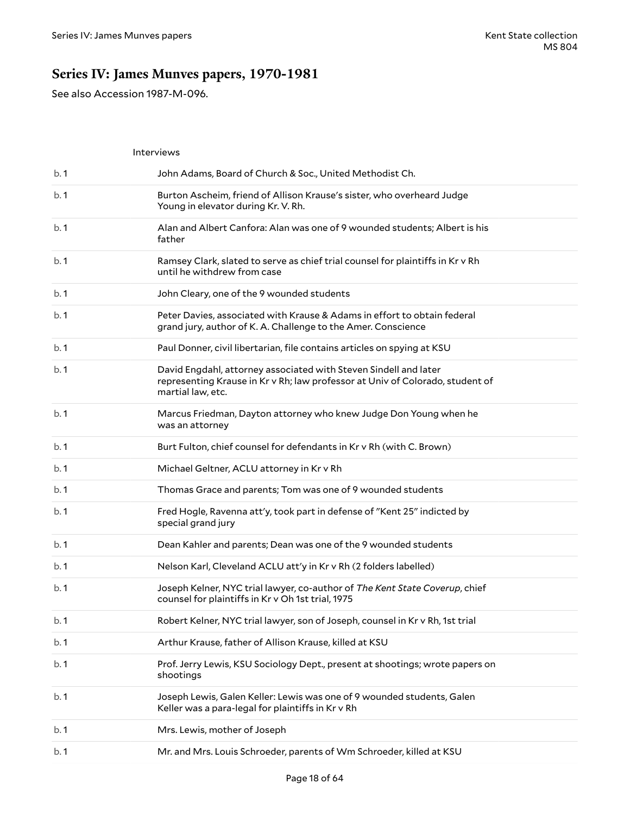## <span id="page-17-0"></span>**Series IV: James Munves papers, 1970-1981**

See also Accession 1987-M-096.

|      | Interviews                                                                                                                                                             |
|------|------------------------------------------------------------------------------------------------------------------------------------------------------------------------|
| b.1  | John Adams, Board of Church & Soc., United Methodist Ch.                                                                                                               |
| b. 1 | Burton Ascheim, friend of Allison Krause's sister, who overheard Judge<br>Young in elevator during Kr. V. Rh.                                                          |
| b.1  | Alan and Albert Canfora: Alan was one of 9 wounded students; Albert is his<br>father                                                                                   |
| b.1  | Ramsey Clark, slated to serve as chief trial counsel for plaintiffs in Kr v Rh<br>until he withdrew from case                                                          |
| b.1  | John Cleary, one of the 9 wounded students                                                                                                                             |
| b.1  | Peter Davies, associated with Krause & Adams in effort to obtain federal<br>grand jury, author of K. A. Challenge to the Amer. Conscience                              |
| b.1  | Paul Donner, civil libertarian, file contains articles on spying at KSU                                                                                                |
| b.1  | David Engdahl, attorney associated with Steven Sindell and later<br>representing Krause in Kr v Rh; law professor at Univ of Colorado, student of<br>martial law, etc. |
| b.1  | Marcus Friedman, Dayton attorney who knew Judge Don Young when he<br>was an attorney                                                                                   |
| b.1  | Burt Fulton, chief counsel for defendants in Kr v Rh (with C. Brown)                                                                                                   |
| b.1  | Michael Geltner, ACLU attorney in Kr v Rh                                                                                                                              |
|      |                                                                                                                                                                        |
| b.1  | Thomas Grace and parents; Tom was one of 9 wounded students                                                                                                            |
| b.1  | Fred Hogle, Ravenna att'y, took part in defense of "Kent 25" indicted by<br>special grand jury                                                                         |
| b.1  | Dean Kahler and parents; Dean was one of the 9 wounded students                                                                                                        |
| b. 1 | Nelson Karl, Cleveland ACLU att'y in Kr v Rh (2 folders labelled)                                                                                                      |
| b.1  | Joseph Kelner, NYC trial lawyer, co-author of The Kent State Coverup, chief<br>counsel for plaintiffs in Kr v Oh 1st trial, 1975                                       |
| b.1  | Robert Kelner, NYC trial lawyer, son of Joseph, counsel in Kr v Rh, 1st trial                                                                                          |
| b.1  | Arthur Krause, father of Allison Krause, killed at KSU                                                                                                                 |
| b.1  | Prof. Jerry Lewis, KSU Sociology Dept., present at shootings; wrote papers on<br>shootings                                                                             |
| b.1  | Joseph Lewis, Galen Keller: Lewis was one of 9 wounded students, Galen<br>Keller was a para-legal for plaintiffs in Kr v Rh                                            |
| b.1  | Mrs. Lewis, mother of Joseph                                                                                                                                           |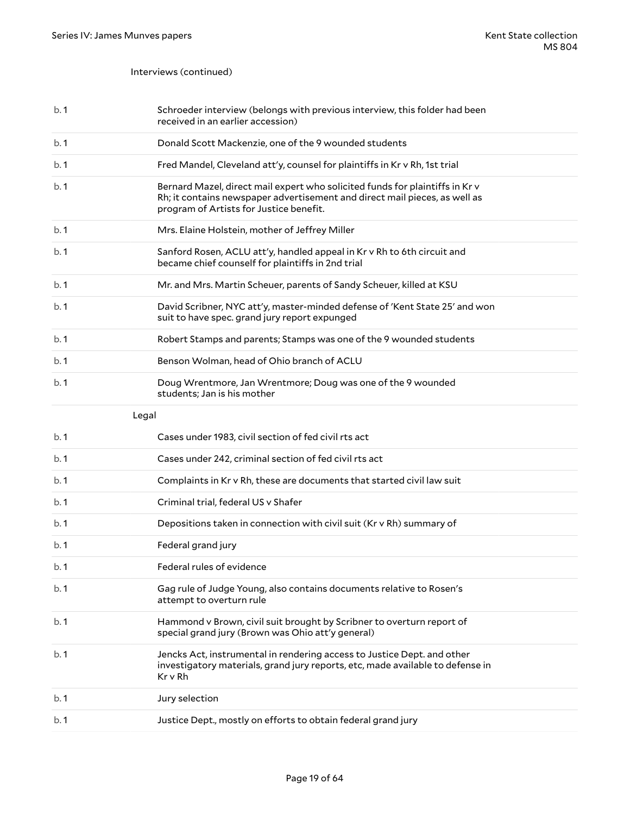### Interviews (continued)

| b.1   | Schroeder interview (belongs with previous interview, this folder had been<br>received in an earlier accession)                                                                                       |
|-------|-------------------------------------------------------------------------------------------------------------------------------------------------------------------------------------------------------|
| b.1   | Donald Scott Mackenzie, one of the 9 wounded students                                                                                                                                                 |
| b.1   | Fred Mandel, Cleveland att'y, counsel for plaintiffs in Kr v Rh, 1st trial                                                                                                                            |
| b.1   | Bernard Mazel, direct mail expert who solicited funds for plaintiffs in Kr v<br>Rh; it contains newspaper advertisement and direct mail pieces, as well as<br>program of Artists for Justice benefit. |
| b.1   | Mrs. Elaine Holstein, mother of Jeffrey Miller                                                                                                                                                        |
| b.1   | Sanford Rosen, ACLU att'y, handled appeal in Kr v Rh to 6th circuit and<br>became chief counself for plaintiffs in 2nd trial                                                                          |
| b.1   | Mr. and Mrs. Martin Scheuer, parents of Sandy Scheuer, killed at KSU                                                                                                                                  |
| b.1   | David Scribner, NYC att'y, master-minded defense of 'Kent State 25' and won<br>suit to have spec. grand jury report expunged                                                                          |
| b.1   | Robert Stamps and parents; Stamps was one of the 9 wounded students                                                                                                                                   |
| b.1   | Benson Wolman, head of Ohio branch of ACLU                                                                                                                                                            |
| b.1   | Doug Wrentmore, Jan Wrentmore; Doug was one of the 9 wounded<br>students; Jan is his mother                                                                                                           |
|       |                                                                                                                                                                                                       |
| Legal |                                                                                                                                                                                                       |
| b.1   | Cases under 1983, civil section of fed civil rts act                                                                                                                                                  |
| b.1   | Cases under 242, criminal section of fed civil rts act                                                                                                                                                |
| b.1   | Complaints in Kr v Rh, these are documents that started civil law suit                                                                                                                                |
| b.1   | Criminal trial, federal US v Shafer                                                                                                                                                                   |
| b.1   | Depositions taken in connection with civil suit (Kr v Rh) summary of                                                                                                                                  |
| b.1   | Federal grand jury                                                                                                                                                                                    |
| b.1   | Federal rules of evidence                                                                                                                                                                             |
| b.1   | Gag rule of Judge Young, also contains documents relative to Rosen's<br>attempt to overturn rule                                                                                                      |
| b.1   | Hammond v Brown, civil suit brought by Scribner to overturn report of<br>special grand jury (Brown was Ohio att'y general)                                                                            |
| b.1   | Jencks Act, instrumental in rendering access to Justice Dept. and other<br>investigatory materials, grand jury reports, etc, made available to defense in<br>Kr v Rh                                  |
| b.1   | Jury selection                                                                                                                                                                                        |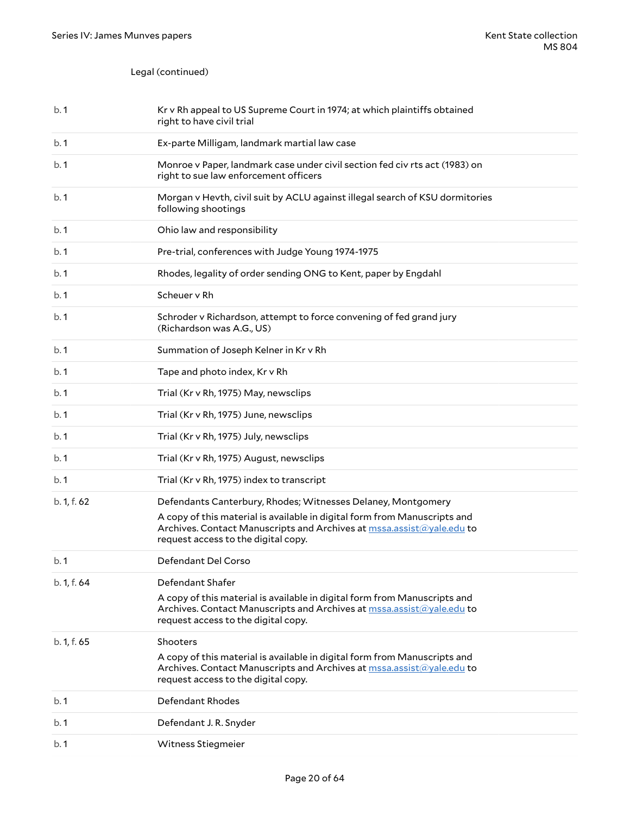### Legal (continued)

| b.1         | Kr v Rh appeal to US Supreme Court in 1974; at which plaintiffs obtained<br>right to have civil trial                                                                                                                                                     |
|-------------|-----------------------------------------------------------------------------------------------------------------------------------------------------------------------------------------------------------------------------------------------------------|
| b.1         | Ex-parte Milligam, landmark martial law case                                                                                                                                                                                                              |
| b. 1        | Monroe v Paper, landmark case under civil section fed civ rts act (1983) on<br>right to sue law enforcement officers                                                                                                                                      |
| b.1         | Morgan v Hevth, civil suit by ACLU against illegal search of KSU dormitories<br>following shootings                                                                                                                                                       |
| b. 1        | Ohio law and responsibility                                                                                                                                                                                                                               |
| b.1         | Pre-trial, conferences with Judge Young 1974-1975                                                                                                                                                                                                         |
| b. 1        | Rhodes, legality of order sending ONG to Kent, paper by Engdahl                                                                                                                                                                                           |
| b. 1        | Scheuer v Rh                                                                                                                                                                                                                                              |
| b. 1        | Schroder v Richardson, attempt to force convening of fed grand jury<br>(Richardson was A.G., US)                                                                                                                                                          |
| b. 1        | Summation of Joseph Kelner in Kr v Rh                                                                                                                                                                                                                     |
| b. 1        | Tape and photo index, Kr v Rh                                                                                                                                                                                                                             |
| b. 1        | Trial (Kr v Rh, 1975) May, newsclips                                                                                                                                                                                                                      |
| b.1         | Trial (Kr v Rh, 1975) June, newsclips                                                                                                                                                                                                                     |
| b.1         | Trial (Kr v Rh, 1975) July, newsclips                                                                                                                                                                                                                     |
| b. 1        | Trial (Kr v Rh, 1975) August, newsclips                                                                                                                                                                                                                   |
| b. 1        | Trial (Kr v Rh, 1975) index to transcript                                                                                                                                                                                                                 |
| b. 1, f. 62 | Defendants Canterbury, Rhodes; Witnesses Delaney, Montgomery<br>A copy of this material is available in digital form from Manuscripts and<br>Archives. Contact Manuscripts and Archives at mssa.assist@yale.edu to<br>request access to the digital copy. |
| b.1         | Defendant Del Corso                                                                                                                                                                                                                                       |
| b.1, f.64   | Defendant Shafer<br>A copy of this material is available in digital form from Manuscripts and<br>Archives. Contact Manuscripts and Archives at $msa.assist@yale.edu$ to<br>request access to the digital copy.                                            |
| b. 1, f. 65 | Shooters<br>A copy of this material is available in digital form from Manuscripts and<br>Archives. Contact Manuscripts and Archives at mssa.assist@yale.edu to<br>request access to the digital copy.                                                     |
| b.1         | Defendant Rhodes                                                                                                                                                                                                                                          |
| b.1         | Defendant J.R. Snyder                                                                                                                                                                                                                                     |
| b. 1        | Witness Stiegmeier                                                                                                                                                                                                                                        |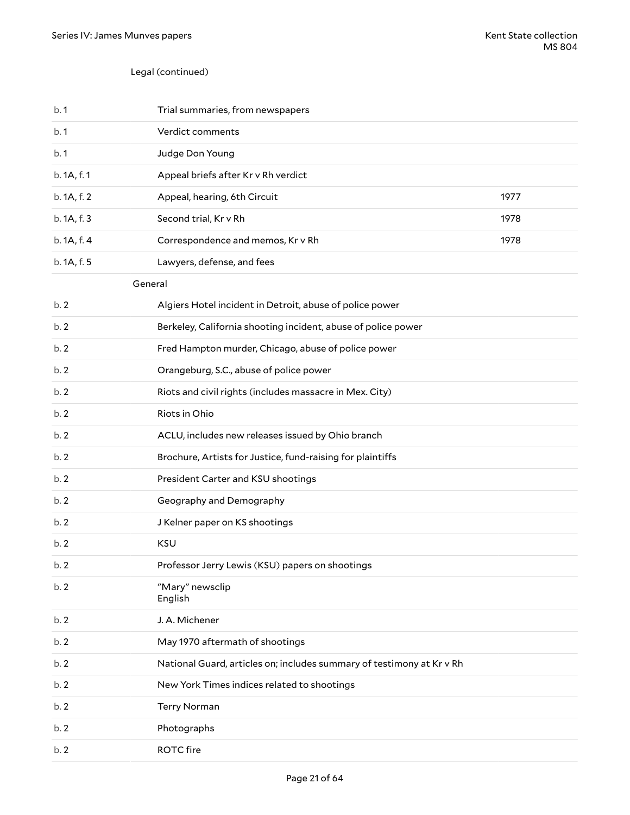### Legal (continued)

| b.1         | Trial summaries, from newspapers                                      |      |
|-------------|-----------------------------------------------------------------------|------|
| b.1         | Verdict comments                                                      |      |
| b.1         | Judge Don Young                                                       |      |
| b. 1A, f. 1 | Appeal briefs after Kr v Rh verdict                                   |      |
| b. 1A, f. 2 | Appeal, hearing, 6th Circuit                                          | 1977 |
| b. 1A, f. 3 | Second trial, Kr v Rh                                                 | 1978 |
| b. 1A, f. 4 | Correspondence and memos, Kr v Rh                                     | 1978 |
| b. 1A, f. 5 | Lawyers, defense, and fees                                            |      |
| General     |                                                                       |      |
| b.2         | Algiers Hotel incident in Detroit, abuse of police power              |      |
| b.2         | Berkeley, California shooting incident, abuse of police power         |      |
| b.2         | Fred Hampton murder, Chicago, abuse of police power                   |      |
| b.2         | Orangeburg, S.C., abuse of police power                               |      |
| b.2         | Riots and civil rights (includes massacre in Mex. City)               |      |
| b.2         | Riots in Ohio                                                         |      |
| b.2         | ACLU, includes new releases issued by Ohio branch                     |      |
| b.2         | Brochure, Artists for Justice, fund-raising for plaintiffs            |      |
| b.2         | President Carter and KSU shootings                                    |      |
| b.2         | Geography and Demography                                              |      |
| b.2         | J Kelner paper on KS shootings                                        |      |
| b.2         | KSU                                                                   |      |
| b.2         | Professor Jerry Lewis (KSU) papers on shootings                       |      |
| b.2         | "Mary" newsclip<br>English                                            |      |
| b.2         | J. A. Michener                                                        |      |
| b.2         | May 1970 aftermath of shootings                                       |      |
| b.2         | National Guard, articles on; includes summary of testimony at Kr v Rh |      |
| b.2         | New York Times indices related to shootings                           |      |
| b.2         | Terry Norman                                                          |      |
| b.2         | Photographs                                                           |      |
| b.2         | <b>ROTC</b> fire                                                      |      |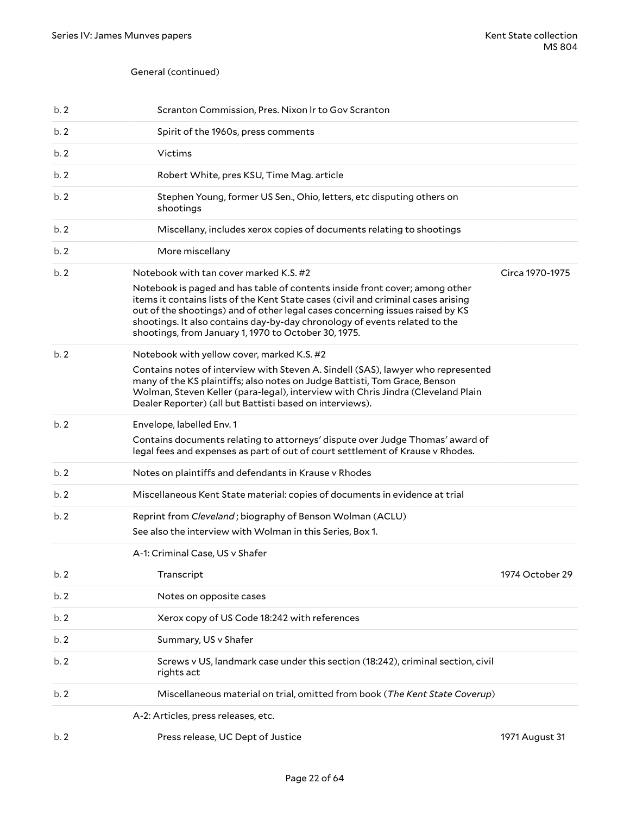### General (continued)

| b.2 | Scranton Commission, Pres. Nixon Ir to Gov Scranton                                                                                                                                                                                                                                                                                                                                     |                 |
|-----|-----------------------------------------------------------------------------------------------------------------------------------------------------------------------------------------------------------------------------------------------------------------------------------------------------------------------------------------------------------------------------------------|-----------------|
| b.2 | Spirit of the 1960s, press comments                                                                                                                                                                                                                                                                                                                                                     |                 |
| b.2 | Victims                                                                                                                                                                                                                                                                                                                                                                                 |                 |
| b.2 | Robert White, pres KSU, Time Mag. article                                                                                                                                                                                                                                                                                                                                               |                 |
| b.2 | Stephen Young, former US Sen., Ohio, letters, etc disputing others on<br>shootings                                                                                                                                                                                                                                                                                                      |                 |
| b.2 | Miscellany, includes xerox copies of documents relating to shootings                                                                                                                                                                                                                                                                                                                    |                 |
| b.2 | More miscellany                                                                                                                                                                                                                                                                                                                                                                         |                 |
| b.2 | Notebook with tan cover marked K.S. #2                                                                                                                                                                                                                                                                                                                                                  | Circa 1970-1975 |
|     | Notebook is paged and has table of contents inside front cover; among other<br>items it contains lists of the Kent State cases (civil and criminal cases arising<br>out of the shootings) and of other legal cases concerning issues raised by KS<br>shootings. It also contains day-by-day chronology of events related to the<br>shootings, from January 1, 1970 to October 30, 1975. |                 |
| b.2 | Notebook with yellow cover, marked K.S. #2                                                                                                                                                                                                                                                                                                                                              |                 |
|     | Contains notes of interview with Steven A. Sindell (SAS), lawyer who represented<br>many of the KS plaintiffs; also notes on Judge Battisti, Tom Grace, Benson<br>Wolman, Steven Keller (para-legal), interview with Chris Jindra (Cleveland Plain<br>Dealer Reporter) (all but Battisti based on interviews).                                                                          |                 |
| b.2 | Envelope, labelled Env. 1                                                                                                                                                                                                                                                                                                                                                               |                 |
|     | Contains documents relating to attorneys' dispute over Judge Thomas' award of<br>legal fees and expenses as part of out of court settlement of Krause v Rhodes.                                                                                                                                                                                                                         |                 |
| b.2 | Notes on plaintiffs and defendants in Krause v Rhodes                                                                                                                                                                                                                                                                                                                                   |                 |
| b.2 | Miscellaneous Kent State material: copies of documents in evidence at trial                                                                                                                                                                                                                                                                                                             |                 |
| b.2 | Reprint from Cleveland; biography of Benson Wolman (ACLU)                                                                                                                                                                                                                                                                                                                               |                 |
|     | See also the interview with Wolman in this Series, Box 1.                                                                                                                                                                                                                                                                                                                               |                 |
|     | A-1: Criminal Case, US v Shafer                                                                                                                                                                                                                                                                                                                                                         |                 |
| b.2 | Transcript                                                                                                                                                                                                                                                                                                                                                                              | 1974 October 29 |
|     |                                                                                                                                                                                                                                                                                                                                                                                         |                 |
| b.2 | Notes on opposite cases                                                                                                                                                                                                                                                                                                                                                                 |                 |
| b.2 | Xerox copy of US Code 18:242 with references                                                                                                                                                                                                                                                                                                                                            |                 |
| b.2 | Summary, US v Shafer                                                                                                                                                                                                                                                                                                                                                                    |                 |
| b.2 | Screws v US, landmark case under this section (18:242), criminal section, civil<br>rights act                                                                                                                                                                                                                                                                                           |                 |
| b.2 | Miscellaneous material on trial, omitted from book (The Kent State Coverup)                                                                                                                                                                                                                                                                                                             |                 |
|     | A-2: Articles, press releases, etc.                                                                                                                                                                                                                                                                                                                                                     |                 |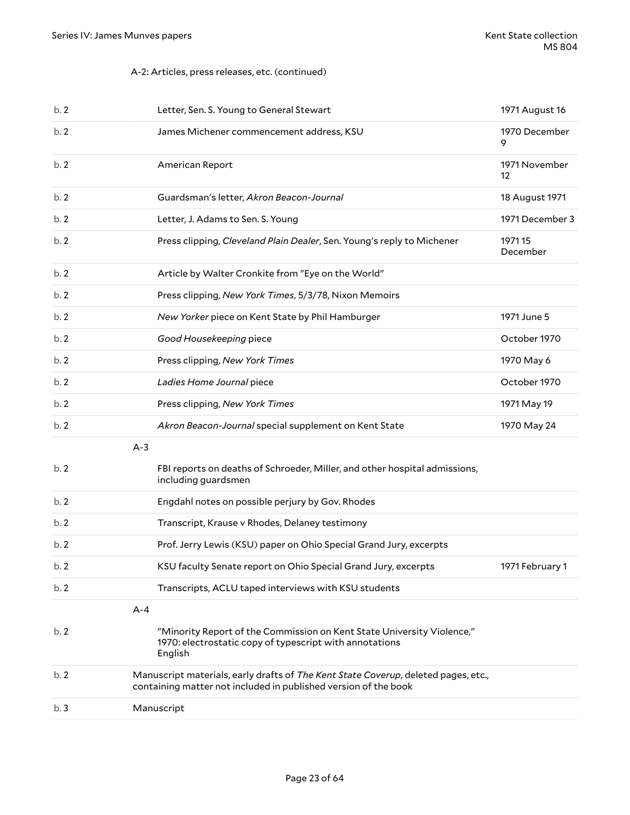### A-2: Articles, press releases, etc. (continued)

| b.2 | Letter, Sen. S. Young to General Stewart                                                                                                              | 1971 August 16      |
|-----|-------------------------------------------------------------------------------------------------------------------------------------------------------|---------------------|
| b.2 | James Michener commencement address, KSU                                                                                                              | 1970 December<br>9  |
| b.2 | American Report                                                                                                                                       | 1971 November<br>12 |
| b.2 | Guardsman's letter, Akron Beacon-Journal                                                                                                              | 18 August 1971      |
| b.2 | Letter, J. Adams to Sen. S. Young                                                                                                                     | 1971 December 3     |
| b.2 | Press clipping, Cleveland Plain Dealer, Sen. Young's reply to Michener                                                                                | 197115<br>December  |
| b.2 | Article by Walter Cronkite from "Eye on the World"                                                                                                    |                     |
| b.2 | Press clipping, New York Times, 5/3/78, Nixon Memoirs                                                                                                 |                     |
| b.2 | New Yorker piece on Kent State by Phil Hamburger                                                                                                      | 1971 June 5         |
| b.2 | Good Housekeeping piece                                                                                                                               | October 1970        |
| b.2 | Press clipping, New York Times                                                                                                                        | 1970 May 6          |
| b.2 | Ladies Home Journal piece                                                                                                                             | October 1970        |
| b.2 | Press clipping, New York Times                                                                                                                        | 1971 May 19         |
| b.2 | Akron Beacon-Journal special supplement on Kent State                                                                                                 | 1970 May 24         |
|     | $A-3$                                                                                                                                                 |                     |
| b.2 | FBI reports on deaths of Schroeder, Miller, and other hospital admissions,<br>including guardsmen                                                     |                     |
| b.2 | Engdahl notes on possible perjury by Gov. Rhodes                                                                                                      |                     |
| b.2 | Transcript, Krause v Rhodes, Delaney testimony                                                                                                        |                     |
| b.2 | Prof. Jerry Lewis (KSU) paper on Ohio Special Grand Jury, excerpts                                                                                    |                     |
| b.2 | KSU faculty Senate report on Ohio Special Grand Jury, excerpts                                                                                        | 1971 February 1     |
| b.2 | Transcripts, ACLU taped interviews with KSU students                                                                                                  |                     |
|     | $A - 4$                                                                                                                                               |                     |
| b.2 | "Minority Report of the Commission on Kent State University Violence,"<br>1970: electrostatic copy of typescript with annotations<br>English          |                     |
| b.2 | Manuscript materials, early drafts of The Kent State Coverup, deleted pages, etc.,<br>containing matter not included in published version of the book |                     |
| b.3 | Manuscript                                                                                                                                            |                     |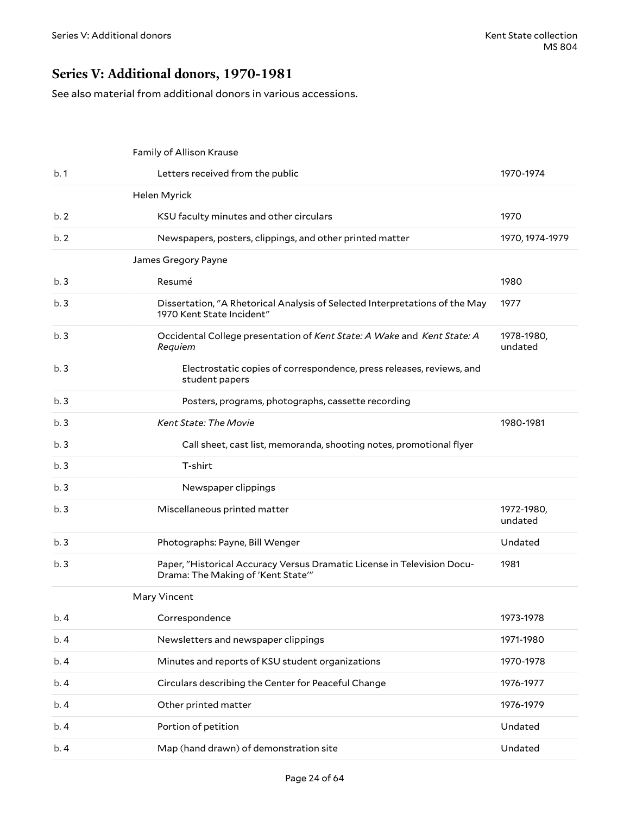### <span id="page-23-0"></span>**Series V: Additional donors, 1970-1981**

See also material from additional donors in various accessions.

|      | Family of Allison Krause                                                                                      |                       |
|------|---------------------------------------------------------------------------------------------------------------|-----------------------|
| b.1  | Letters received from the public                                                                              | 1970-1974             |
|      | Helen Myrick                                                                                                  |                       |
| b.2  | KSU faculty minutes and other circulars                                                                       | 1970                  |
| b.2  | Newspapers, posters, clippings, and other printed matter                                                      | 1970, 1974-1979       |
|      | James Gregory Payne                                                                                           |                       |
| b.3  | Resumé                                                                                                        | 1980                  |
| b.3  | Dissertation, "A Rhetorical Analysis of Selected Interpretations of the May<br>1970 Kent State Incident"      | 1977                  |
| b.3  | Occidental College presentation of Kent State: A Wake and Kent State: A<br>Requiem                            | 1978-1980,<br>undated |
| b.3  | Electrostatic copies of correspondence, press releases, reviews, and<br>student papers                        |                       |
| b.3  | Posters, programs, photographs, cassette recording                                                            |                       |
| b.3  | <b>Kent State: The Movie</b>                                                                                  | 1980-1981             |
| b.3  | Call sheet, cast list, memoranda, shooting notes, promotional flyer                                           |                       |
| b.3  | T-shirt                                                                                                       |                       |
| b.3  | Newspaper clippings                                                                                           |                       |
| b.3  | Miscellaneous printed matter                                                                                  | 1972-1980,<br>undated |
| b.3  | Photographs: Payne, Bill Wenger                                                                               | Undated               |
| b.3  | Paper, "Historical Accuracy Versus Dramatic License in Television Docu-<br>Drama: The Making of 'Kent State'" | 1981                  |
|      | Mary Vincent                                                                                                  |                       |
| b. 4 | Correspondence                                                                                                | 1973-1978             |
| b. 4 | Newsletters and newspaper clippings                                                                           | 1971-1980             |
| b.4  | Minutes and reports of KSU student organizations                                                              | 1970-1978             |
| b.4  | Circulars describing the Center for Peaceful Change                                                           | 1976-1977             |
| b.4  | Other printed matter                                                                                          | 1976-1979             |
| b.4  | Portion of petition                                                                                           | Undated               |
| b.4  | Map (hand drawn) of demonstration site                                                                        | Undated               |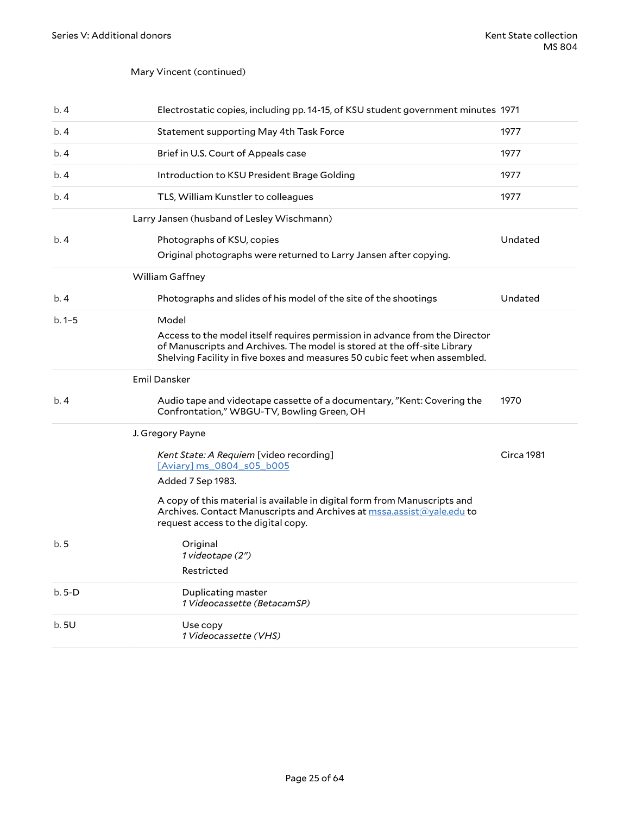### Mary Vincent (continued)

| b.4       | Electrostatic copies, including pp. 14-15, of KSU student government minutes 1971                                                                                                                                                              |            |
|-----------|------------------------------------------------------------------------------------------------------------------------------------------------------------------------------------------------------------------------------------------------|------------|
| b.4       | Statement supporting May 4th Task Force                                                                                                                                                                                                        | 1977       |
| b. 4      | Brief in U.S. Court of Appeals case                                                                                                                                                                                                            | 1977       |
| b. 4      | Introduction to KSU President Brage Golding                                                                                                                                                                                                    | 1977       |
| b.4       | TLS, William Kunstler to colleagues                                                                                                                                                                                                            | 1977       |
|           | Larry Jansen (husband of Lesley Wischmann)                                                                                                                                                                                                     |            |
| b.4       | Photographs of KSU, copies<br>Original photographs were returned to Larry Jansen after copying.                                                                                                                                                | Undated    |
|           | William Gaffney                                                                                                                                                                                                                                |            |
| b.4       | Photographs and slides of his model of the site of the shootings                                                                                                                                                                               | Undated    |
| $b.1 - 5$ | Model<br>Access to the model itself requires permission in advance from the Director<br>of Manuscripts and Archives. The model is stored at the off-site Library<br>Shelving Facility in five boxes and measures 50 cubic feet when assembled. |            |
|           | <b>Emil Dansker</b>                                                                                                                                                                                                                            |            |
| b.4       | Audio tape and videotape cassette of a documentary, "Kent: Covering the<br>Confrontation," WBGU-TV, Bowling Green, OH                                                                                                                          | 1970       |
|           | J. Gregory Payne                                                                                                                                                                                                                               |            |
|           | Kent State: A Requiem [video recording]<br>[Aviary] ms 0804 s05 b005<br>Added 7 Sep 1983.                                                                                                                                                      | Circa 1981 |
|           | A copy of this material is available in digital form from Manuscripts and<br>Archives. Contact Manuscripts and Archives at mssa.assist@yale.edu to<br>request access to the digital copy.                                                      |            |
| b.5       | Original<br>1 videotape (2")<br>Restricted                                                                                                                                                                                                     |            |
| $b.5-D$   | Duplicating master<br>1 Videocassette (BetacamSP)                                                                                                                                                                                              |            |
| b.5U      | Use copy<br>1 Videocassette (VHS)                                                                                                                                                                                                              |            |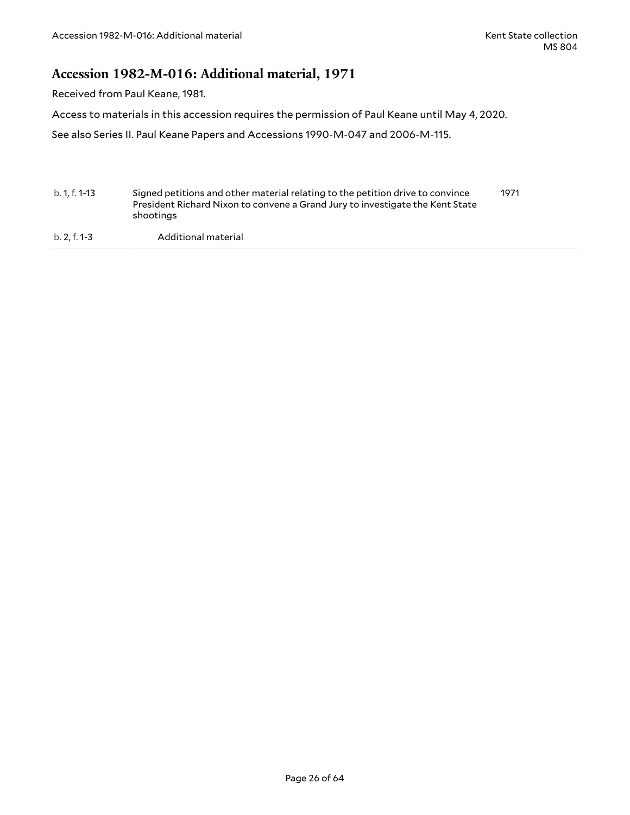### <span id="page-25-0"></span>**Accession 1982-M-016: Additional material, 1971**

Received from Paul Keane, 1981.

Access to materials in this accession requires the permission of Paul Keane until May 4, 2020.

See also Series II. Paul Keane Papers and Accessions 1990-M-047 and 2006-M-115.

b. 1, f. 1-13 Signed petitions and other material relating to the petition drive to convince President Richard Nixon to convene a Grand Jury to investigate the Kent State shootings 1971

b. 2, f. 1-3 Additional material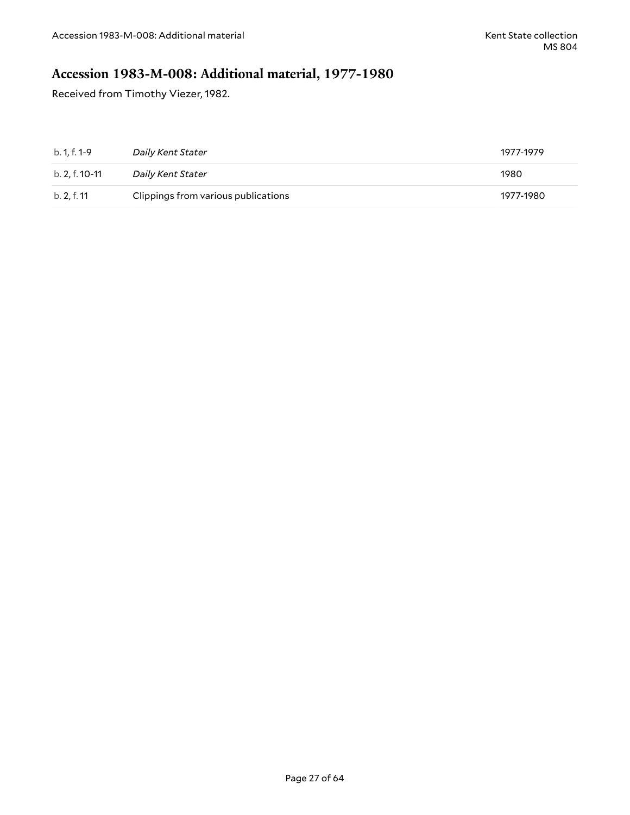## <span id="page-26-0"></span>**Accession 1983-M-008: Additional material, 1977-1980**

Received from Timothy Viezer, 1982.

| b. 1, f. 1-9   | Daily Kent Stater                   | 1977-1979 |
|----------------|-------------------------------------|-----------|
| b. 2. f. 10-11 | Daily Kent Stater                   | 1980      |
| b. 2, f. 11    | Clippings from various publications | 1977-1980 |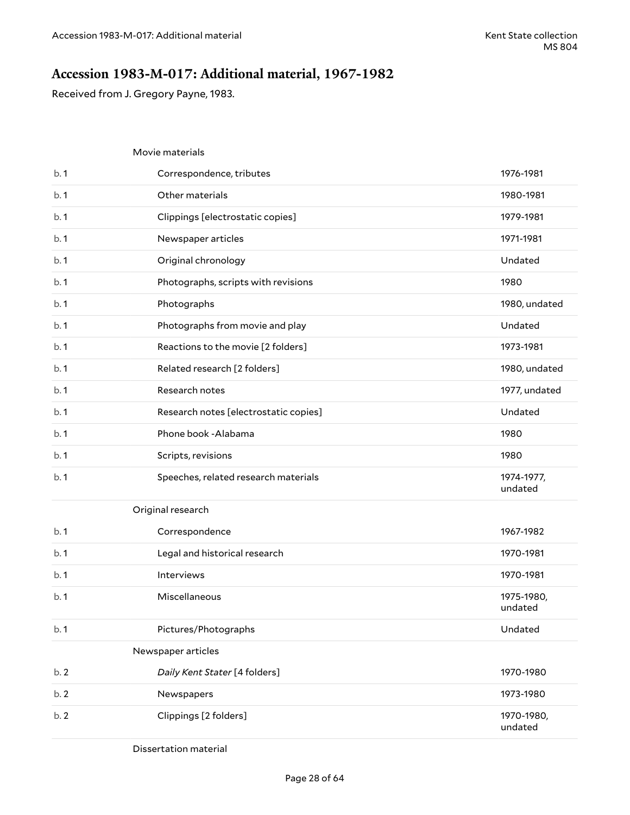### <span id="page-27-0"></span>**Accession 1983-M-017: Additional material, 1967-1982**

Received from J. Gregory Payne, 1983.

|      | Movie materials                       |                       |
|------|---------------------------------------|-----------------------|
| b.1  | Correspondence, tributes              | 1976-1981             |
| b.1  | Other materials                       | 1980-1981             |
| b.1  | Clippings [electrostatic copies]      | 1979-1981             |
| b.1  | Newspaper articles                    | 1971-1981             |
| b.1  | Original chronology                   | Undated               |
| b.1  | Photographs, scripts with revisions   | 1980                  |
| b.1  | Photographs                           | 1980, undated         |
| b.1  | Photographs from movie and play       | Undated               |
| b.1  | Reactions to the movie [2 folders]    | 1973-1981             |
| b.1  | Related research [2 folders]          | 1980, undated         |
| b.1  | Research notes                        | 1977, undated         |
| b.1  | Research notes [electrostatic copies] | Undated               |
| b.1  | Phone book - Alabama                  | 1980                  |
| b.1  | Scripts, revisions                    | 1980                  |
| b.1  | Speeches, related research materials  | 1974-1977,<br>undated |
|      | Original research                     |                       |
| b. 1 | Correspondence                        | 1967-1982             |
| b.1  | Legal and historical research         | 1970-1981             |
| b.1  | Interviews                            | 1970-1981             |
| b.1  | Miscellaneous                         | 1975-1980,<br>undated |
| b.1  | Pictures/Photographs                  | Undated               |
|      | Newspaper articles                    |                       |
| b.2  | Daily Kent Stater [4 folders]         | 1970-1980             |
| b.2  | Newspapers                            | 1973-1980             |
| b.2  | Clippings [2 folders]                 | 1970-1980,<br>undated |

Dissertation material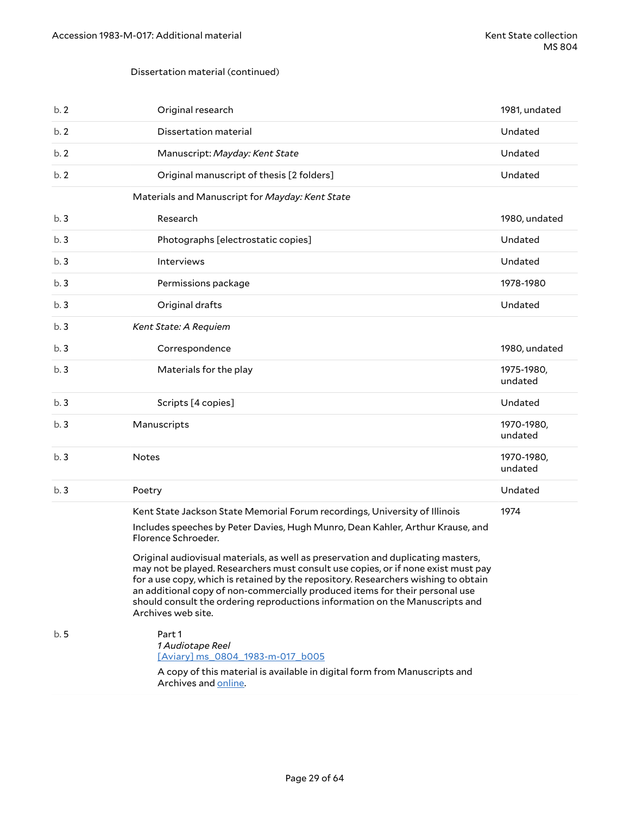#### Dissertation material (continued)

| b.2 | Original research                                                                                                                                                                                                                                                                                                                                                                                                                                 | 1981, undated         |
|-----|---------------------------------------------------------------------------------------------------------------------------------------------------------------------------------------------------------------------------------------------------------------------------------------------------------------------------------------------------------------------------------------------------------------------------------------------------|-----------------------|
| b.2 | Dissertation material                                                                                                                                                                                                                                                                                                                                                                                                                             | Undated               |
| b.2 | Manuscript: Mayday: Kent State                                                                                                                                                                                                                                                                                                                                                                                                                    | Undated               |
| b.2 | Original manuscript of thesis [2 folders]                                                                                                                                                                                                                                                                                                                                                                                                         | Undated               |
|     | Materials and Manuscript for Mayday: Kent State                                                                                                                                                                                                                                                                                                                                                                                                   |                       |
| b.3 | Research                                                                                                                                                                                                                                                                                                                                                                                                                                          | 1980, undated         |
| b.3 | Photographs [electrostatic copies]                                                                                                                                                                                                                                                                                                                                                                                                                | Undated               |
| b.3 | Interviews                                                                                                                                                                                                                                                                                                                                                                                                                                        | Undated               |
| b.3 | Permissions package                                                                                                                                                                                                                                                                                                                                                                                                                               | 1978-1980             |
| b.3 | Original drafts                                                                                                                                                                                                                                                                                                                                                                                                                                   | Undated               |
| b.3 | Kent State: A Requiem                                                                                                                                                                                                                                                                                                                                                                                                                             |                       |
| b.3 | Correspondence                                                                                                                                                                                                                                                                                                                                                                                                                                    | 1980, undated         |
| b.3 | Materials for the play                                                                                                                                                                                                                                                                                                                                                                                                                            | 1975-1980,<br>undated |
| b.3 | Scripts [4 copies]                                                                                                                                                                                                                                                                                                                                                                                                                                | Undated               |
| b.3 | Manuscripts                                                                                                                                                                                                                                                                                                                                                                                                                                       | 1970-1980,<br>undated |
| b.3 | <b>Notes</b>                                                                                                                                                                                                                                                                                                                                                                                                                                      | 1970-1980,<br>undated |
| b.3 | Poetry                                                                                                                                                                                                                                                                                                                                                                                                                                            | Undated               |
|     | Kent State Jackson State Memorial Forum recordings, University of Illinois<br>Includes speeches by Peter Davies, Hugh Munro, Dean Kahler, Arthur Krause, and<br>Florence Schroeder.                                                                                                                                                                                                                                                               | 1974                  |
|     | Original audiovisual materials, as well as preservation and duplicating masters,<br>may not be played. Researchers must consult use copies, or if none exist must pay<br>for a use copy, which is retained by the repository. Researchers wishing to obtain<br>an additional copy of non-commercially produced items for their personal use<br>should consult the ordering reproductions information on the Manuscripts and<br>Archives web site. |                       |
| b.5 | Part 1<br>1 Audiotape Reel<br>[Aviary] ms 0804 1983-m-017 b005<br>A copy of this material is available in digital form from Manuscripts and                                                                                                                                                                                                                                                                                                       |                       |
|     | Archives and online.                                                                                                                                                                                                                                                                                                                                                                                                                              |                       |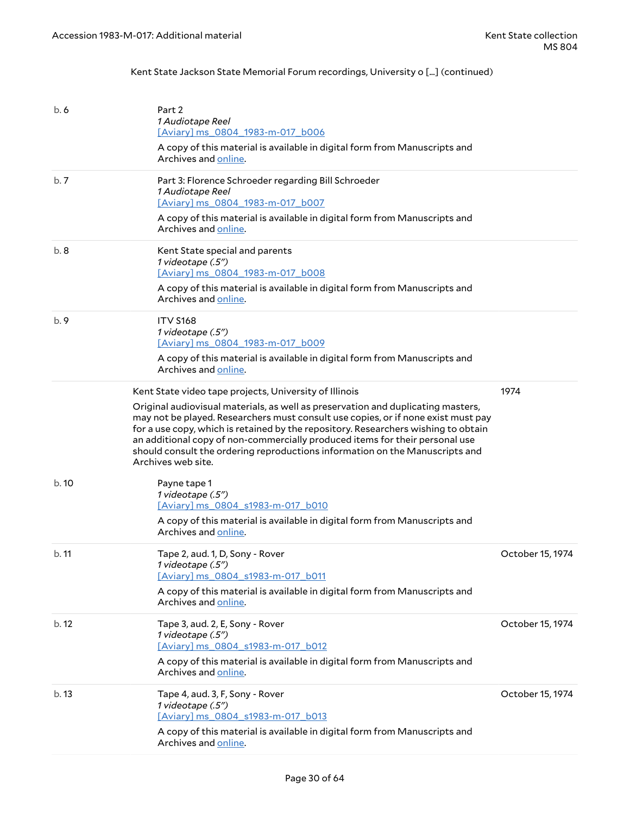### Kent State Jackson State Memorial Forum recordings, University o [...] (continued)

| b.6   | Part 2<br><i>1 Audiotape Reel</i><br>[Aviary] ms 0804 1983-m-017 b006<br>A copy of this material is available in digital form from Manuscripts and<br>Archives and online.                                                                                                                                                                                                                                                                                                                                  |                  |
|-------|-------------------------------------------------------------------------------------------------------------------------------------------------------------------------------------------------------------------------------------------------------------------------------------------------------------------------------------------------------------------------------------------------------------------------------------------------------------------------------------------------------------|------------------|
| b.7   | Part 3: Florence Schroeder regarding Bill Schroeder<br>1 Audiotape Reel<br>[Aviary] ms 0804 1983-m-017 b007<br>A copy of this material is available in digital form from Manuscripts and<br>Archives and online.                                                                                                                                                                                                                                                                                            |                  |
| b.8   | Kent State special and parents<br>1 videotape (.5")<br>[Aviary] ms 0804 1983-m-017 b008<br>A copy of this material is available in digital form from Manuscripts and<br>Archives and online.                                                                                                                                                                                                                                                                                                                |                  |
| b.9   | <b>ITV S168</b><br>1 videotape (.5")<br>[Aviary] ms 0804 1983-m-017 b009<br>A copy of this material is available in digital form from Manuscripts and<br>Archives and online.                                                                                                                                                                                                                                                                                                                               |                  |
|       | Kent State video tape projects, University of Illinois<br>Original audiovisual materials, as well as preservation and duplicating masters,<br>may not be played. Researchers must consult use copies, or if none exist must pay<br>for a use copy, which is retained by the repository. Researchers wishing to obtain<br>an additional copy of non-commercially produced items for their personal use<br>should consult the ordering reproductions information on the Manuscripts and<br>Archives web site. | 1974             |
| b.10  | Payne tape 1<br>1 videotape (.5")<br>[Aviary] ms 0804 s1983-m-017 b010<br>A copy of this material is available in digital form from Manuscripts and<br>Archives and online.                                                                                                                                                                                                                                                                                                                                 |                  |
| b. 11 | Tape 2, aud. 1, D, Sony - Rover<br>1 videotape (.5")<br>[Aviary] ms 0804 s1983-m-017 b011<br>A copy of this material is available in digital form from Manuscripts and<br>Archives and online.                                                                                                                                                                                                                                                                                                              | October 15, 1974 |
| b.12  | Tape 3, aud. 2, E, Sony - Rover<br>1 videotape (.5")<br>[Aviary] ms 0804 s1983-m-017 b012<br>A copy of this material is available in digital form from Manuscripts and<br>Archives and online.                                                                                                                                                                                                                                                                                                              | October 15, 1974 |
| b.13  | Tape 4, aud. 3, F, Sony - Rover<br>1 videotape (.5")<br>[Aviary] ms 0804 s1983-m-017 b013<br>A copy of this material is available in digital form from Manuscripts and<br>Archives and online.                                                                                                                                                                                                                                                                                                              | October 15, 1974 |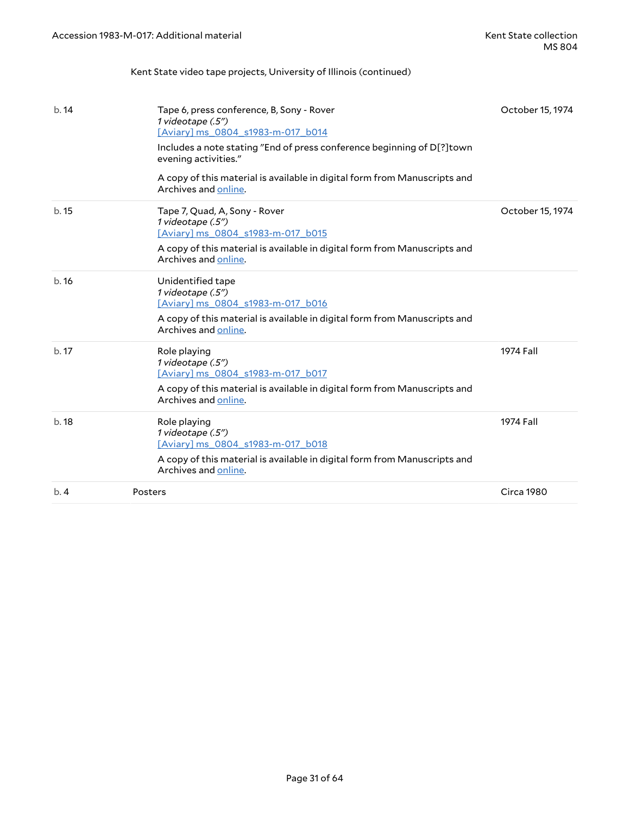### Kent State video tape projects, University of Illinois (continued)

| b.14 | Tape 6, press conference, B, Sony - Rover<br>1 videotape (.5")<br>[Aviary] ms 0804 s1983-m-017 b014<br>Includes a note stating "End of press conference beginning of D[?] town<br>evening activities."<br>A copy of this material is available in digital form from Manuscripts and<br>Archives and online. | October 15, 1974 |
|------|-------------------------------------------------------------------------------------------------------------------------------------------------------------------------------------------------------------------------------------------------------------------------------------------------------------|------------------|
| b.15 | Tape 7, Quad, A, Sony - Rover<br>1 videotape (.5")<br>[Aviary] ms 0804 s1983-m-017 b015<br>A copy of this material is available in digital form from Manuscripts and<br>Archives and online.                                                                                                                | October 15, 1974 |
| b.16 | Unidentified tape<br>1 videotape (.5")<br>[Aviary] ms 0804 s1983-m-017 b016<br>A copy of this material is available in digital form from Manuscripts and<br>Archives and online.                                                                                                                            |                  |
| b.17 | Role playing<br>1 videotape (.5")<br>[Aviary] ms 0804 s1983-m-017 b017<br>A copy of this material is available in digital form from Manuscripts and<br>Archives and online.                                                                                                                                 | 1974 Fall        |
| b.18 | Role playing<br>1 videotape (.5")<br>[Aviary] ms 0804 s1983-m-017 b018<br>A copy of this material is available in digital form from Manuscripts and<br>Archives and online.                                                                                                                                 | 1974 Fall        |
| b.4  | Posters                                                                                                                                                                                                                                                                                                     | Circa 1980       |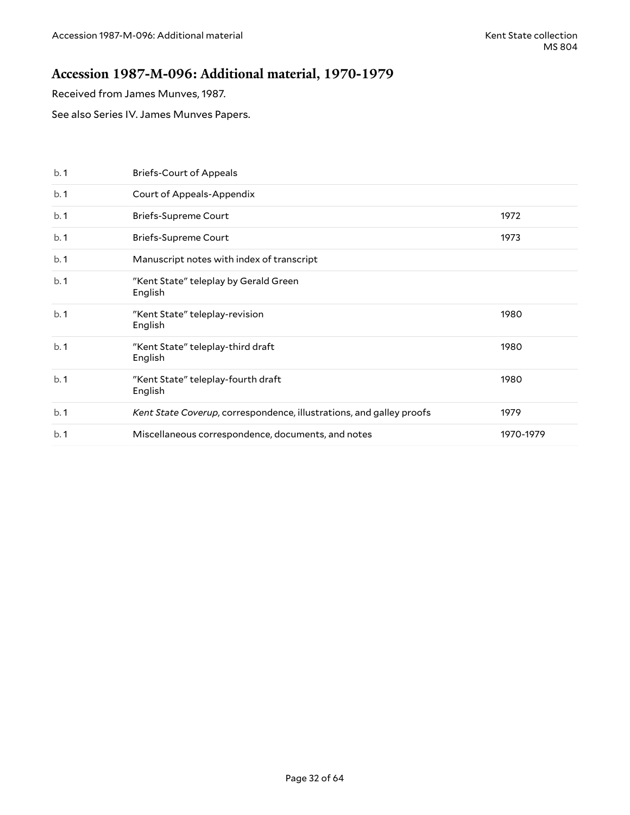### <span id="page-31-0"></span>**Accession 1987-M-096: Additional material, 1970-1979**

Received from James Munves, 1987.

See also Series IV. James Munves Papers.

| b.1 | <b>Briefs-Court of Appeals</b>                                       |           |
|-----|----------------------------------------------------------------------|-----------|
| b.1 | <b>Court of Appeals-Appendix</b>                                     |           |
| b.1 | <b>Briefs-Supreme Court</b>                                          | 1972      |
| b.1 | <b>Briefs-Supreme Court</b>                                          | 1973      |
| b.1 | Manuscript notes with index of transcript                            |           |
| b.1 | "Kent State" teleplay by Gerald Green<br>English                     |           |
| b.1 | "Kent State" teleplay-revision<br>English                            | 1980      |
| b.1 | "Kent State" teleplay-third draft<br>English                         | 1980      |
| b.1 | "Kent State" teleplay-fourth draft<br>English                        | 1980      |
| b.1 | Kent State Coverup, correspondence, illustrations, and galley proofs | 1979      |
| b.1 | Miscellaneous correspondence, documents, and notes                   | 1970-1979 |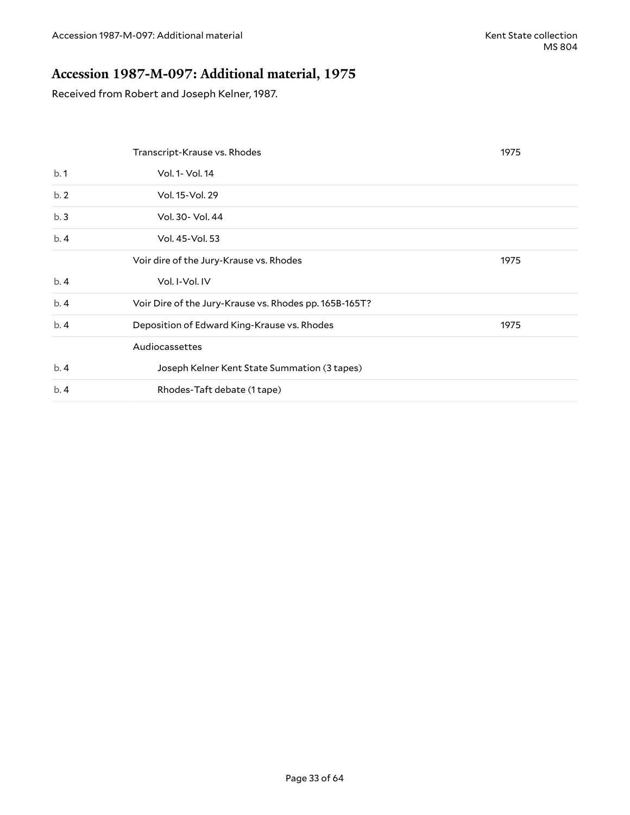## <span id="page-32-0"></span>**Accession 1987-M-097: Additional material, 1975**

Received from Robert and Joseph Kelner, 1987.

|     | Transcript-Krause vs. Rhodes                           | 1975 |
|-----|--------------------------------------------------------|------|
| b.1 | Vol. 1- Vol. 14                                        |      |
| b.2 | Vol. 15-Vol. 29                                        |      |
| b.3 | Vol. 30- Vol. 44                                       |      |
| b.4 | Vol. 45-Vol. 53                                        |      |
|     | Voir dire of the Jury-Krause vs. Rhodes                | 1975 |
| b.4 | Vol. I-Vol. IV                                         |      |
| b.4 | Voir Dire of the Jury-Krause vs. Rhodes pp. 165B-165T? |      |
| b.4 | Deposition of Edward King-Krause vs. Rhodes            | 1975 |
|     | Audiocassettes                                         |      |
| b.4 | Joseph Kelner Kent State Summation (3 tapes)           |      |
| b.4 | Rhodes-Taft debate (1 tape)                            |      |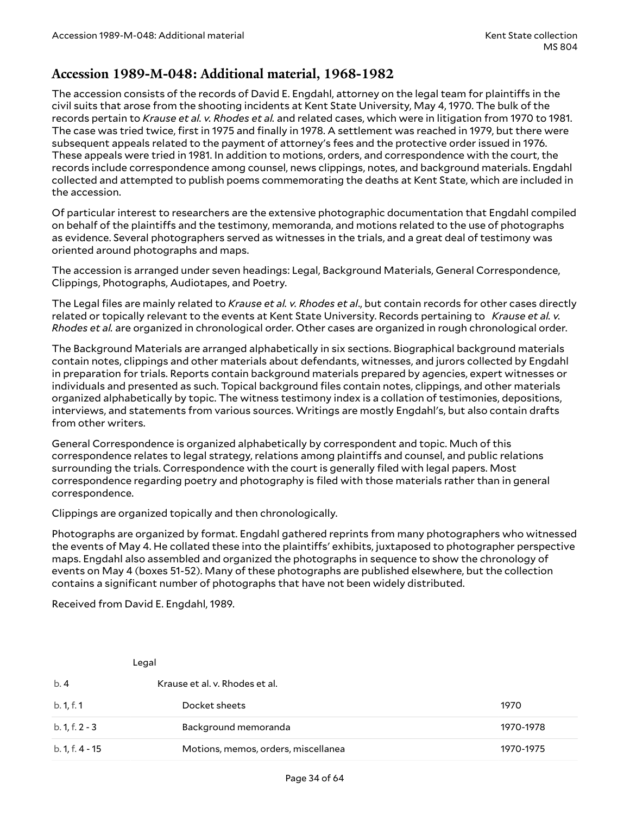### <span id="page-33-0"></span>**Accession 1989-M-048: Additional material, 1968-1982**

The accession consists of the records of David E. Engdahl, attorney on the legal team for plaintiffs in the civil suits that arose from the shooting incidents at Kent State University, May 4, 1970. The bulk of the records pertain to *Krause et al. v. Rhodes et al.* and related cases, which were in litigation from 1970 to 1981. The case was tried twice, first in 1975 and finally in 1978. A settlement was reached in 1979, but there were subsequent appeals related to the payment of attorney's fees and the protective order issued in 1976. These appeals were tried in 1981. In addition to motions, orders, and correspondence with the court, the records include correspondence among counsel, news clippings, notes, and background materials. Engdahl collected and attempted to publish poems commemorating the deaths at Kent State, which are included in the accession.

Of particular interest to researchers are the extensive photographic documentation that Engdahl compiled on behalf of the plaintiffs and the testimony, memoranda, and motions related to the use of photographs as evidence. Several photographers served as witnesses in the trials, and a great deal of testimony was oriented around photographs and maps.

The accession is arranged under seven headings: Legal, Background Materials, General Correspondence, Clippings, Photographs, Audiotapes, and Poetry.

The Legal files are mainly related to *Krause et al. v. Rhodes et al*., but contain records for other cases directly related or topically relevant to the events at Kent State University. Records pertaining to *Krause et al. v. Rhodes et al.* are organized in chronological order. Other cases are organized in rough chronological order.

The Background Materials are arranged alphabetically in six sections. Biographical background materials contain notes, clippings and other materials about defendants, witnesses, and jurors collected by Engdahl in preparation for trials. Reports contain background materials prepared by agencies, expert witnesses or individuals and presented as such. Topical background files contain notes, clippings, and other materials organized alphabetically by topic. The witness testimony index is a collation of testimonies, depositions, interviews, and statements from various sources. Writings are mostly Engdahl's, but also contain drafts from other writers.

General Correspondence is organized alphabetically by correspondent and topic. Much of this correspondence relates to legal strategy, relations among plaintiffs and counsel, and public relations surrounding the trials. Correspondence with the court is generally filed with legal papers. Most correspondence regarding poetry and photography is filed with those materials rather than in general correspondence.

Clippings are organized topically and then chronologically.

Photographs are organized by format. Engdahl gathered reprints from many photographers who witnessed the events of May 4. He collated these into the plaintiffs' exhibits, juxtaposed to photographer perspective maps. Engdahl also assembled and organized the photographs in sequence to show the chronology of events on May 4 (boxes 51-52). Many of these photographs are published elsewhere, but the collection contains a significant number of photographs that have not been widely distributed.

Received from David E. Engdahl, 1989.

|                  | Legal                               |           |
|------------------|-------------------------------------|-----------|
| b.4              | Krause et al. v. Rhodes et al.      |           |
| b. 1, f. 1       | Docket sheets                       | 1970      |
| $b. 1, f. 2 - 3$ | Background memoranda                | 1970-1978 |
| b. 1, f. 4 - 15  | Motions, memos, orders, miscellanea | 1970-1975 |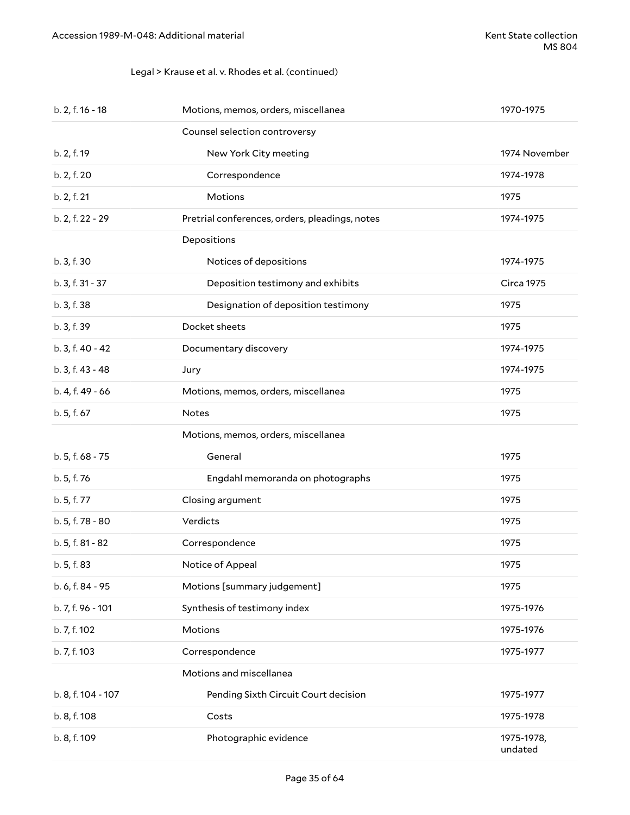### Legal > Krause et al. v. Rhodes et al. (continued)

| b. 2, f. 16 - 18   | Motions, memos, orders, miscellanea            | 1970-1975             |
|--------------------|------------------------------------------------|-----------------------|
|                    | Counsel selection controversy                  |                       |
| b. 2, f. 19        | New York City meeting                          | 1974 November         |
| b. 2, f. 20        | Correspondence                                 | 1974-1978             |
| b. 2, f. 21        | Motions                                        | 1975                  |
| b. 2, f. 22 - 29   | Pretrial conferences, orders, pleadings, notes | 1974-1975             |
|                    | Depositions                                    |                       |
| b. 3, f. 30        | Notices of depositions                         | 1974-1975             |
| b. 3, f. 31 - 37   | Deposition testimony and exhibits              | <b>Circa 1975</b>     |
| b. 3, f. 38        | Designation of deposition testimony            | 1975                  |
| b. 3, f. 39        | Docket sheets                                  | 1975                  |
| b. 3, f. 40 - 42   | Documentary discovery                          | 1974-1975             |
| b. 3, f. 43 - 48   | Jury                                           | 1974-1975             |
| b. 4, f. 49 - 66   | Motions, memos, orders, miscellanea            | 1975                  |
| b. 5, f. 67        | <b>Notes</b>                                   | 1975                  |
|                    | Motions, memos, orders, miscellanea            |                       |
| b. 5, f. 68 - 75   | General                                        | 1975                  |
| b. 5, f. 76        | Engdahl memoranda on photographs               | 1975                  |
| b. 5, f. 77        | Closing argument                               | 1975                  |
| b. 5, f. 78 - 80   | Verdicts                                       | 1975                  |
| b. 5, f. 81 - 82   | Correspondence                                 | 1975                  |
| b. 5, f. 83        | Notice of Appeal                               | 1975                  |
| b. 6, f. 84 - 95   | Motions [summary judgement]                    | 1975                  |
| b. 7, f. 96 - 101  | Synthesis of testimony index                   | 1975-1976             |
| b. 7, f. 102       | Motions                                        | 1975-1976             |
| b. 7, f. 103       | Correspondence                                 | 1975-1977             |
|                    | Motions and miscellanea                        |                       |
| b. 8, f. 104 - 107 | Pending Sixth Circuit Court decision           | 1975-1977             |
| b. 8, f. 108       | Costs                                          | 1975-1978             |
| b. 8, f. 109       | Photographic evidence                          | 1975-1978,<br>undated |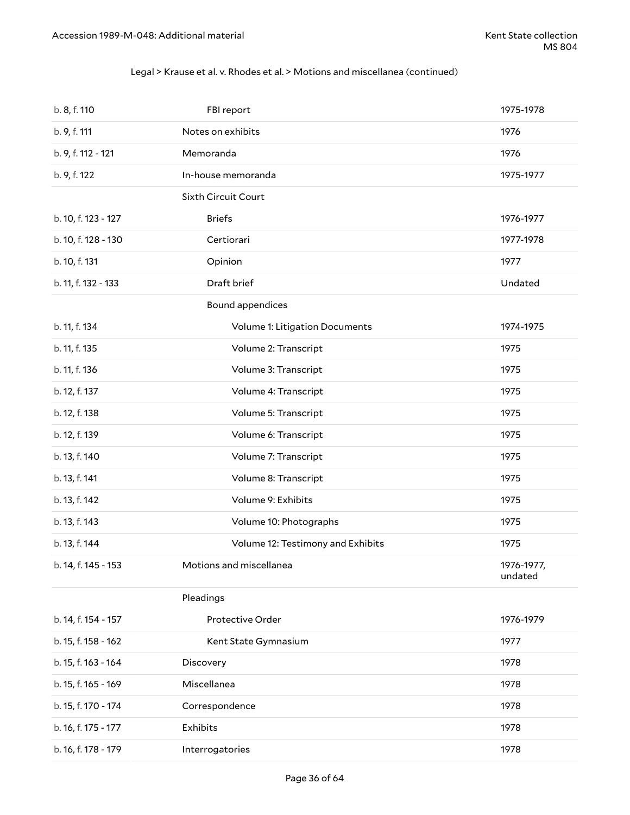### Legal > Krause et al. v. Rhodes et al. > Motions and miscellanea (continued)

| b. 8, f. 110        | FBI report                        | 1975-1978             |
|---------------------|-----------------------------------|-----------------------|
| b. 9, f. 111        | Notes on exhibits                 | 1976                  |
| b. 9, f. 112 - 121  | Memoranda                         | 1976                  |
| b. 9, f. 122        | In-house memoranda                | 1975-1977             |
|                     | Sixth Circuit Court               |                       |
| b. 10, f. 123 - 127 | <b>Briefs</b>                     | 1976-1977             |
| b. 10, f. 128 - 130 | Certiorari                        | 1977-1978             |
| b. 10, f. 131       | Opinion                           | 1977                  |
| b. 11, f. 132 - 133 | Draft brief                       | Undated               |
|                     | Bound appendices                  |                       |
| b. 11, f. 134       | Volume 1: Litigation Documents    | 1974-1975             |
| b. 11, f. 135       | Volume 2: Transcript              | 1975                  |
| b. 11, f. 136       | Volume 3: Transcript              | 1975                  |
| b. 12, f. 137       | Volume 4: Transcript              | 1975                  |
| b. 12, f. 138       | Volume 5: Transcript              | 1975                  |
| b. 12, f. 139       | Volume 6: Transcript              | 1975                  |
| b. 13, f. 140       | Volume 7: Transcript              | 1975                  |
| b. 13, f. 141       | Volume 8: Transcript              | 1975                  |
| b. 13, f. 142       | Volume 9: Exhibits                | 1975                  |
| b. 13, f. 143       | Volume 10: Photographs            | 1975                  |
| b. 13, f. 144       | Volume 12: Testimony and Exhibits | 1975                  |
| b. 14, f. 145 - 153 | Motions and miscellanea           | 1976-1977,<br>undated |
|                     | Pleadings                         |                       |
| b. 14, f. 154 - 157 | Protective Order                  | 1976-1979             |
| b. 15, f. 158 - 162 | Kent State Gymnasium              | 1977                  |
| b. 15, f. 163 - 164 | Discovery                         | 1978                  |
| b. 15, f. 165 - 169 | Miscellanea                       | 1978                  |
| b. 15, f. 170 - 174 | Correspondence                    | 1978                  |
| b. 16, f. 175 - 177 | Exhibits                          | 1978                  |
| b. 16, f. 178 - 179 | Interrogatories                   | 1978                  |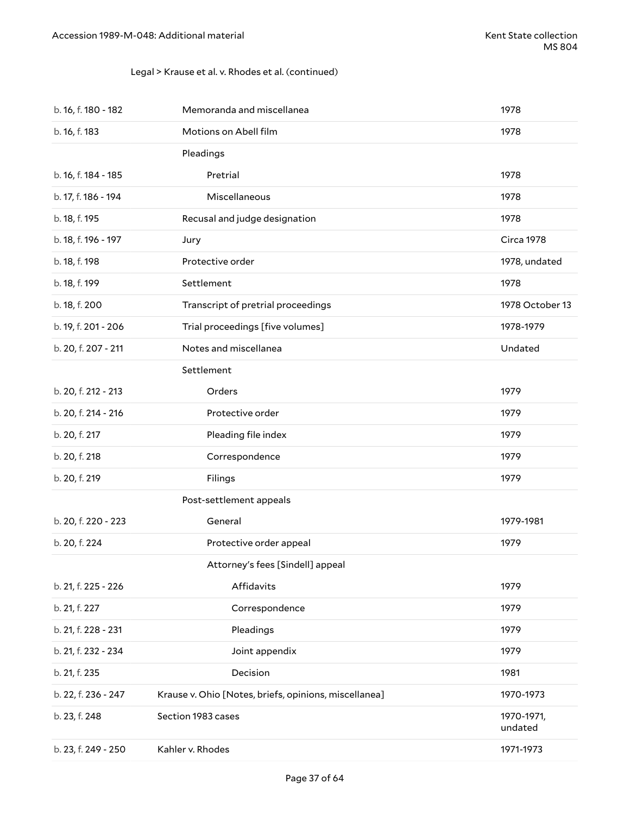### Legal > Krause et al. v. Rhodes et al. (continued)

| b. 16, f. 180 - 182 | Memoranda and miscellanea                             | 1978                  |
|---------------------|-------------------------------------------------------|-----------------------|
| b. 16, f. 183       | Motions on Abell film                                 | 1978                  |
|                     | Pleadings                                             |                       |
| b. 16, f. 184 - 185 | Pretrial                                              | 1978                  |
| b. 17, f. 186 - 194 | Miscellaneous                                         | 1978                  |
| b. 18, f. 195       | Recusal and judge designation                         | 1978                  |
| b. 18, f. 196 - 197 | Jury                                                  | Circa 1978            |
| b. 18, f. 198       | Protective order                                      | 1978, undated         |
| b. 18, f. 199       | Settlement                                            | 1978                  |
| b. 18, f. 200       | Transcript of pretrial proceedings                    | 1978 October 13       |
| b. 19, f. 201 - 206 | Trial proceedings [five volumes]                      | 1978-1979             |
| b. 20, f. 207 - 211 | Notes and miscellanea                                 | Undated               |
|                     | Settlement                                            |                       |
| b. 20, f. 212 - 213 | Orders                                                | 1979                  |
| b. 20, f. 214 - 216 | Protective order                                      | 1979                  |
| b. 20, f. 217       | Pleading file index                                   | 1979                  |
| b. 20, f. 218       | Correspondence                                        | 1979                  |
| b. 20, f. 219       | Filings                                               | 1979                  |
|                     | Post-settlement appeals                               |                       |
| b. 20, f. 220 - 223 | General                                               | 1979-1981             |
| b. 20, f. 224       | Protective order appeal                               | 1979                  |
|                     | Attorney's fees [Sindell] appeal                      |                       |
| b. 21, f. 225 - 226 | Affidavits                                            | 1979                  |
| b. 21, f. 227       | Correspondence                                        | 1979                  |
| b. 21, f. 228 - 231 | Pleadings                                             | 1979                  |
| b. 21, f. 232 - 234 | Joint appendix                                        | 1979                  |
| b. 21, f. 235       | Decision                                              | 1981                  |
| b. 22, f. 236 - 247 | Krause v. Ohio [Notes, briefs, opinions, miscellanea] | 1970-1973             |
| b. 23, f. 248       | Section 1983 cases                                    | 1970-1971,<br>undated |
| b. 23, f. 249 - 250 | Kahler v. Rhodes                                      | 1971-1973             |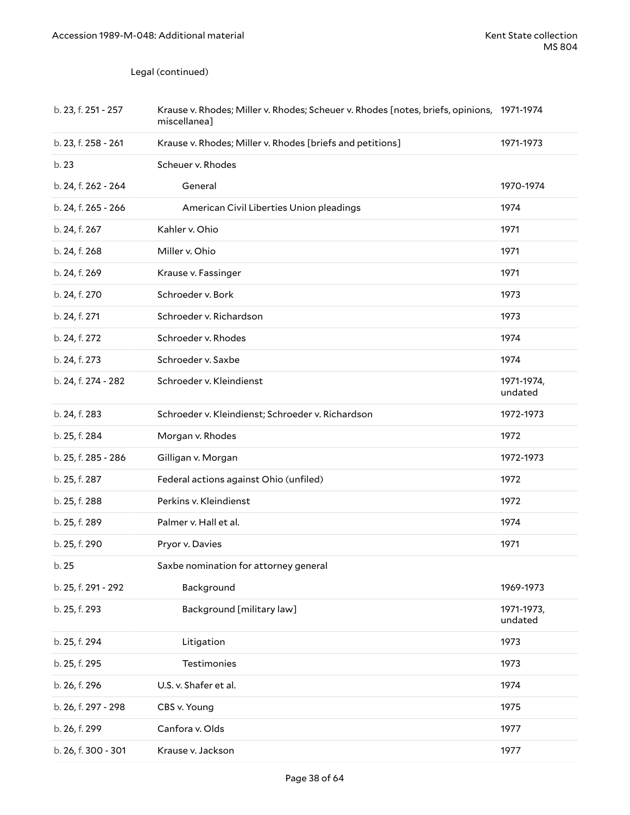Legal (continued)

| b. 23, f. 251 - 257 | Krause v. Rhodes; Miller v. Rhodes; Scheuer v. Rhodes [notes, briefs, opinions, 1971-1974<br>miscellanea] |                       |
|---------------------|-----------------------------------------------------------------------------------------------------------|-----------------------|
| b. 23, f. 258 - 261 | Krause v. Rhodes; Miller v. Rhodes [briefs and petitions]                                                 | 1971-1973             |
| b. 23               | Scheuer v. Rhodes                                                                                         |                       |
| b. 24, f. 262 - 264 | General                                                                                                   | 1970-1974             |
| b. 24, f. 265 - 266 | American Civil Liberties Union pleadings                                                                  | 1974                  |
| b. 24, f. 267       | Kahler v. Ohio                                                                                            | 1971                  |
| b. 24, f. 268       | Miller v. Ohio                                                                                            | 1971                  |
| b. 24, f. 269       | Krause v. Fassinger                                                                                       | 1971                  |
| b. 24, f. 270       | Schroeder v. Bork                                                                                         | 1973                  |
| b. 24, f. 271       | Schroeder v. Richardson                                                                                   | 1973                  |
| b. 24, f. 272       | Schroeder v. Rhodes                                                                                       | 1974                  |
| b. 24, f. 273       | Schroeder v. Saxbe                                                                                        | 1974                  |
| b. 24, f. 274 - 282 | Schroeder v. Kleindienst                                                                                  | 1971-1974,<br>undated |
| b. 24, f. 283       | Schroeder v. Kleindienst; Schroeder v. Richardson                                                         | 1972-1973             |
| b. 25, f. 284       | Morgan v. Rhodes                                                                                          | 1972                  |
| b. 25, f. 285 - 286 | Gilligan v. Morgan                                                                                        | 1972-1973             |
| b. 25, f. 287       | Federal actions against Ohio (unfiled)                                                                    | 1972                  |
| b. 25, f. 288       | Perkins v. Kleindienst                                                                                    | 1972                  |
| b. 25, f. 289       | Palmer v. Hall et al.                                                                                     | 1974                  |
| b. 25, f. 290       | Pryor v. Davies                                                                                           | 1971                  |
| b. 25               | Saxbe nomination for attorney general                                                                     |                       |
| b. 25, f. 291 - 292 | Background                                                                                                | 1969-1973             |
| b. 25, f. 293       | Background [military law]                                                                                 | 1971-1973,<br>undated |
| b. 25, f. 294       | Litigation                                                                                                | 1973                  |
| b. 25, f. 295       | <b>Testimonies</b>                                                                                        | 1973                  |
| b. 26, f. 296       | U.S. v. Shafer et al.                                                                                     | 1974                  |
| b. 26, f. 297 - 298 | CBS v. Young                                                                                              | 1975                  |
| b. 26, f. 299       | Canfora v. Olds                                                                                           | 1977                  |
| b. 26, f. 300 - 301 | Krause v. Jackson                                                                                         | 1977                  |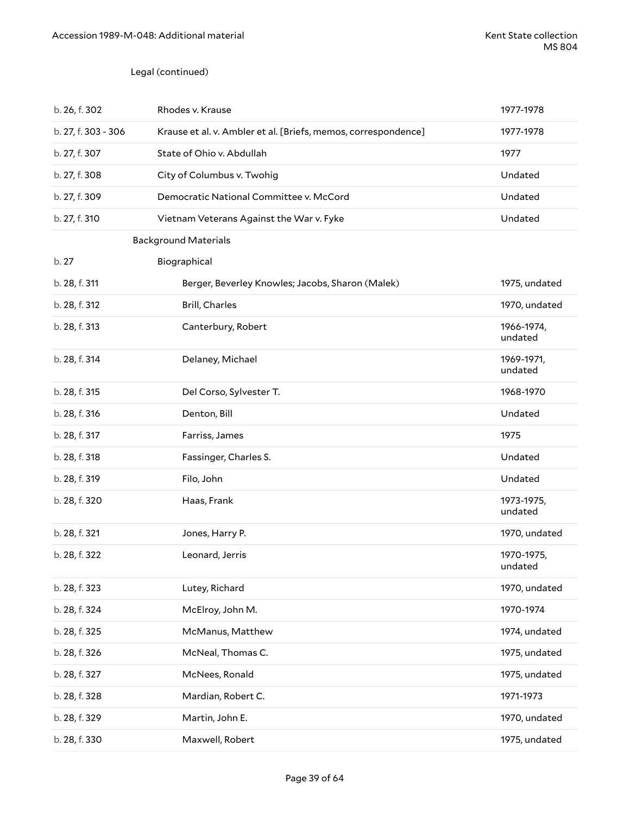### Legal (continued)

| b. 26, f. 302       | Rhodes v. Krause                                               | 1977-1978             |
|---------------------|----------------------------------------------------------------|-----------------------|
| b. 27, f. 303 - 306 | Krause et al. v. Ambler et al. [Briefs, memos, correspondence] | 1977-1978             |
| b. 27, f. 307       | State of Ohio v. Abdullah                                      | 1977                  |
| b. 27, f. 308       | City of Columbus v. Twohig                                     | Undated               |
| b. 27, f. 309       | Democratic National Committee v. McCord                        | Undated               |
| b. 27, f. 310       | Vietnam Veterans Against the War v. Fyke                       | Undated               |
|                     | <b>Background Materials</b>                                    |                       |
| b.27                | Biographical                                                   |                       |
| b. 28, f. 311       | Berger, Beverley Knowles; Jacobs, Sharon (Malek)               | 1975, undated         |
| b. 28, f. 312       | Brill, Charles                                                 | 1970, undated         |
| b. 28, f. 313       | Canterbury, Robert                                             | 1966-1974,<br>undated |
| b. 28, f. 314       | Delaney, Michael                                               | 1969-1971,<br>undated |
| b. 28, f. 315       | Del Corso, Sylvester T.                                        | 1968-1970             |
| b. 28, f. 316       | Denton, Bill                                                   | Undated               |
| b. 28, f. 317       | Farriss, James                                                 | 1975                  |
| b. 28, f. 318       | Fassinger, Charles S.                                          | Undated               |
| b. 28, f. 319       | Filo, John                                                     | Undated               |
| b. 28, f. 320       | Haas, Frank                                                    | 1973-1975,<br>undated |
| b. 28, f. 321       | Jones, Harry P.                                                | 1970, undated         |
| b. 28, f. 322       | Leonard, Jerris                                                | 1970-1975,<br>undated |
| b. 28, f. 323       | Lutey, Richard                                                 | 1970, undated         |
| b. 28, f. 324       | McElroy, John M.                                               | 1970-1974             |
| b. 28, f. 325       | McManus, Matthew                                               | 1974, undated         |
| b. 28, f. 326       | McNeal, Thomas C.                                              | 1975, undated         |
| b. 28, f. 327       | McNees, Ronald                                                 | 1975, undated         |
| b. 28, f. 328       | Mardian, Robert C.                                             | 1971-1973             |
| b. 28, f. 329       | Martin, John E.                                                | 1970, undated         |
| b. 28, f. 330       | Maxwell, Robert                                                | 1975, undated         |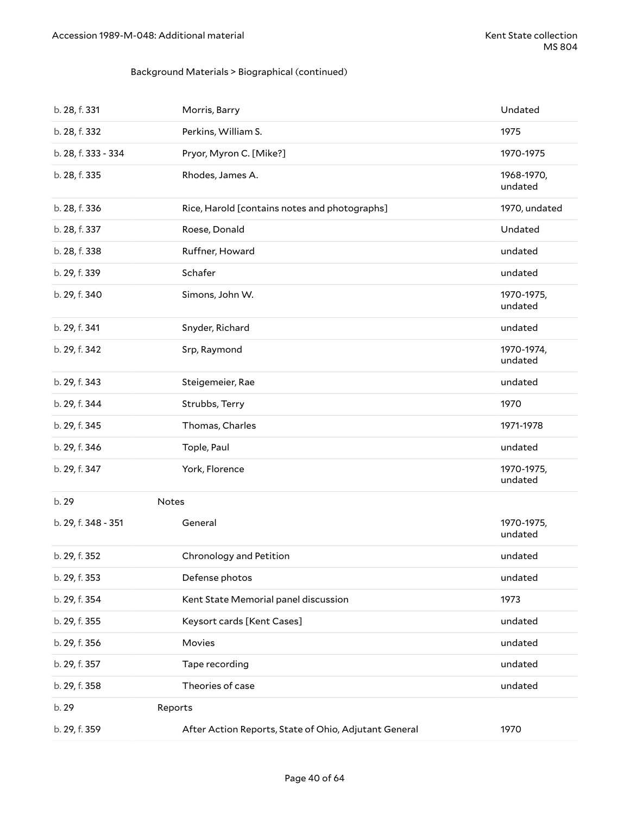### Background Materials > Biographical (continued)

| b. 28, f. 331       | Morris, Barry                                         | Undated               |
|---------------------|-------------------------------------------------------|-----------------------|
| b. 28, f. 332       | Perkins, William S.                                   | 1975                  |
| b. 28, f. 333 - 334 | Pryor, Myron C. [Mike?]                               | 1970-1975             |
| b. 28, f. 335       | Rhodes, James A.                                      | 1968-1970,<br>undated |
| b. 28, f. 336       | Rice, Harold [contains notes and photographs]         | 1970, undated         |
| b. 28, f. 337       | Roese, Donald                                         | Undated               |
| b. 28, f. 338       | Ruffner, Howard                                       | undated               |
| b. 29, f. 339       | Schafer                                               | undated               |
| b. 29, f. 340       | Simons, John W.                                       | 1970-1975,<br>undated |
| b. 29, f. 341       | Snyder, Richard                                       | undated               |
| b. 29, f. 342       | Srp, Raymond                                          | 1970-1974,<br>undated |
| b. 29, f. 343       | Steigemeier, Rae                                      | undated               |
| b. 29, f. 344       | Strubbs, Terry                                        | 1970                  |
| b. 29, f. 345       | Thomas, Charles                                       | 1971-1978             |
| b. 29, f. 346       | Tople, Paul                                           | undated               |
| b. 29, f. 347       | York, Florence                                        | 1970-1975,<br>undated |
| b. 29<br>Notes      |                                                       |                       |
| b. 29, f. 348 - 351 | General                                               | 1970-1975,<br>undated |
| b. 29, f. 352       | Chronology and Petition                               | undated               |
| b. 29, f. 353       | Defense photos                                        | undated               |
| b. 29, f. 354       | Kent State Memorial panel discussion                  | 1973                  |
| b. 29, f. 355       | Keysort cards [Kent Cases]                            | undated               |
| b. 29, f. 356       | Movies                                                | undated               |
| b. 29, f. 357       | Tape recording                                        | undated               |
| b. 29, f. 358       | Theories of case                                      | undated               |
| b. 29               | Reports                                               |                       |
| b. 29, f. 359       | After Action Reports, State of Ohio, Adjutant General | 1970                  |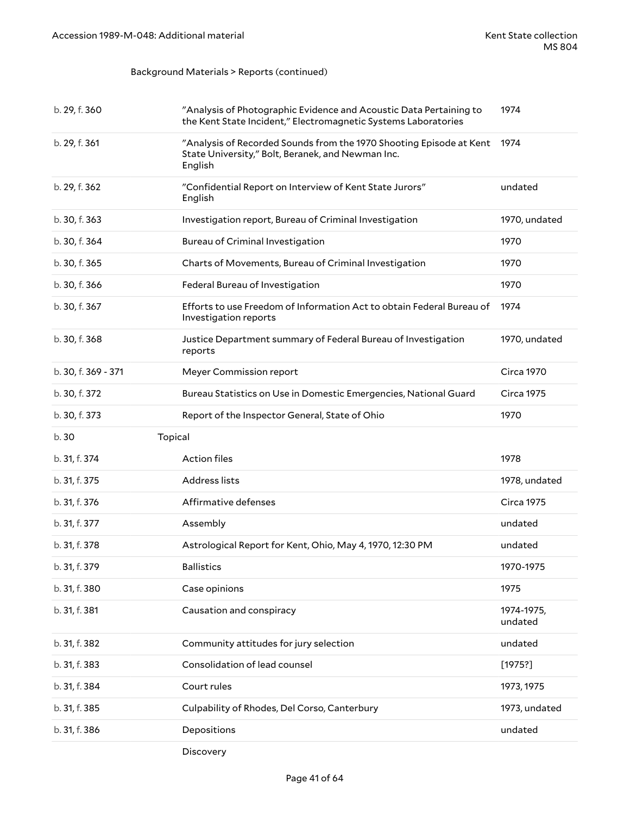### Background Materials > Reports (continued)

| b. 29, f. 360       | "Analysis of Photographic Evidence and Acoustic Data Pertaining to<br>the Kent State Incident," Electromagnetic Systems Laboratories | 1974                  |
|---------------------|--------------------------------------------------------------------------------------------------------------------------------------|-----------------------|
| b. 29, f. 361       | "Analysis of Recorded Sounds from the 1970 Shooting Episode at Kent<br>State University," Bolt, Beranek, and Newman Inc.<br>English  | 1974                  |
| b. 29, f. 362       | "Confidential Report on Interview of Kent State Jurors"<br>English                                                                   | undated               |
| b. 30, f. 363       | Investigation report, Bureau of Criminal Investigation                                                                               | 1970, undated         |
| b. 30, f. 364       | <b>Bureau of Criminal Investigation</b>                                                                                              | 1970                  |
| b. 30, f. 365       | Charts of Movements, Bureau of Criminal Investigation                                                                                | 1970                  |
| b. 30, f. 366       | Federal Bureau of Investigation                                                                                                      | 1970                  |
| b. 30, f. 367       | Efforts to use Freedom of Information Act to obtain Federal Bureau of<br>Investigation reports                                       | 1974                  |
| b. 30, f. 368       | Justice Department summary of Federal Bureau of Investigation<br>reports                                                             | 1970, undated         |
| b. 30, f. 369 - 371 | Meyer Commission report                                                                                                              | <b>Circa 1970</b>     |
| b. 30, f. 372       | Bureau Statistics on Use in Domestic Emergencies, National Guard                                                                     | <b>Circa 1975</b>     |
| b. 30, f. 373       | Report of the Inspector General, State of Ohio                                                                                       | 1970                  |
|                     |                                                                                                                                      |                       |
| b.30                | Topical                                                                                                                              |                       |
| b. 31, f. 374       | <b>Action files</b>                                                                                                                  | 1978                  |
| b. 31, f. 375       | Address lists                                                                                                                        | 1978, undated         |
| b. 31, f. 376       | Affirmative defenses                                                                                                                 | <b>Circa 1975</b>     |
| b. 31, f. 377       | Assembly                                                                                                                             | undated               |
| b. 31, f. 378       | Astrological Report for Kent, Ohio, May 4, 1970, 12:30 PM                                                                            | undated               |
| b. 31, f. 379       | <b>Ballistics</b>                                                                                                                    | 1970-1975             |
| b. 31, f. 380       | Case opinions                                                                                                                        | 1975                  |
| b. 31, f. 381       | Causation and conspiracy                                                                                                             | 1974-1975,<br>undated |
| b. 31, f. 382       | Community attitudes for jury selection                                                                                               | undated               |
| b. 31, f. 383       | Consolidation of lead counsel                                                                                                        | [1975!]               |
| b. 31, f. 384       | Court rules                                                                                                                          | 1973, 1975            |
| b. 31, f. 385       | Culpability of Rhodes, Del Corso, Canterbury                                                                                         | 1973, undated         |
| b. 31, f. 386       | Depositions                                                                                                                          | undated               |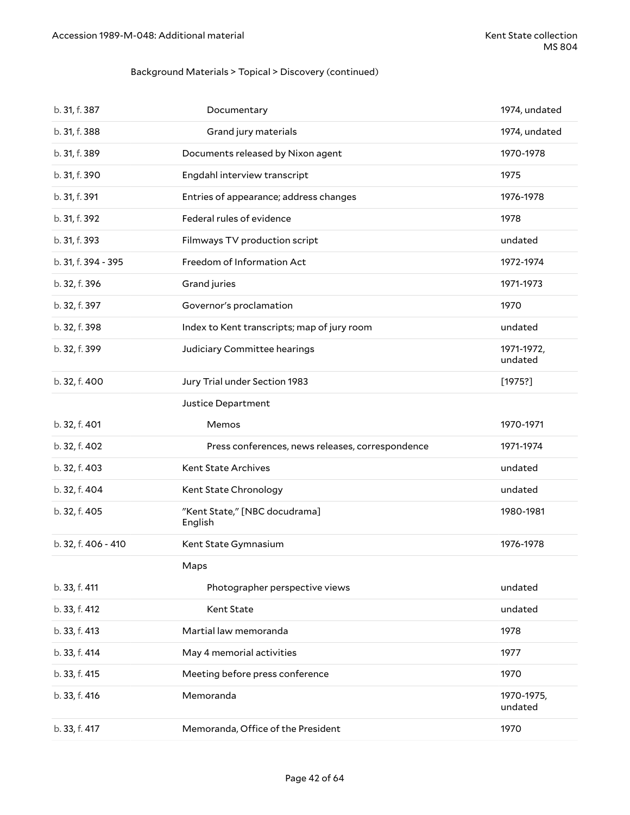### Background Materials > Topical > Discovery (continued)

| b. 31, f. 387       | Documentary                                      | 1974, undated         |
|---------------------|--------------------------------------------------|-----------------------|
| b. 31, f. 388       | Grand jury materials                             | 1974, undated         |
| b. 31, f. 389       | Documents released by Nixon agent                | 1970-1978             |
| b. 31, f. 390       | Engdahl interview transcript                     | 1975                  |
| b. 31, f. 391       | Entries of appearance; address changes           | 1976-1978             |
| b. 31, f. 392       | Federal rules of evidence                        | 1978                  |
| b. 31, f. 393       | Filmways TV production script                    | undated               |
| b. 31, f. 394 - 395 | Freedom of Information Act                       | 1972-1974             |
| b. 32, f. 396       | Grand juries                                     | 1971-1973             |
| b. 32, f. 397       | Governor's proclamation                          | 1970                  |
| b. 32, f. 398       | Index to Kent transcripts; map of jury room      | undated               |
| b. 32, f. 399       | Judiciary Committee hearings                     | 1971-1972,<br>undated |
| b. 32, f. 400       | Jury Trial under Section 1983                    | [1975?]               |
|                     | Justice Department                               |                       |
| b. 32, f. 401       | Memos                                            | 1970-1971             |
| b. 32, f. 402       | Press conferences, news releases, correspondence | 1971-1974             |
| b. 32, f. 403       | Kent State Archives                              | undated               |
| b. 32, f. 404       | Kent State Chronology                            | undated               |
| b. 32, f. 405       | "Kent State," [NBC docudrama]<br>English         | 1980-1981             |
| b. 32, f. 406 - 410 | Kent State Gymnasium                             | 1976-1978             |
|                     | Maps                                             |                       |
| b. 33, f. 411       | Photographer perspective views                   | undated               |
| b. 33, f. 412       | Kent State                                       | undated               |
| b. 33, f. 413       | Martial law memoranda                            | 1978                  |
| b. 33, f. 414       | May 4 memorial activities                        | 1977                  |
| b. 33, f. 415       | Meeting before press conference                  | 1970                  |
| b. 33, f. 416       | Memoranda                                        | 1970-1975,<br>undated |
| b. 33, f. 417       | Memoranda, Office of the President               | 1970                  |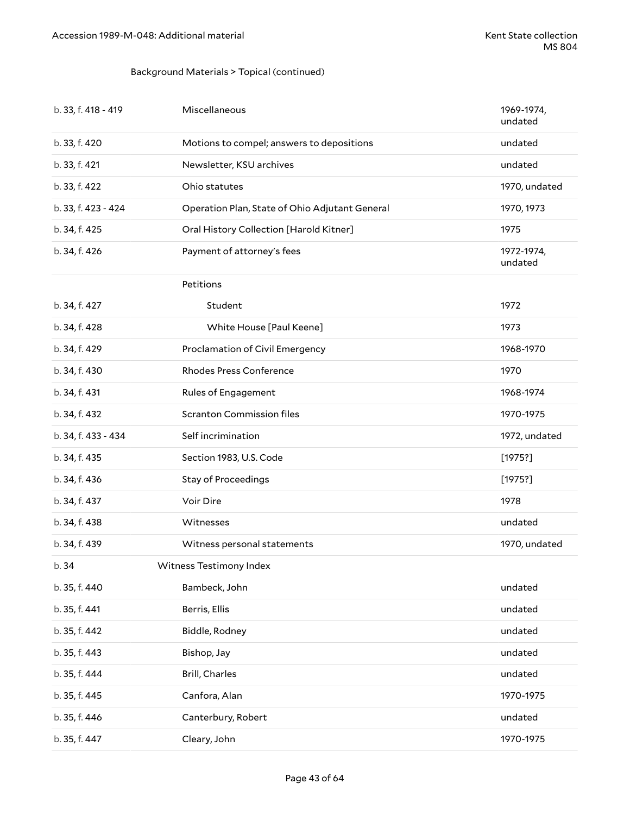### Background Materials > Topical (continued)

| b. 33, f. 418 - 419 | Miscellaneous                                  | 1969-1974,<br>undated |
|---------------------|------------------------------------------------|-----------------------|
| b. 33, f. 420       | Motions to compel; answers to depositions      | undated               |
| b. 33, f. 421       | Newsletter, KSU archives                       | undated               |
| b. 33, f. 422       | Ohio statutes                                  | 1970, undated         |
| b. 33, f. 423 - 424 | Operation Plan, State of Ohio Adjutant General | 1970, 1973            |
| b. 34, f. 425       | Oral History Collection [Harold Kitner]        | 1975                  |
| b. 34, f. 426       | Payment of attorney's fees                     | 1972-1974,<br>undated |
|                     | Petitions                                      |                       |
| b. 34, f. 427       | Student                                        | 1972                  |
| b. 34, f. 428       | White House [Paul Keene]                       | 1973                  |
| b. 34, f. 429       | Proclamation of Civil Emergency                | 1968-1970             |
| b. 34, f. 430       | <b>Rhodes Press Conference</b>                 | 1970                  |
| b. 34, f. 431       | Rules of Engagement                            | 1968-1974             |
| b. 34, f. 432       | <b>Scranton Commission files</b>               | 1970-1975             |
| b. 34, f. 433 - 434 | Self incrimination                             | 1972, undated         |
| b. 34, f. 435       | Section 1983, U.S. Code                        | [1975?]               |
| b. 34, f. 436       | <b>Stay of Proceedings</b>                     | [1975?]               |
| b. 34, f. 437       | Voir Dire                                      | 1978                  |
| b. 34, f. 438       | Witnesses                                      | undated               |
| b. 34, f. 439       | Witness personal statements                    | 1970, undated         |
| b. 34               | Witness Testimony Index                        |                       |
| b. 35, f. 440       | Bambeck, John                                  | undated               |
| b. 35, f. 441       | Berris, Ellis                                  | undated               |
| b. 35, f. 442       | Biddle, Rodney                                 | undated               |
| b. 35, f. 443       | Bishop, Jay                                    | undated               |
| b. 35, f. 444       | Brill, Charles                                 | undated               |
| b. 35, f. 445       | Canfora, Alan                                  | 1970-1975             |
| b. 35, f. 446       | Canterbury, Robert                             | undated               |
| b. 35, f. 447       | Cleary, John                                   | 1970-1975             |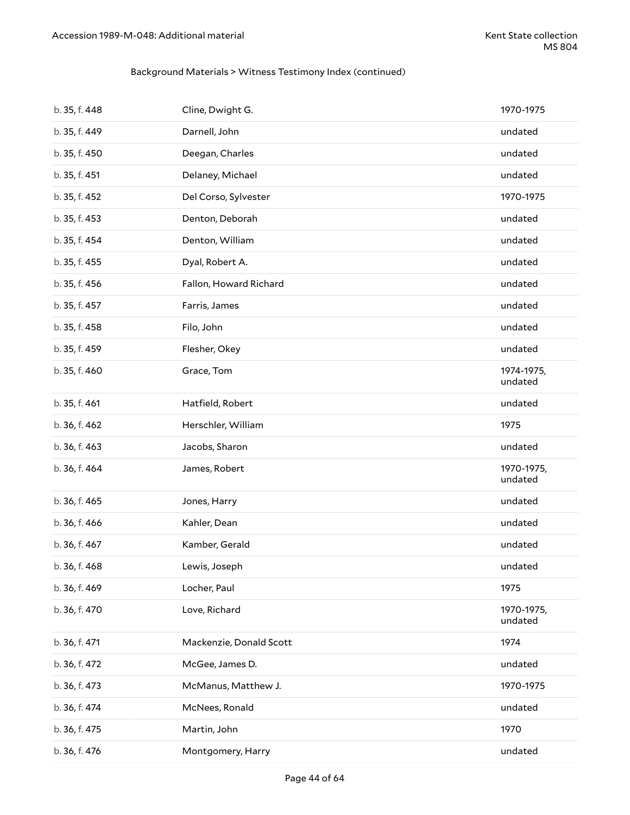### Background Materials > Witness Testimony Index (continued)

| b. 35, f. 448 | Cline, Dwight G.        | 1970-1975             |
|---------------|-------------------------|-----------------------|
| b. 35, f. 449 | Darnell, John           | undated               |
| b. 35, f. 450 | Deegan, Charles         | undated               |
| b. 35, f. 451 | Delaney, Michael        | undated               |
| b. 35, f. 452 | Del Corso, Sylvester    | 1970-1975             |
| b. 35, f. 453 | Denton, Deborah         | undated               |
| b. 35, f. 454 | Denton, William         | undated               |
| b. 35, f. 455 | Dyal, Robert A.         | undated               |
| b. 35, f. 456 | Fallon, Howard Richard  | undated               |
| b. 35, f. 457 | Farris, James           | undated               |
| b. 35, f. 458 | Filo, John              | undated               |
| b. 35, f. 459 | Flesher, Okey           | undated               |
| b. 35, f. 460 | Grace, Tom              | 1974-1975,<br>undated |
| b. 35, f. 461 | Hatfield, Robert        | undated               |
| b. 36, f. 462 | Herschler, William      | 1975                  |
| b. 36, f. 463 | Jacobs, Sharon          | undated               |
| b. 36, f. 464 | James, Robert           | 1970-1975,<br>undated |
| b. 36, f. 465 | Jones, Harry            | undated               |
| b. 36, f. 466 | Kahler, Dean            | undated               |
| b. 36, f. 467 | Kamber, Gerald          | undated               |
| b. 36, f. 468 |                         |                       |
|               | Lewis, Joseph           | undated               |
| b. 36, f. 469 | Locher, Paul            | 1975                  |
| b. 36, f. 470 | Love, Richard           | 1970-1975,<br>undated |
| b. 36, f. 471 | Mackenzie, Donald Scott | 1974                  |
| b. 36, f. 472 | McGee, James D.         | undated               |
| b. 36, f. 473 | McManus, Matthew J.     | 1970-1975             |
| b. 36, f. 474 | McNees, Ronald          | undated               |
| b. 36, f. 475 | Martin, John            | 1970                  |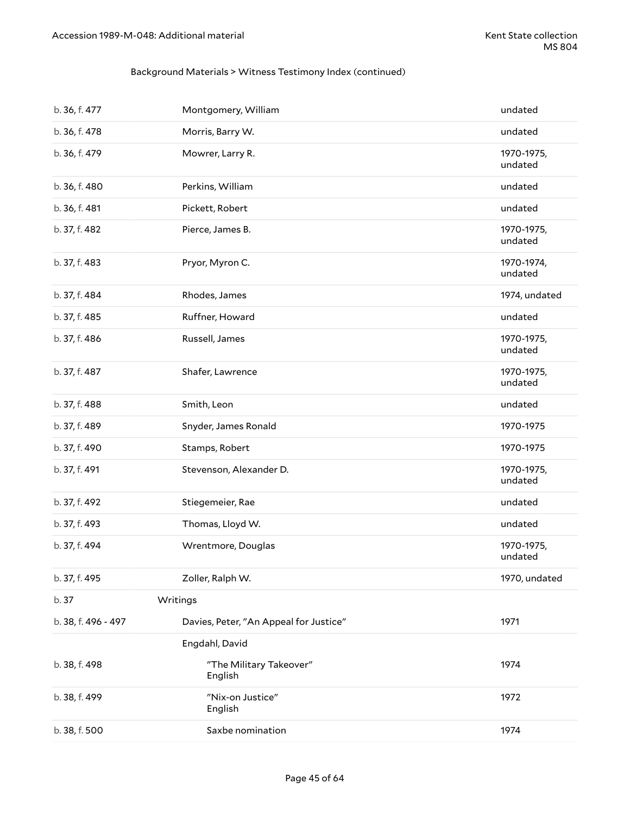### Background Materials > Witness Testimony Index (continued)

| b. 36, f. 477       | Montgomery, William                    | undated               |
|---------------------|----------------------------------------|-----------------------|
| b. 36, f. 478       | Morris, Barry W.                       | undated               |
| b. 36, f. 479       | Mowrer, Larry R.                       | 1970-1975,<br>undated |
| b. 36, f. 480       | Perkins, William                       | undated               |
| b. 36, f. 481       | Pickett, Robert                        | undated               |
| b. 37, f. 482       | Pierce, James B.                       | 1970-1975,<br>undated |
| b. 37, f. 483       | Pryor, Myron C.                        | 1970-1974,<br>undated |
| b. 37, f. 484       | Rhodes, James                          | 1974, undated         |
| b. 37, f. 485       | Ruffner, Howard                        | undated               |
| b. 37, f. 486       | Russell, James                         | 1970-1975,<br>undated |
| b. 37, f. 487       | Shafer, Lawrence                       | 1970-1975,<br>undated |
| b. 37, f. 488       | Smith, Leon                            | undated               |
| b. 37, f. 489       | Snyder, James Ronald                   | 1970-1975             |
| b. 37, f. 490       | Stamps, Robert                         | 1970-1975             |
| b. 37, f. 491       | Stevenson, Alexander D.                | 1970-1975,<br>undated |
| b. 37, f. 492       | Stiegemeier, Rae                       | undated               |
| b. 37, f. 493       | Thomas, Lloyd W.                       | undated               |
| b. 37, f. 494       | Wrentmore, Douglas                     | 1970-1975,<br>undated |
| b. 37, f. 495       | Zoller, Ralph W.                       | 1970, undated         |
| b. 37               | Writings                               |                       |
| b. 38, f. 496 - 497 | Davies, Peter, "An Appeal for Justice" | 1971                  |
|                     | Engdahl, David                         |                       |
| b. 38, f. 498       | "The Military Takeover"<br>English     | 1974                  |
| b. 38, f. 499       | "Nix-on Justice"<br>English            | 1972                  |
| b. 38, f. 500       | Saxbe nomination                       | 1974                  |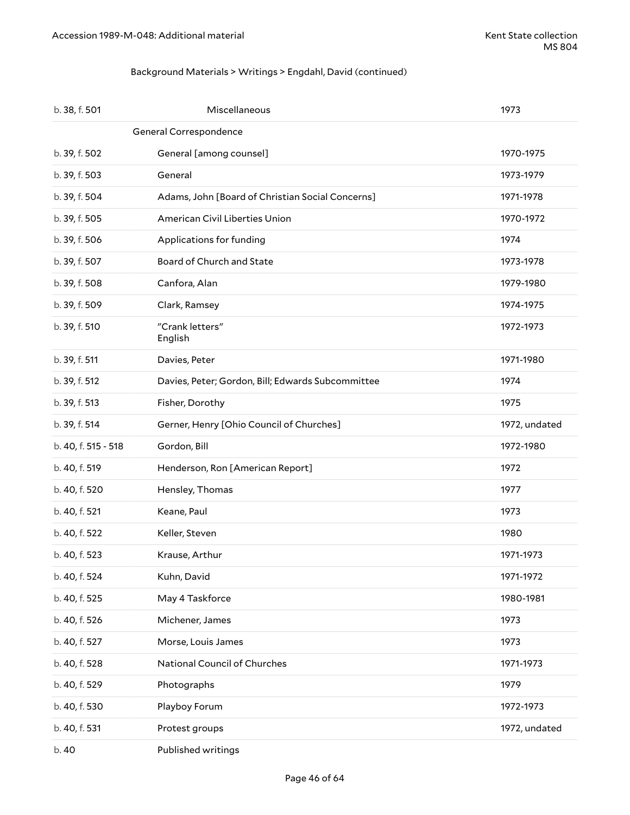### Background Materials > Writings > Engdahl, David (continued)

| b. 38, f. 501          | Miscellaneous                                     | 1973          |  |
|------------------------|---------------------------------------------------|---------------|--|
| General Correspondence |                                                   |               |  |
| b. 39, f. 502          | General [among counsel]                           | 1970-1975     |  |
| b. 39, f. 503          | General                                           | 1973-1979     |  |
| b. 39, f. 504          | Adams, John [Board of Christian Social Concerns]  | 1971-1978     |  |
| b. 39, f. 505          | American Civil Liberties Union                    | 1970-1972     |  |
| b. 39, f. 506          | Applications for funding                          | 1974          |  |
| b. 39, f. 507          | Board of Church and State                         | 1973-1978     |  |
| b. 39, f. 508          | Canfora, Alan                                     | 1979-1980     |  |
| b. 39, f. 509          | Clark, Ramsey                                     | 1974-1975     |  |
| b. 39, f. 510          | "Crank letters"<br>English                        | 1972-1973     |  |
| b. 39, f. 511          | Davies, Peter                                     | 1971-1980     |  |
| b. 39, f. 512          | Davies, Peter; Gordon, Bill; Edwards Subcommittee | 1974          |  |
| b. 39, f. 513          | Fisher, Dorothy                                   | 1975          |  |
| b. 39, f. 514          | Gerner, Henry [Ohio Council of Churches]          | 1972, undated |  |
| b. 40, f. 515 - 518    | Gordon, Bill                                      | 1972-1980     |  |
| b. 40, f. 519          | Henderson, Ron [American Report]                  | 1972          |  |
| b. 40, f. 520          | Hensley, Thomas                                   | 1977          |  |
| b. 40, f. 521          | Keane, Paul                                       | 1973          |  |
| b. 40, f. 522          | Keller, Steven                                    | 1980          |  |
| b. 40, f. 523          | Krause, Arthur                                    | 1971-1973     |  |
| b. 40, f. 524          | Kuhn, David                                       | 1971-1972     |  |
| b. 40, f. 525          | May 4 Taskforce                                   | 1980-1981     |  |
| b. 40, f. 526          | Michener, James                                   | 1973          |  |
| b. 40, f. 527          | Morse, Louis James                                | 1973          |  |
| b. 40, f. 528          | National Council of Churches                      | 1971-1973     |  |
| b. 40, f. 529          | Photographs                                       | 1979          |  |
| b. 40, f. 530          | Playboy Forum                                     | 1972-1973     |  |
| b. 40, f. 531          | Protest groups                                    | 1972, undated |  |
| b. 40                  | Published writings                                |               |  |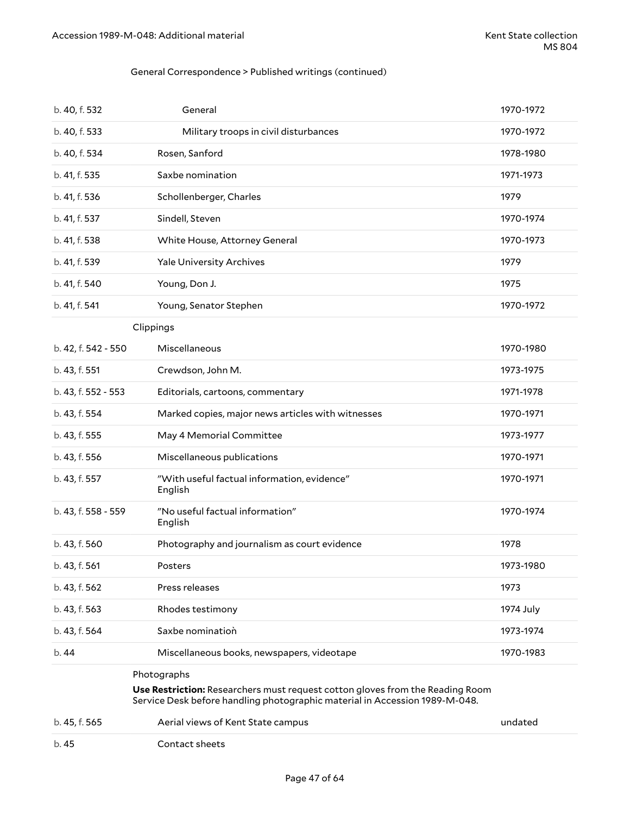### General Correspondence > Published writings (continued)

| b. 40, f. 532       | General                                                                                                                                                                     | 1970-1972 |
|---------------------|-----------------------------------------------------------------------------------------------------------------------------------------------------------------------------|-----------|
| b. 40, f. 533       | Military troops in civil disturbances                                                                                                                                       | 1970-1972 |
| b. 40, f. 534       | Rosen, Sanford                                                                                                                                                              | 1978-1980 |
| b. 41, f. 535       | Saxbe nomination                                                                                                                                                            | 1971-1973 |
| b. 41, f. 536       | Schollenberger, Charles                                                                                                                                                     | 1979      |
| b. 41, f. 537       | Sindell, Steven                                                                                                                                                             | 1970-1974 |
| b. 41, f. 538       | White House, Attorney General                                                                                                                                               | 1970-1973 |
| b. 41, f. 539       | <b>Yale University Archives</b>                                                                                                                                             | 1979      |
| b. 41, f. 540       | Young, Don J.                                                                                                                                                               | 1975      |
| b. 41, f. 541       | Young, Senator Stephen                                                                                                                                                      | 1970-1972 |
|                     | Clippings                                                                                                                                                                   |           |
| b. 42, f. 542 - 550 | Miscellaneous                                                                                                                                                               | 1970-1980 |
| b. 43, f. 551       | Crewdson, John M.                                                                                                                                                           | 1973-1975 |
| b. 43, f. 552 - 553 | Editorials, cartoons, commentary                                                                                                                                            | 1971-1978 |
| b. 43, f. 554       | Marked copies, major news articles with witnesses                                                                                                                           | 1970-1971 |
| b. 43, f. 555       | May 4 Memorial Committee                                                                                                                                                    | 1973-1977 |
| b. 43, f. 556       | Miscellaneous publications                                                                                                                                                  | 1970-1971 |
| b. 43, f. 557       | "With useful factual information, evidence"<br>English                                                                                                                      | 1970-1971 |
| b. 43, f. 558 - 559 | "No useful factual information"<br>English                                                                                                                                  | 1970-1974 |
| b. 43, f. 560       | Photography and journalism as court evidence                                                                                                                                | 1978      |
| b. 43, f. 561       | Posters                                                                                                                                                                     | 1973-1980 |
| b. 43, f. 562       | Press releases                                                                                                                                                              | 1973      |
| b. 43, f. 563       | Rhodes testimony                                                                                                                                                            | 1974 July |
| b. 43, f. 564       | Saxbe nomination                                                                                                                                                            | 1973-1974 |
| b.44                | Miscellaneous books, newspapers, videotape                                                                                                                                  | 1970-1983 |
|                     | Photographs<br>Use Restriction: Researchers must request cotton gloves from the Reading Room<br>Service Desk before handling photographic material in Accession 1989-M-048. |           |
| b. 45, f. 565       | Aerial views of Kent State campus                                                                                                                                           | undated   |

#### b. 45 Contact sheets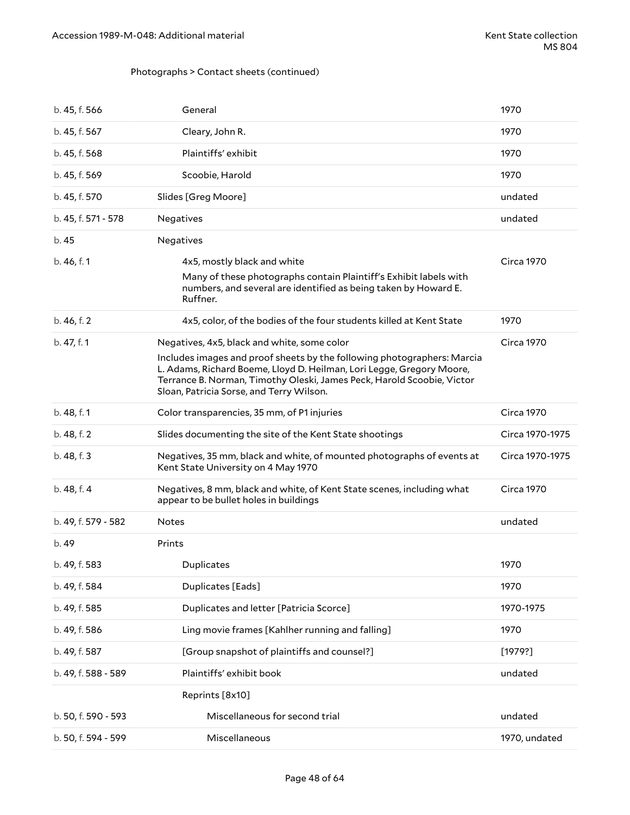### Photographs > Contact sheets (continued)

| b. 45, f. 566       | General                                                                                                                                                                                                                                                                | 1970              |
|---------------------|------------------------------------------------------------------------------------------------------------------------------------------------------------------------------------------------------------------------------------------------------------------------|-------------------|
| b. 45, f. 567       | Cleary, John R.                                                                                                                                                                                                                                                        | 1970              |
| b. 45, f. 568       | Plaintiffs' exhibit                                                                                                                                                                                                                                                    | 1970              |
| b. 45, f. 569       | Scoobie, Harold                                                                                                                                                                                                                                                        | 1970              |
| b. 45, f. 570       | Slides [Greg Moore]                                                                                                                                                                                                                                                    | undated           |
| b. 45, f. 571 - 578 | Negatives                                                                                                                                                                                                                                                              | undated           |
| b. 45               | Negatives                                                                                                                                                                                                                                                              |                   |
| b. 46, f. 1         | 4x5, mostly black and white                                                                                                                                                                                                                                            | <b>Circa 1970</b> |
|                     | Many of these photographs contain Plaintiff's Exhibit labels with<br>numbers, and several are identified as being taken by Howard E.<br>Ruffner.                                                                                                                       |                   |
| b. 46, f. 2         | 4x5, color, of the bodies of the four students killed at Kent State                                                                                                                                                                                                    | 1970              |
| b. 47, f. 1         | Negatives, 4x5, black and white, some color                                                                                                                                                                                                                            | <b>Circa 1970</b> |
|                     | Includes images and proof sheets by the following photographers: Marcia<br>L. Adams, Richard Boeme, Lloyd D. Heilman, Lori Legge, Gregory Moore,<br>Terrance B. Norman, Timothy Oleski, James Peck, Harold Scoobie, Victor<br>Sloan, Patricia Sorse, and Terry Wilson. |                   |
| b. 48, f. 1         | Color transparencies, 35 mm, of P1 injuries                                                                                                                                                                                                                            | <b>Circa 1970</b> |
|                     |                                                                                                                                                                                                                                                                        |                   |
| b. 48, f. 2         | Slides documenting the site of the Kent State shootings                                                                                                                                                                                                                | Circa 1970-1975   |
| b. 48, f. 3         | Negatives, 35 mm, black and white, of mounted photographs of events at<br>Kent State University on 4 May 1970                                                                                                                                                          | Circa 1970-1975   |
| b. 48, f. 4         | Negatives, 8 mm, black and white, of Kent State scenes, including what<br>appear to be bullet holes in buildings                                                                                                                                                       | <b>Circa 1970</b> |
| b. 49, f. 579 - 582 | Notes                                                                                                                                                                                                                                                                  | undated           |
| b. 49               | Prints                                                                                                                                                                                                                                                                 |                   |
| b. 49, f. 583       | Duplicates                                                                                                                                                                                                                                                             | 1970              |
| b. 49, f. 584       | Duplicates [Eads]                                                                                                                                                                                                                                                      | 1970              |
| b. 49, f. 585       | Duplicates and letter [Patricia Scorce]                                                                                                                                                                                                                                | 1970-1975         |
| b. 49, f. 586       | Ling movie frames [Kahlher running and falling]                                                                                                                                                                                                                        | 1970              |
| b. 49, f. 587       | [Group snapshot of plaintiffs and counsel?]                                                                                                                                                                                                                            | [1979?]           |
| b. 49, f. 588 - 589 | Plaintiffs' exhibit book                                                                                                                                                                                                                                               | undated           |
|                     | Reprints [8x10]                                                                                                                                                                                                                                                        |                   |
| b. 50, f. 590 - 593 | Miscellaneous for second trial                                                                                                                                                                                                                                         | undated           |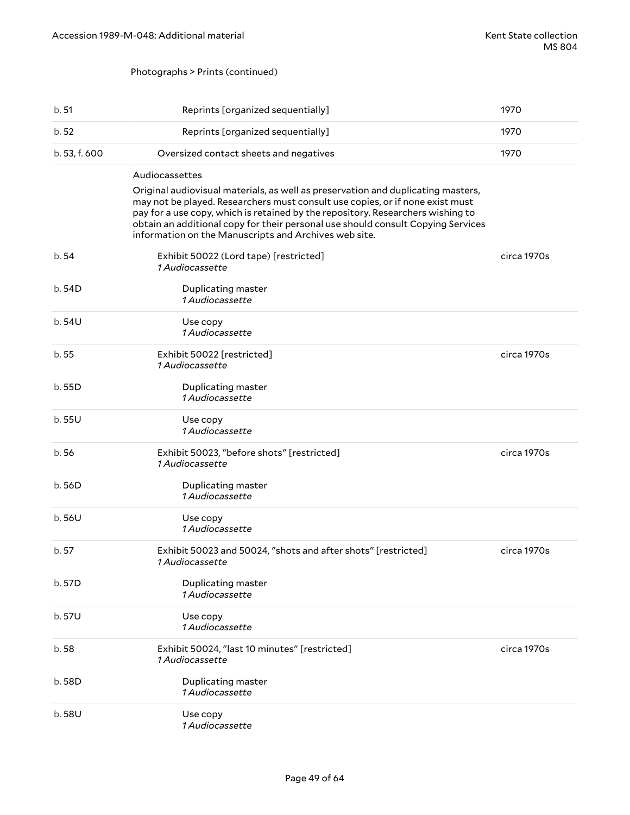### Photographs > Prints (continued)

| b. 51         | Reprints [organized sequentially]                                                                                                                                                                                                                                                                                                                                                                                   | 1970        |
|---------------|---------------------------------------------------------------------------------------------------------------------------------------------------------------------------------------------------------------------------------------------------------------------------------------------------------------------------------------------------------------------------------------------------------------------|-------------|
| b.52          | Reprints [organized sequentially]                                                                                                                                                                                                                                                                                                                                                                                   | 1970        |
| b. 53, f. 600 | Oversized contact sheets and negatives                                                                                                                                                                                                                                                                                                                                                                              | 1970        |
|               | Audiocassettes<br>Original audiovisual materials, as well as preservation and duplicating masters,<br>may not be played. Researchers must consult use copies, or if none exist must<br>pay for a use copy, which is retained by the repository. Researchers wishing to<br>obtain an additional copy for their personal use should consult Copying Services<br>information on the Manuscripts and Archives web site. |             |
| b.54          | Exhibit 50022 (Lord tape) [restricted]<br><i>1 Audiocassette</i>                                                                                                                                                                                                                                                                                                                                                    | circa 1970s |
| b.54D         | Duplicating master<br>1 Audiocassette                                                                                                                                                                                                                                                                                                                                                                               |             |
| b.54U         | Use copy<br>1 Audiocassette                                                                                                                                                                                                                                                                                                                                                                                         |             |
| b.55          | Exhibit 50022 [restricted]<br>1 Audiocassette                                                                                                                                                                                                                                                                                                                                                                       | circa 1970s |
| b.55D         | Duplicating master<br>1 Audiocassette                                                                                                                                                                                                                                                                                                                                                                               |             |
| b.55U         | Use copy<br>1 Audiocassette                                                                                                                                                                                                                                                                                                                                                                                         |             |
| b.56          | Exhibit 50023, "before shots" [restricted]<br>1 Audiocassette                                                                                                                                                                                                                                                                                                                                                       | circa 1970s |
| b.56D         | Duplicating master<br>1 Audiocassette                                                                                                                                                                                                                                                                                                                                                                               |             |
| b.56U         | Use copy<br>1 Audiocassette                                                                                                                                                                                                                                                                                                                                                                                         |             |
| b.57          | Exhibit 50023 and 50024, "shots and after shots" [restricted]<br>1 Audiocassette                                                                                                                                                                                                                                                                                                                                    | circa 1970s |
| b. 57D        | Duplicating master<br>1 Audiocassette                                                                                                                                                                                                                                                                                                                                                                               |             |
| b.57U         | Use copy<br>1 Audiocassette                                                                                                                                                                                                                                                                                                                                                                                         |             |
| b.58          | Exhibit 50024, "last 10 minutes" [restricted]<br>1 Audiocassette                                                                                                                                                                                                                                                                                                                                                    | circa 1970s |
| b. 58D        | Duplicating master<br><i>1 Audiocassette</i>                                                                                                                                                                                                                                                                                                                                                                        |             |
| b.58U         | Use copy<br>1 Audiocassette                                                                                                                                                                                                                                                                                                                                                                                         |             |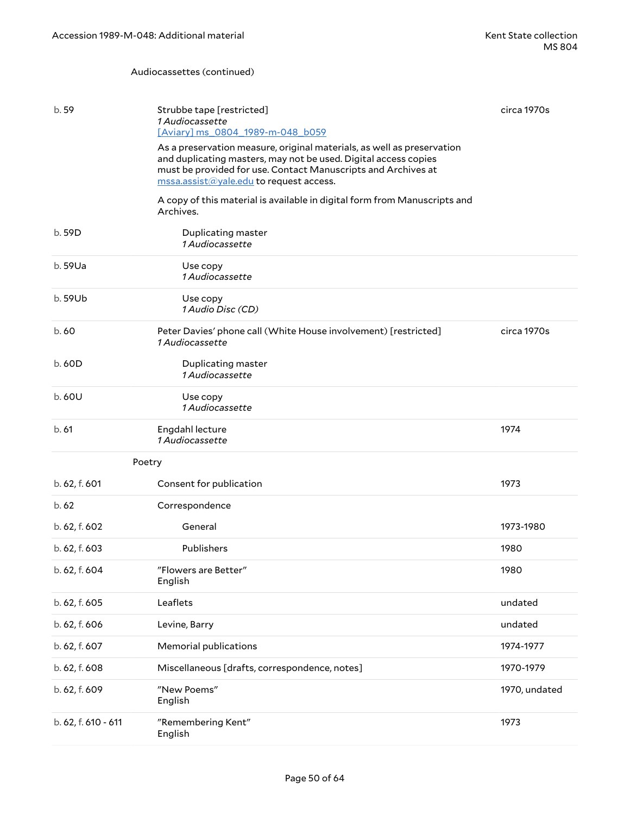#### Audiocassettes (continued)

| b. 59               | Strubbe tape [restricted]<br>1 Audiocassette<br>[Aviary] ms 0804 1989-m-048 b059<br>As a preservation measure, original materials, as well as preservation<br>and duplicating masters, may not be used. Digital access copies<br>must be provided for use. Contact Manuscripts and Archives at<br>mssa.assist@yale.edu to request access. | circa 1970s   |
|---------------------|-------------------------------------------------------------------------------------------------------------------------------------------------------------------------------------------------------------------------------------------------------------------------------------------------------------------------------------------|---------------|
|                     | A copy of this material is available in digital form from Manuscripts and<br>Archives.                                                                                                                                                                                                                                                    |               |
| b.59D               | Duplicating master<br>1 Audiocassette                                                                                                                                                                                                                                                                                                     |               |
| b. 59Ua             | Use copy<br>1 Audiocassette                                                                                                                                                                                                                                                                                                               |               |
| b. 59Ub             | Use copy<br>1 Audio Disc (CD)                                                                                                                                                                                                                                                                                                             |               |
| b.60                | Peter Davies' phone call (White House involvement) [restricted]<br>1 Audiocassette                                                                                                                                                                                                                                                        | circa 1970s   |
| b.60D               | Duplicating master<br>1 Audiocassette                                                                                                                                                                                                                                                                                                     |               |
| b.60U               | Use copy<br>1 Audiocassette                                                                                                                                                                                                                                                                                                               |               |
| b.61                | Engdahl lecture<br>1 Audiocassette                                                                                                                                                                                                                                                                                                        | 1974          |
| Poetry              |                                                                                                                                                                                                                                                                                                                                           |               |
| b. 62, f. 601       | Consent for publication                                                                                                                                                                                                                                                                                                                   | 1973          |
| b.62                | Correspondence                                                                                                                                                                                                                                                                                                                            |               |
| b. 62, f. 602       | General                                                                                                                                                                                                                                                                                                                                   | 1973-1980     |
| b. 62, f. 603       | Publishers                                                                                                                                                                                                                                                                                                                                | 1980          |
| b. 62, f. 604       | "Flowers are Better"<br>English                                                                                                                                                                                                                                                                                                           | 1980          |
| b. 62, f. 605       | Leaflets                                                                                                                                                                                                                                                                                                                                  | undated       |
| b. 62, f. 606       | Levine, Barry                                                                                                                                                                                                                                                                                                                             | undated       |
| b. 62, f. 607       | Memorial publications                                                                                                                                                                                                                                                                                                                     | 1974-1977     |
| b. 62, f. 608       | Miscellaneous [drafts, correspondence, notes]                                                                                                                                                                                                                                                                                             | 1970-1979     |
| b. 62, f. 609       | "New Poems"<br>English                                                                                                                                                                                                                                                                                                                    | 1970, undated |
| b. 62, f. 610 - 611 | "Remembering Kent"<br>English                                                                                                                                                                                                                                                                                                             | 1973          |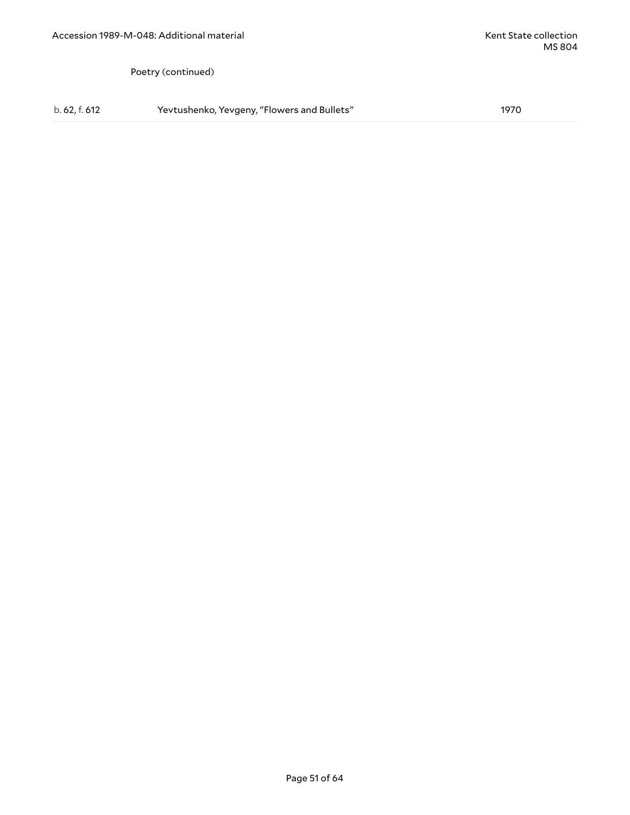Poetry (continued)

b. 62, f. 612 Yevtushenko, Yevgeny, "Flowers and Bullets" 1970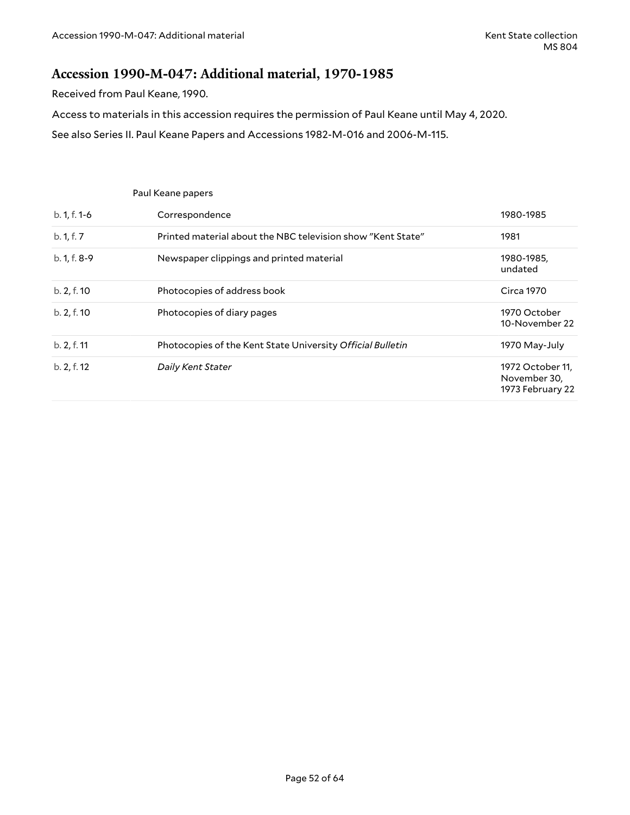### <span id="page-51-0"></span>**Accession 1990-M-047: Additional material, 1970-1985**

Received from Paul Keane, 1990.

Access to materials in this accession requires the permission of Paul Keane until May 4, 2020.

See also Series II. Paul Keane Papers and Accessions 1982-M-016 and 2006-M-115.

|                | Paul Keane papers                                           |                                                      |
|----------------|-------------------------------------------------------------|------------------------------------------------------|
| $b. 1, f. 1-6$ | Correspondence                                              | 1980-1985                                            |
| b. 1, f. 7     | Printed material about the NBC television show "Kent State" | 1981                                                 |
| b. 1, f. 8-9   | Newspaper clippings and printed material                    | 1980-1985,<br>undated                                |
| b. 2, f. 10    | Photocopies of address book                                 | Circa 1970                                           |
| b. 2, f. 10    | Photocopies of diary pages                                  | 1970 October<br>10-November 22                       |
| b. 2, f. 11    | Photocopies of the Kent State University Official Bulletin  | 1970 May-July                                        |
| b. 2, f. 12    | Daily Kent Stater                                           | 1972 October 11,<br>November 30,<br>1973 February 22 |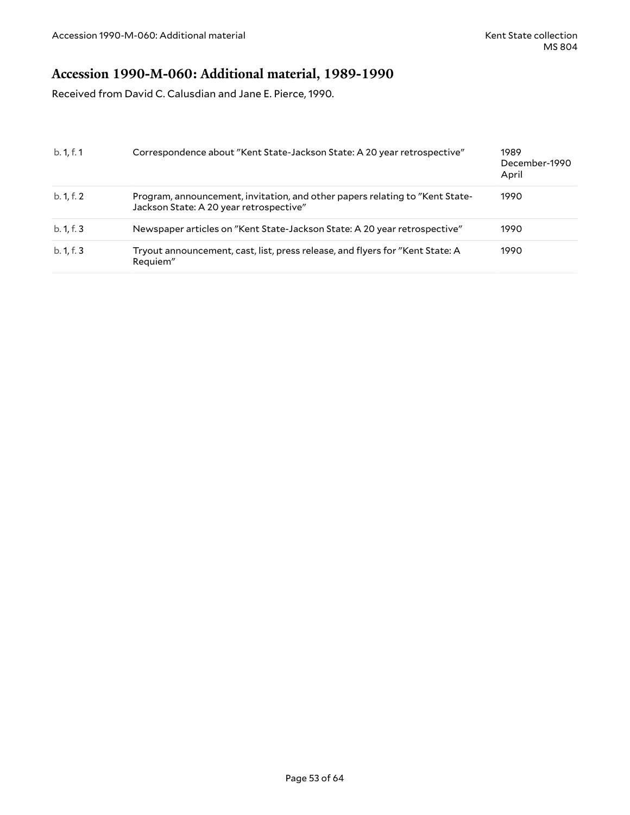## <span id="page-52-0"></span>**Accession 1990-M-060: Additional material, 1989-1990**

Received from David C. Calusdian and Jane E. Pierce, 1990.

| b. 1, f. 1 | Correspondence about "Kent State-Jackson State: A 20 year retrospective"                                                | 1989<br>December-1990<br>April |
|------------|-------------------------------------------------------------------------------------------------------------------------|--------------------------------|
| b. 1, f. 2 | Program, announcement, invitation, and other papers relating to "Kent State-<br>Jackson State: A 20 year retrospective" | 1990                           |
| b. 1, f. 3 | Newspaper articles on "Kent State-Jackson State: A 20 year retrospective"                                               | 1990                           |
| b. 1, f. 3 | Tryout announcement, cast, list, press release, and flyers for "Kent State: A<br>Requiem"                               | 1990                           |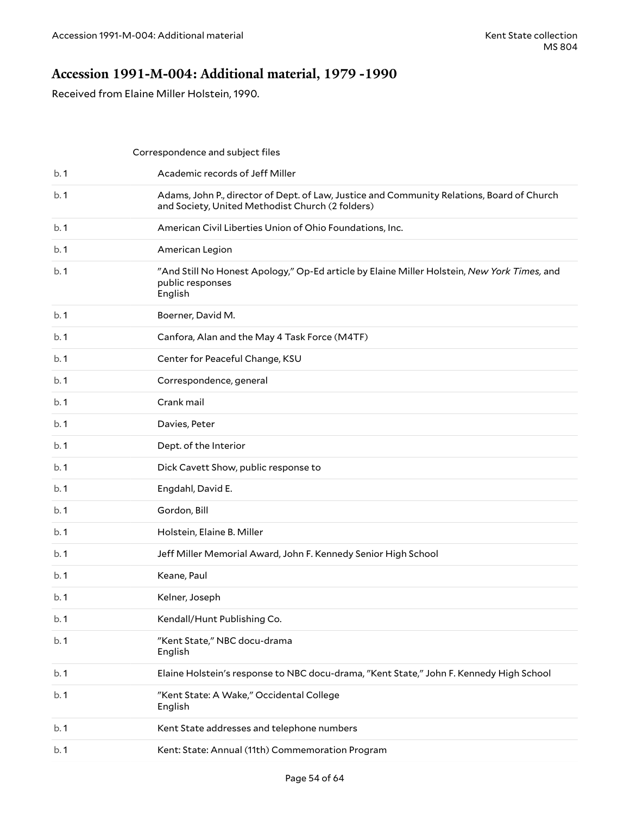### <span id="page-53-0"></span>**Accession 1991-M-004: Additional material, 1979 -1990**

Received from Elaine Miller Holstein, 1990.

|     | Correspondence and subject files                                                                                                               |
|-----|------------------------------------------------------------------------------------------------------------------------------------------------|
| b.1 | Academic records of Jeff Miller                                                                                                                |
| b.1 | Adams, John P., director of Dept. of Law, Justice and Community Relations, Board of Church<br>and Society, United Methodist Church (2 folders) |
| b.1 | American Civil Liberties Union of Ohio Foundations, Inc.                                                                                       |
| b.1 | American Legion                                                                                                                                |
| b.1 | "And Still No Honest Apology," Op-Ed article by Elaine Miller Holstein, New York Times, and<br>public responses<br>English                     |
| b.1 | Boerner, David M.                                                                                                                              |
| b.1 | Canfora, Alan and the May 4 Task Force (M4TF)                                                                                                  |
| b.1 | Center for Peaceful Change, KSU                                                                                                                |
| b.1 | Correspondence, general                                                                                                                        |
| b.1 | Crank mail                                                                                                                                     |
| b.1 | Davies, Peter                                                                                                                                  |
| b.1 | Dept. of the Interior                                                                                                                          |
| b.1 | Dick Cavett Show, public response to                                                                                                           |
| b.1 | Engdahl, David E.                                                                                                                              |
| b.1 | Gordon, Bill                                                                                                                                   |
| b.1 | Holstein, Elaine B. Miller                                                                                                                     |
| b.1 | Jeff Miller Memorial Award, John F. Kennedy Senior High School                                                                                 |
| b.1 | Keane, Paul                                                                                                                                    |
| b.1 | Kelner, Joseph                                                                                                                                 |
| b.1 | Kendall/Hunt Publishing Co.                                                                                                                    |
| b.1 | "Kent State," NBC docu-drama<br>English                                                                                                        |
| b.1 | Elaine Holstein's response to NBC docu-drama, "Kent State," John F. Kennedy High School                                                        |
| b.1 | "Kent State: A Wake," Occidental College<br>English                                                                                            |
| b.1 | Kent State addresses and telephone numbers                                                                                                     |
| b.1 | Kent: State: Annual (11th) Commemoration Program                                                                                               |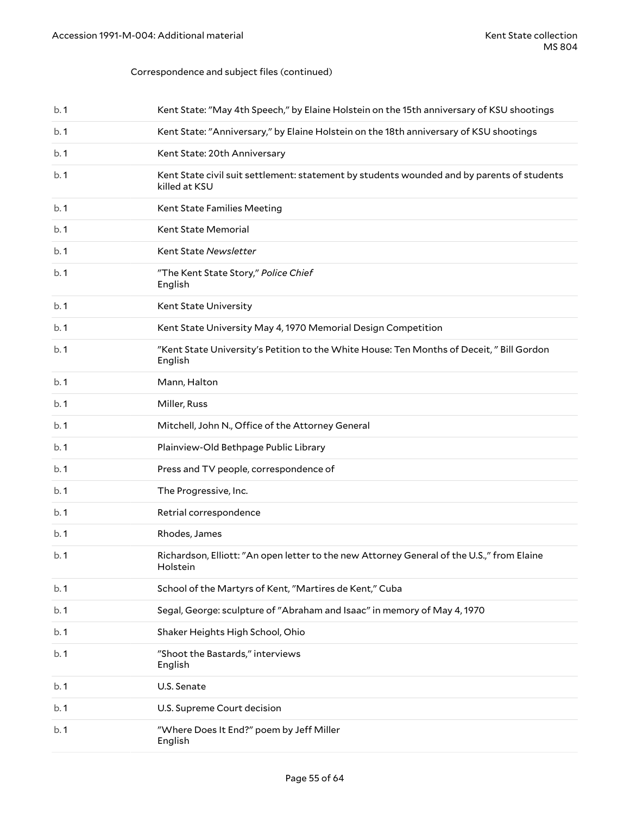### Correspondence and subject files (continued)

| b.1  | Kent State: "May 4th Speech," by Elaine Holstein on the 15th anniversary of KSU shootings                   |
|------|-------------------------------------------------------------------------------------------------------------|
| b.1  | Kent State: "Anniversary," by Elaine Holstein on the 18th anniversary of KSU shootings                      |
| b.1  | Kent State: 20th Anniversary                                                                                |
| b.1  | Kent State civil suit settlement: statement by students wounded and by parents of students<br>killed at KSU |
| b.1  | Kent State Families Meeting                                                                                 |
| b.1  | Kent State Memorial                                                                                         |
| b.1  | Kent State Newsletter                                                                                       |
| b.1  | "The Kent State Story," Police Chief<br>English                                                             |
| b.1  | Kent State University                                                                                       |
| b.1  | Kent State University May 4, 1970 Memorial Design Competition                                               |
| b.1  | "Kent State University's Petition to the White House: Ten Months of Deceit," Bill Gordon<br>English         |
| b.1  | Mann, Halton                                                                                                |
| b.1  | Miller, Russ                                                                                                |
| b.1  | Mitchell, John N., Office of the Attorney General                                                           |
| b.1  | Plainview-Old Bethpage Public Library                                                                       |
| b.1  | Press and TV people, correspondence of                                                                      |
| b.1  | The Progressive, Inc.                                                                                       |
| b.1  | Retrial correspondence                                                                                      |
| b.1  | Rhodes, James                                                                                               |
| b. 1 | Richardson, Elliott: "An open letter to the new Attorney General of the U.S.," from Elaine<br>Holstein      |
| b.1  | School of the Martyrs of Kent, "Martires de Kent," Cuba                                                     |
| b.1  | Segal, George: sculpture of "Abraham and Isaac" in memory of May 4, 1970                                    |
| b.1  | Shaker Heights High School, Ohio                                                                            |
| b.1  | "Shoot the Bastards," interviews<br>English                                                                 |
| b.1  | U.S. Senate                                                                                                 |
| b.1  | U.S. Supreme Court decision                                                                                 |
| b.1  | "Where Does It End?" poem by Jeff Miller<br>English                                                         |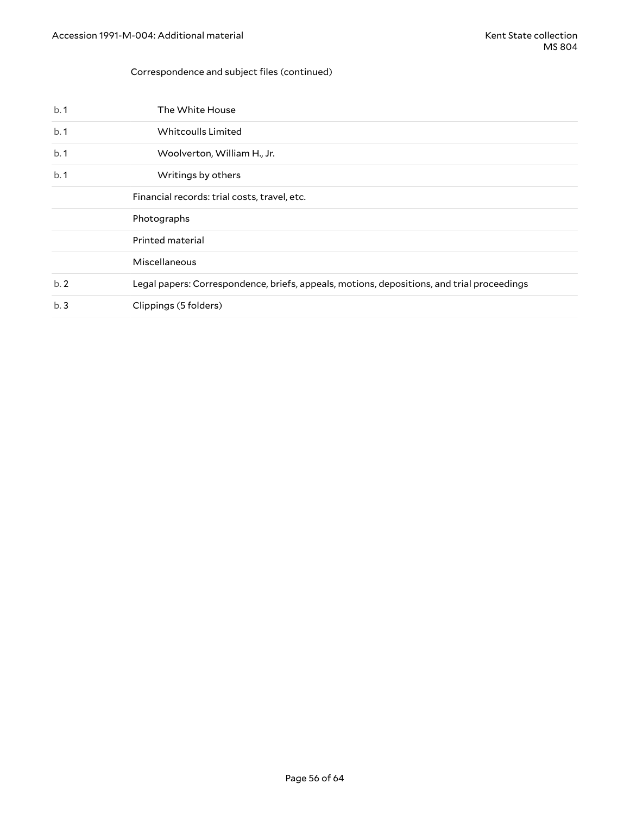### Correspondence and subject files (continued)

| b.1 | The White House                                                                            |
|-----|--------------------------------------------------------------------------------------------|
| b.1 | Whitcoulls Limited                                                                         |
| b.1 | Woolverton, William H., Jr.                                                                |
| b.1 | Writings by others                                                                         |
|     | Financial records: trial costs, travel, etc.                                               |
|     | Photographs                                                                                |
|     | Printed material                                                                           |
|     | Miscellaneous                                                                              |
| b.2 | Legal papers: Correspondence, briefs, appeals, motions, depositions, and trial proceedings |
| b.3 | Clippings (5 folders)                                                                      |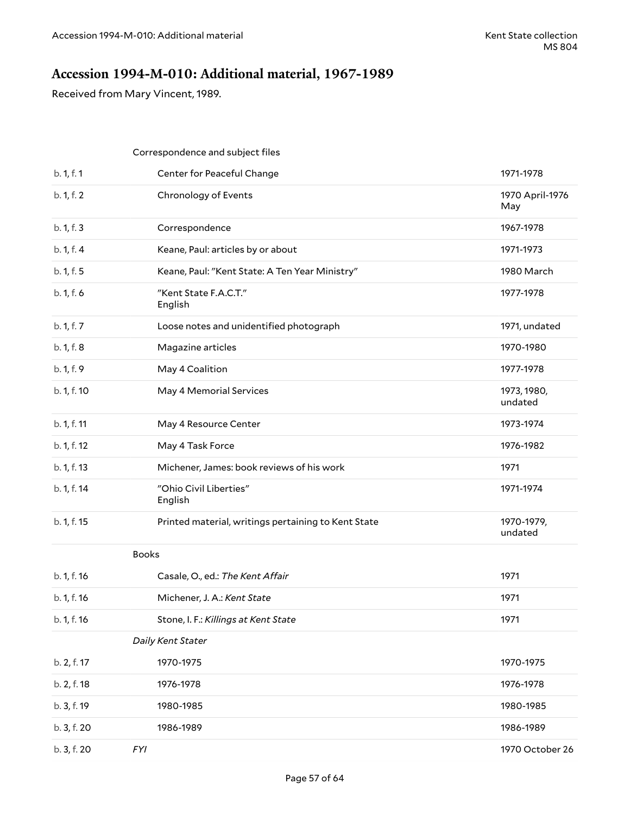## <span id="page-56-0"></span>**Accession 1994-M-010: Additional material, 1967-1989**

Received from Mary Vincent, 1989.

|             | Correspondence and subject files                    |                        |
|-------------|-----------------------------------------------------|------------------------|
| b. 1, f. 1  | Center for Peaceful Change                          | 1971-1978              |
| b. 1, f. 2  | Chronology of Events                                | 1970 April-1976<br>May |
| b. 1, f. 3  | Correspondence                                      | 1967-1978              |
| b. 1, f. 4  | Keane, Paul: articles by or about                   | 1971-1973              |
| b. 1, f. 5  | Keane, Paul: "Kent State: A Ten Year Ministry"      | 1980 March             |
| b. 1, f. 6  | "Kent State F.A.C.T."<br>English                    | 1977-1978              |
| b. 1, f. 7  | Loose notes and unidentified photograph             | 1971, undated          |
| b. 1, f. 8  | Magazine articles                                   | 1970-1980              |
| b. 1, f. 9  | May 4 Coalition                                     | 1977-1978              |
| b. 1, f. 10 | May 4 Memorial Services                             | 1973, 1980,<br>undated |
| b. 1, f. 11 | May 4 Resource Center                               | 1973-1974              |
| b. 1, f. 12 | May 4 Task Force                                    | 1976-1982              |
| b. 1, f. 13 | Michener, James: book reviews of his work           | 1971                   |
| b. 1, f. 14 | "Ohio Civil Liberties"<br>English                   | 1971-1974              |
| b. 1, f. 15 | Printed material, writings pertaining to Kent State | 1970-1979,<br>undated  |
|             | <b>Books</b>                                        |                        |
| b. 1, f. 16 | Casale, O., ed.: The Kent Affair                    | 1971                   |
| b. 1, f. 16 | Michener, J. A.: Kent State                         | 1971                   |
| b. 1, f. 16 | Stone, I. F.: Killings at Kent State                | 1971                   |
|             | Daily Kent Stater                                   |                        |
| b. 2, f. 17 | 1970-1975                                           | 1970-1975              |
| b. 2, f. 18 | 1976-1978                                           | 1976-1978              |
| b. 3, f. 19 | 1980-1985                                           | 1980-1985              |
| b. 3, f. 20 | 1986-1989                                           | 1986-1989              |
| b. 3, f. 20 | <b>FYI</b>                                          | 1970 October 26        |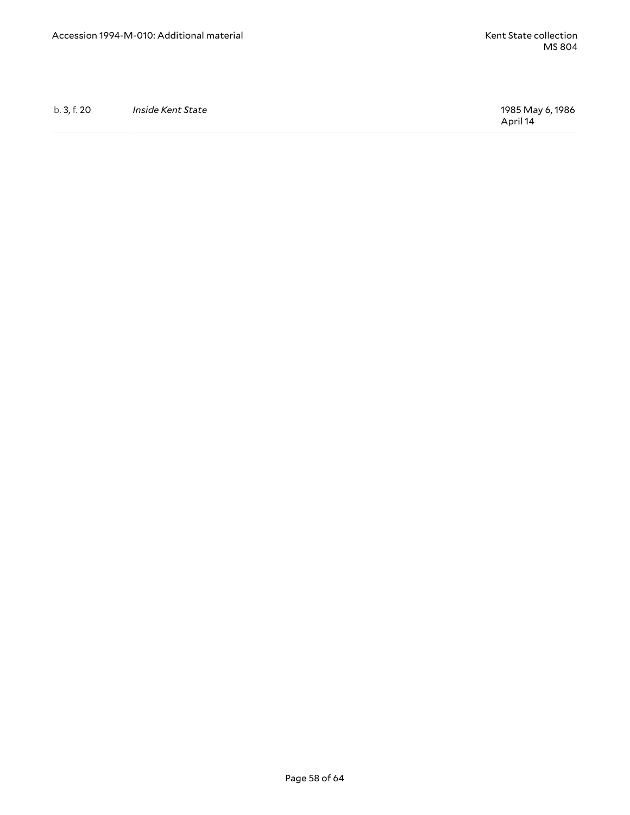b. 3, f. 20 *Inside Kent State* 1985 May 6, 1986

April 14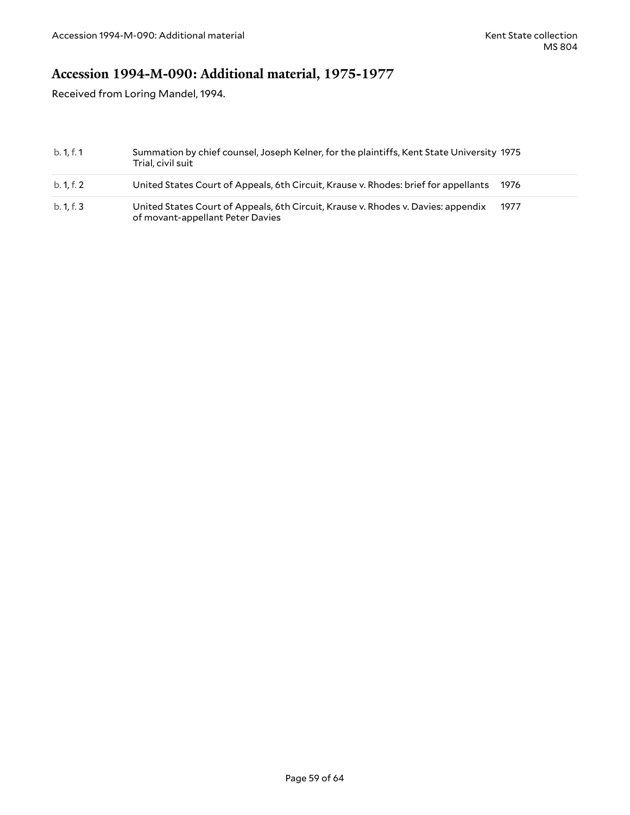## <span id="page-58-0"></span>**Accession 1994-M-090: Additional material, 1975-1977**

Received from Loring Mandel, 1994.

| b. 1, f. 1 | Summation by chief counsel, Joseph Kelner, for the plaintiffs, Kent State University 1975<br>Trial, civil suit        |      |
|------------|-----------------------------------------------------------------------------------------------------------------------|------|
| b. 1, f. 2 | United States Court of Appeals, 6th Circuit, Krause v. Rhodes: brief for appellants                                   | 1976 |
| b. 1, f. 3 | United States Court of Appeals, 6th Circuit, Krause v. Rhodes v. Davies: appendix<br>of movant-appellant Peter Davies | 1977 |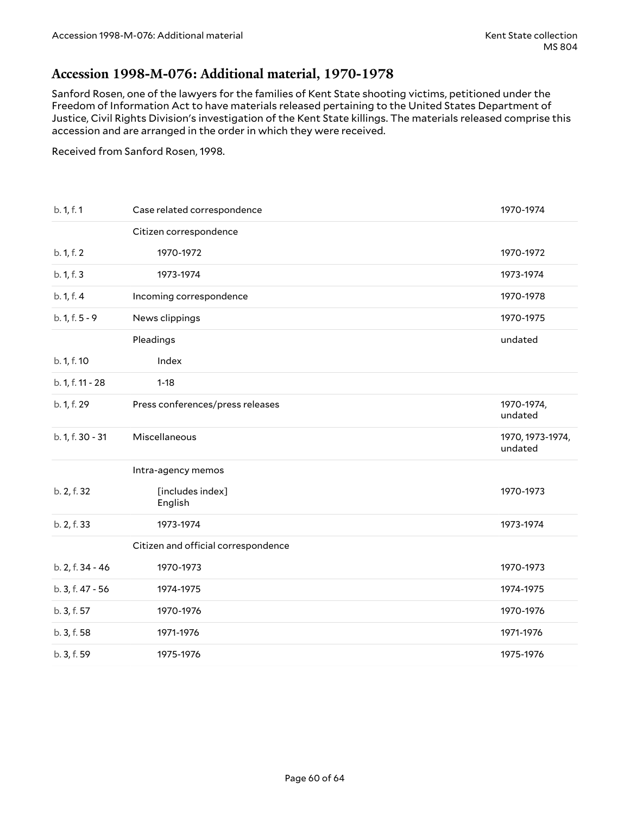### <span id="page-59-0"></span>**Accession 1998-M-076: Additional material, 1970-1978**

Sanford Rosen, one of the lawyers for the families of Kent State shooting victims, petitioned under the Freedom of Information Act to have materials released pertaining to the United States Department of Justice, Civil Rights Division's investigation of the Kent State killings. The materials released comprise this accession and are arranged in the order in which they were received.

Received from Sanford Rosen, 1998.

| b. 1, f. 1       | Case related correspondence         | 1970-1974                   |
|------------------|-------------------------------------|-----------------------------|
|                  | Citizen correspondence              |                             |
| b. 1, f. 2       | 1970-1972                           | 1970-1972                   |
| b. 1, f. 3       | 1973-1974                           | 1973-1974                   |
| b. 1, f. 4       | Incoming correspondence             | 1970-1978                   |
| $b. 1, f. 5 - 9$ | News clippings                      | 1970-1975                   |
|                  | Pleadings                           | undated                     |
| b. 1, f. 10      | Index                               |                             |
| b. 1, f. 11 - 28 | $1 - 18$                            |                             |
| b. 1, f. 29      | Press conferences/press releases    | 1970-1974,<br>undated       |
| b. 1, f. 30 - 31 | Miscellaneous                       | 1970, 1973-1974,<br>undated |
|                  | Intra-agency memos                  |                             |
| b. 2, f. 32      | [includes index]<br>English         | 1970-1973                   |
| b. 2, f. 33      | 1973-1974                           | 1973-1974                   |
|                  | Citizen and official correspondence |                             |
| b. 2, f. 34 - 46 | 1970-1973                           | 1970-1973                   |
| b. 3, f. 47 - 56 | 1974-1975                           | 1974-1975                   |
| b. 3, f. 57      | 1970-1976                           | 1970-1976                   |
| b. 3, f. 58      | 1971-1976                           | 1971-1976                   |
|                  |                                     |                             |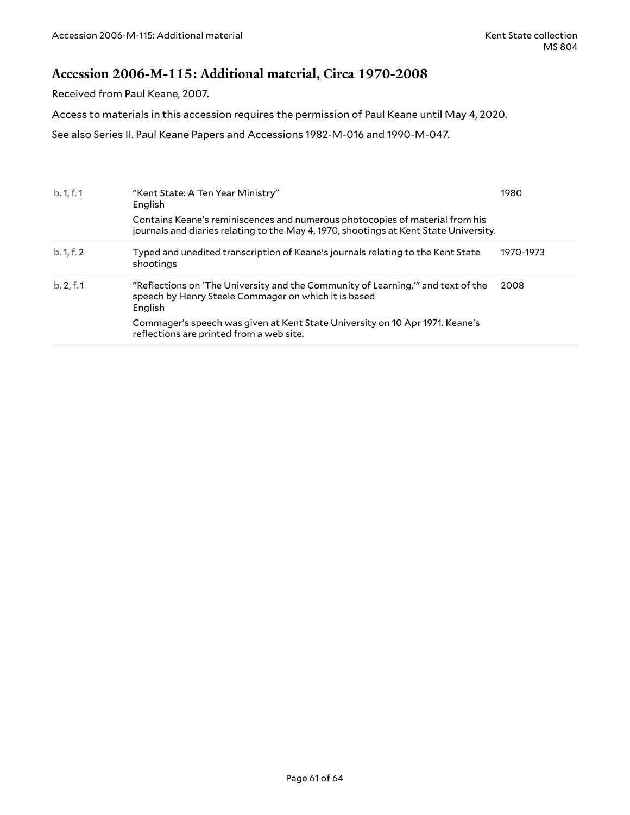### <span id="page-60-0"></span>**Accession 2006-M-115: Additional material, Circa 1970-2008**

Received from Paul Keane, 2007.

Access to materials in this accession requires the permission of Paul Keane until May 4, 2020.

See also Series II. Paul Keane Papers and Accessions 1982-M-016 and 1990-M-047.

| b. 1, f. 1 | "Kent State: A Ten Year Ministry"<br>English                                                                                                                          | 1980      |
|------------|-----------------------------------------------------------------------------------------------------------------------------------------------------------------------|-----------|
|            | Contains Keane's reminiscences and numerous photocopies of material from his<br>journals and diaries relating to the May 4, 1970, shootings at Kent State University. |           |
| b. 1, f. 2 | Typed and unedited transcription of Keane's journals relating to the Kent State<br>shootings                                                                          | 1970-1973 |
| b. 2, f. 1 | "Reflections on 'The University and the Community of Learning," and text of the<br>speech by Henry Steele Commager on which it is based<br>English                    | 2008      |
|            | Commager's speech was given at Kent State University on 10 Apr 1971. Keane's<br>reflections are printed from a web site.                                              |           |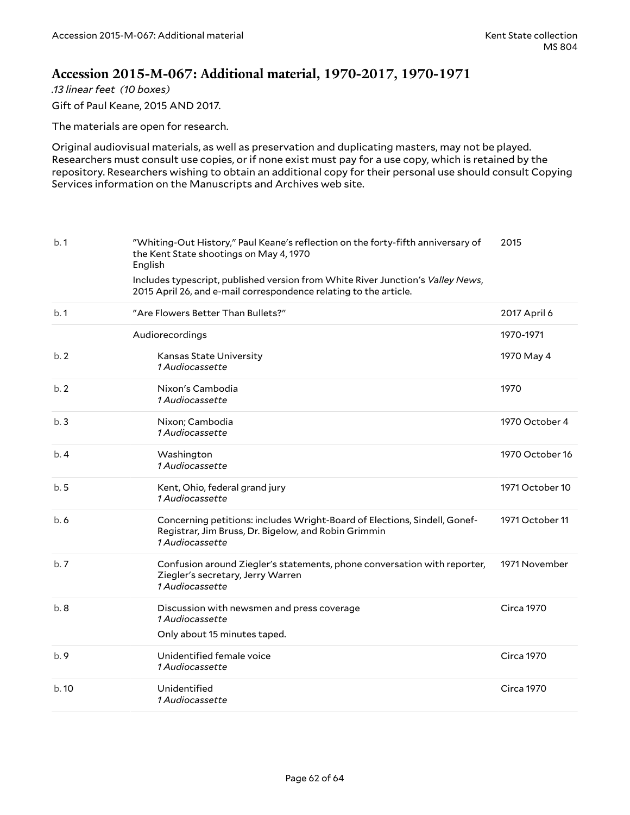### <span id="page-61-0"></span>**Accession 2015-M-067: Additional material, 1970-2017, 1970-1971**

*.13 linear feet (10 boxes)*

Gift of Paul Keane, 2015 AND 2017.

The materials are open for research.

Original audiovisual materials, as well as preservation and duplicating masters, may not be played. Researchers must consult use copies, or if none exist must pay for a use copy, which is retained by the repository. Researchers wishing to obtain an additional copy for their personal use should consult Copying Services information on the Manuscripts and Archives web site.

| b.1  | "Whiting-Out History," Paul Keane's reflection on the forty-fifth anniversary of<br>the Kent State shootings on May 4, 1970<br>English<br>Includes typescript, published version from White River Junction's Valley News,<br>2015 April 26, and e-mail correspondence relating to the article. | 2015              |
|------|------------------------------------------------------------------------------------------------------------------------------------------------------------------------------------------------------------------------------------------------------------------------------------------------|-------------------|
| b.1  | "Are Flowers Better Than Bullets?"                                                                                                                                                                                                                                                             | 2017 April 6      |
|      | Audiorecordings                                                                                                                                                                                                                                                                                | 1970-1971         |
| b.2  | Kansas State University<br><i>1 Audiocassette</i>                                                                                                                                                                                                                                              | 1970 May 4        |
| b.2  | Nixon's Cambodia<br>1 Audiocassette                                                                                                                                                                                                                                                            | 1970              |
| b.3  | Nixon; Cambodia<br>1 Audiocassette                                                                                                                                                                                                                                                             | 1970 October 4    |
| b.4  | Washington<br>1 Audiocassette                                                                                                                                                                                                                                                                  | 1970 October 16   |
| b.5  | Kent, Ohio, federal grand jury<br>1 Audiocassette                                                                                                                                                                                                                                              | 1971 October 10   |
| b.6  | Concerning petitions: includes Wright-Board of Elections, Sindell, Gonef-<br>Registrar, Jim Bruss, Dr. Bigelow, and Robin Grimmin<br>1 Audiocassette                                                                                                                                           | 1971 October 11   |
| b.7  | Confusion around Ziegler's statements, phone conversation with reporter,<br>Ziegler's secretary, Jerry Warren<br>1 Audiocassette                                                                                                                                                               | 1971 November     |
| b.8  | Discussion with newsmen and press coverage<br>1 Audiocassette<br>Only about 15 minutes taped.                                                                                                                                                                                                  | <b>Circa 1970</b> |
| b.9  | Unidentified female voice<br>1 Audiocassette                                                                                                                                                                                                                                                   | <b>Circa 1970</b> |
| b.10 | Unidentified<br>1 Audiocassette                                                                                                                                                                                                                                                                | <b>Circa 1970</b> |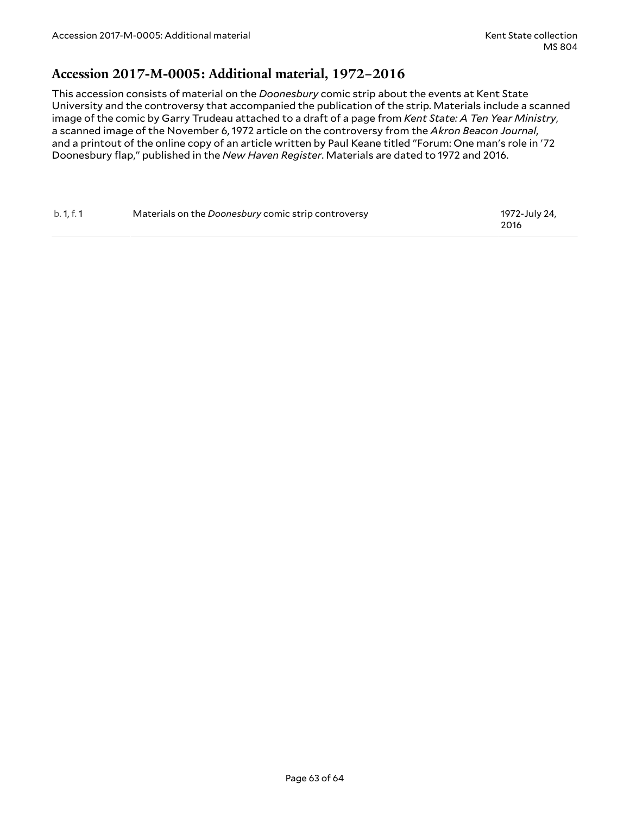### <span id="page-62-0"></span>**Accession 2017-M-0005: Additional material, 1972–2016**

This accession consists of material on the *Doonesbury* comic strip about the events at Kent State University and the controversy that accompanied the publication of the strip. Materials include a scanned image of the comic by Garry Trudeau attached to a draft of a page from *Kent State: A Ten Year Ministry*, a scanned image of the November 6, 1972 article on the controversy from the *Akron Beacon Journal*, and a printout of the online copy of an article written by Paul Keane titled "Forum: One man's role in '72 Doonesbury flap," published in the *New Haven Register*. Materials are dated to 1972 and 2016.

| b. 1, f. 1 | Materials on the Doonesbury comic strip controversy | 1972-July 24, |
|------------|-----------------------------------------------------|---------------|
|            |                                                     | 2016          |